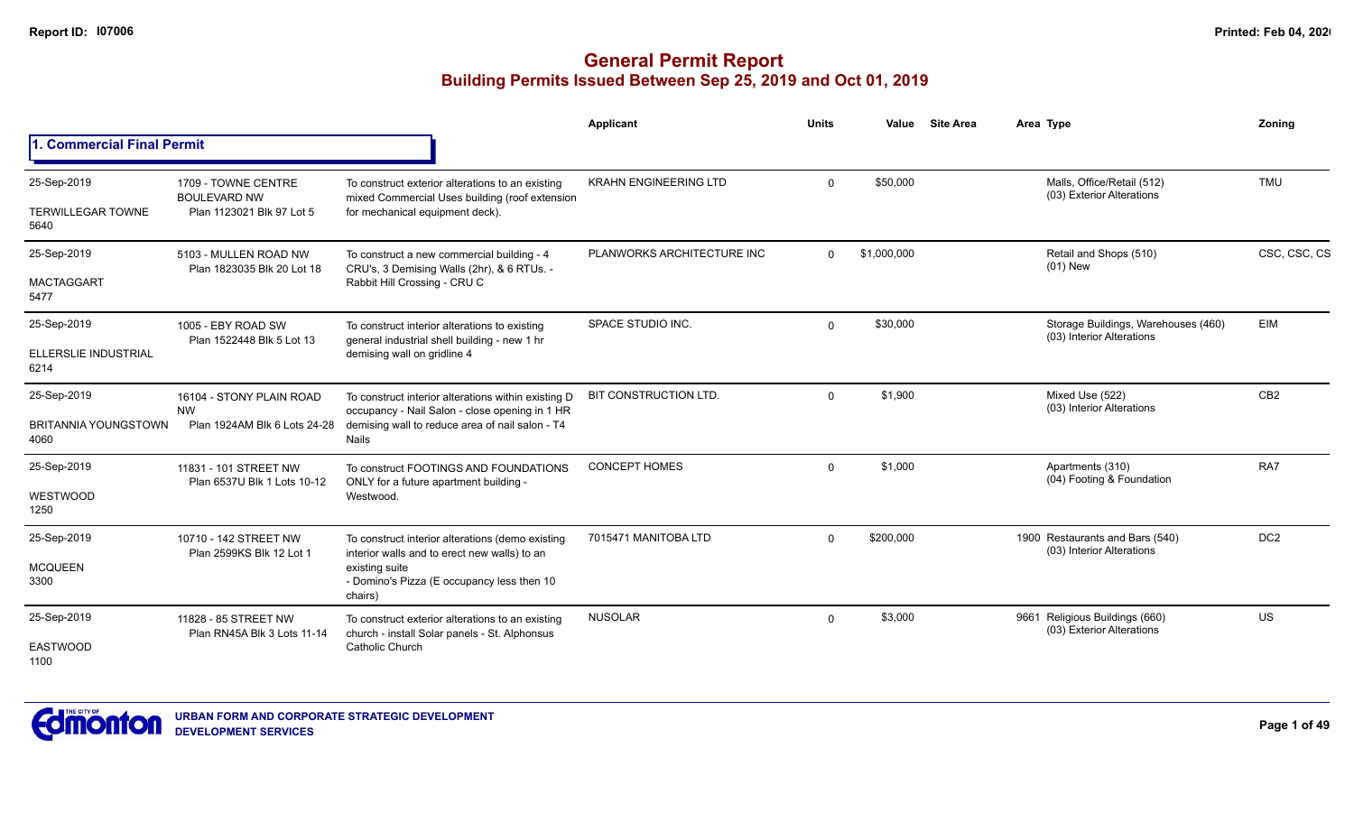|                                                    |                                                                         |                                                                                                                                                                             | Applicant                    | <b>Units</b> | Value       | <b>Site Area</b> | Area Type                                                        | Zoning          |
|----------------------------------------------------|-------------------------------------------------------------------------|-----------------------------------------------------------------------------------------------------------------------------------------------------------------------------|------------------------------|--------------|-------------|------------------|------------------------------------------------------------------|-----------------|
| 1. Commercial Final Permit                         |                                                                         |                                                                                                                                                                             |                              |              |             |                  |                                                                  |                 |
| 25-Sep-2019<br><b>TERWILLEGAR TOWNE</b><br>5640    | 1709 - TOWNE CENTRE<br><b>BOULEVARD NW</b><br>Plan 1123021 Blk 97 Lot 5 | To construct exterior alterations to an existing<br>mixed Commercial Uses building (roof extension<br>for mechanical equipment deck).                                       | <b>KRAHN ENGINEERING LTD</b> | $\Omega$     | \$50,000    |                  | Malls, Office/Retail (512)<br>(03) Exterior Alterations          | <b>TMU</b>      |
| 25-Sep-2019<br><b>MACTAGGART</b><br>5477           | 5103 - MULLEN ROAD NW<br>Plan 1823035 Blk 20 Lot 18                     | To construct a new commercial building - 4<br>CRU's, 3 Demising Walls (2hr), & 6 RTUs. -<br>Rabbit Hill Crossing - CRU C                                                    | PLANWORKS ARCHITECTURE INC   | $\Omega$     | \$1,000,000 |                  | Retail and Shops (510)<br>$(01)$ New                             | CSC, CSC, CS    |
| 25-Sep-2019<br>ELLERSLIE INDUSTRIAL<br>6214        | 1005 - EBY ROAD SW<br>Plan 1522448 Blk 5 Lot 13                         | To construct interior alterations to existing<br>general industrial shell building - new 1 hr<br>demising wall on gridline 4                                                | SPACE STUDIO INC.            | $\Omega$     | \$30,000    |                  | Storage Buildings, Warehouses (460)<br>(03) Interior Alterations | EIM             |
| 25-Sep-2019<br><b>BRITANNIA YOUNGSTOWN</b><br>4060 | 16104 - STONY PLAIN ROAD<br><b>NW</b><br>Plan 1924AM Blk 6 Lots 24-28   | To construct interior alterations within existing D<br>occupancy - Nail Salon - close opening in 1 HR<br>demising wall to reduce area of nail salon - T4<br><b>Nails</b>    | BIT CONSTRUCTION LTD.        | $\Omega$     | \$1,900     |                  | Mixed Use (522)<br>(03) Interior Alterations                     | CB <sub>2</sub> |
| 25-Sep-2019<br>WESTWOOD<br>1250                    | 11831 - 101 STREET NW<br>Plan 6537U Blk 1 Lots 10-12                    | To construct FOOTINGS AND FOUNDATIONS<br>ONLY for a future apartment building -<br>Westwood.                                                                                | <b>CONCEPT HOMES</b>         | $\Omega$     | \$1,000     |                  | Apartments (310)<br>(04) Footing & Foundation                    | RA7             |
| 25-Sep-2019<br><b>MCQUEEN</b><br>3300              | 10710 - 142 STREET NW<br>Plan 2599KS Blk 12 Lot 1                       | To construct interior alterations (demo existing<br>interior walls and to erect new walls) to an<br>existing suite<br>- Domino's Pizza (E occupancy less then 10<br>chairs) | 7015471 MANITOBA LTD         | $\Omega$     | \$200,000   |                  | 1900 Restaurants and Bars (540)<br>(03) Interior Alterations     | DC <sub>2</sub> |
| 25-Sep-2019<br><b>EASTWOOD</b><br>1100             | 11828 - 85 STREET NW<br>Plan RN45A Blk 3 Lots 11-14                     | To construct exterior alterations to an existing<br>church - install Solar panels - St. Alphonsus<br><b>Catholic Church</b>                                                 | <b>NUSOLAR</b>               | $\Omega$     | \$3,000     |                  | 9661 Religious Buildings (660)<br>(03) Exterior Alterations      | US              |

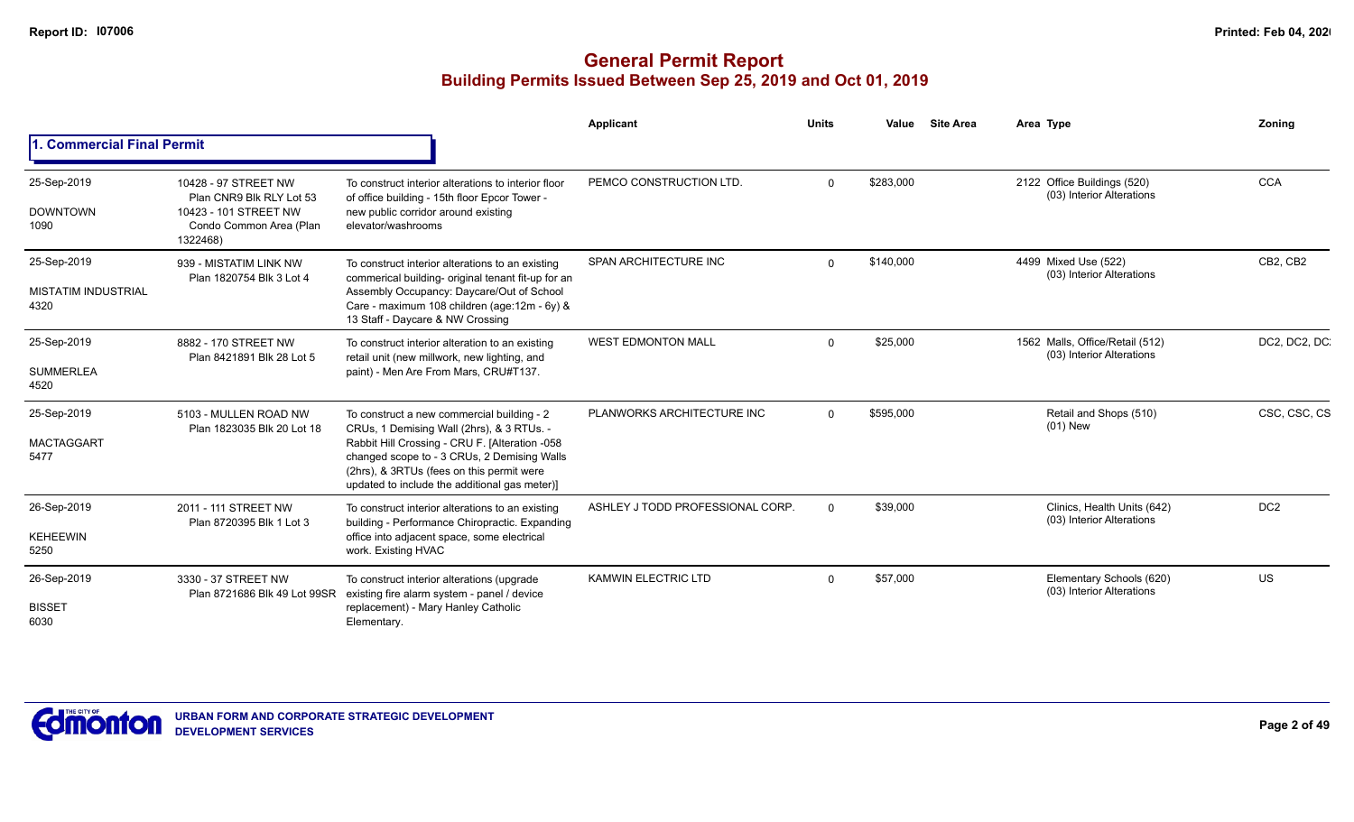|                                                   |                                                                                                                  |                                                                                                                                                                                                                                                                                        | Applicant                        | <b>Units</b> | Value     | <b>Site Area</b> | Area Type                                                    | Zoning          |
|---------------------------------------------------|------------------------------------------------------------------------------------------------------------------|----------------------------------------------------------------------------------------------------------------------------------------------------------------------------------------------------------------------------------------------------------------------------------------|----------------------------------|--------------|-----------|------------------|--------------------------------------------------------------|-----------------|
| 1. Commercial Final Permit                        |                                                                                                                  |                                                                                                                                                                                                                                                                                        |                                  |              |           |                  |                                                              |                 |
| 25-Sep-2019<br><b>DOWNTOWN</b><br>1090            | 10428 - 97 STREET NW<br>Plan CNR9 Blk RLY Lot 53<br>10423 - 101 STREET NW<br>Condo Common Area (Plan<br>1322468) | To construct interior alterations to interior floor<br>of office building - 15th floor Epcor Tower -<br>new public corridor around existing<br>elevator/washrooms                                                                                                                      | PEMCO CONSTRUCTION LTD.          | $\Omega$     | \$283,000 |                  | 2122 Office Buildings (520)<br>(03) Interior Alterations     | <b>CCA</b>      |
| 25-Sep-2019<br><b>MISTATIM INDUSTRIAL</b><br>4320 | 939 - MISTATIM LINK NW<br>Plan 1820754 Blk 3 Lot 4                                                               | To construct interior alterations to an existing<br>commerical building- original tenant fit-up for an<br>Assembly Occupancy: Daycare/Out of School<br>Care - maximum 108 children (age:12m - 6y) &<br>13 Staff - Daycare & NW Crossing                                                | SPAN ARCHITECTURE INC            | $\Omega$     | \$140,000 |                  | 4499 Mixed Use (522)<br>(03) Interior Alterations            | CB2, CB2        |
| 25-Sep-2019<br><b>SUMMERLEA</b><br>4520           | 8882 - 170 STREET NW<br>Plan 8421891 Blk 28 Lot 5                                                                | To construct interior alteration to an existing<br>retail unit (new millwork, new lighting, and<br>paint) - Men Are From Mars, CRU#T137.                                                                                                                                               | <b>WEST EDMONTON MALL</b>        | $\Omega$     | \$25,000  |                  | 1562 Malls, Office/Retail (512)<br>(03) Interior Alterations | DC2, DC2, DC    |
| 25-Sep-2019<br><b>MACTAGGART</b><br>5477          | 5103 - MULLEN ROAD NW<br>Plan 1823035 Blk 20 Lot 18                                                              | To construct a new commercial building - 2<br>CRUs, 1 Demising Wall (2hrs), & 3 RTUs. -<br>Rabbit Hill Crossing - CRU F. [Alteration -058<br>changed scope to - 3 CRUs, 2 Demising Walls<br>(2hrs), & 3RTUs (fees on this permit were<br>updated to include the additional gas meter)] | PLANWORKS ARCHITECTURE INC       | $\Omega$     | \$595,000 |                  | Retail and Shops (510)<br>(01) New                           | CSC, CSC, CS    |
| 26-Sep-2019<br><b>KEHEEWIN</b><br>5250            | 2011 - 111 STREET NW<br>Plan 8720395 Blk 1 Lot 3                                                                 | To construct interior alterations to an existing<br>building - Performance Chiropractic. Expanding<br>office into adjacent space, some electrical<br>work. Existing HVAC                                                                                                               | ASHLEY J TODD PROFESSIONAL CORP. | $\Omega$     | \$39,000  |                  | Clinics, Health Units (642)<br>(03) Interior Alterations     | DC <sub>2</sub> |
| 26-Sep-2019<br><b>BISSET</b><br>6030              | 3330 - 37 STREET NW<br>Plan 8721686 Blk 49 Lot 99SR                                                              | To construct interior alterations (upgrade<br>existing fire alarm system - panel / device<br>replacement) - Mary Hanley Catholic<br>Elementary.                                                                                                                                        | <b>KAMWIN ELECTRIC LTD</b>       | $\Omega$     | \$57,000  |                  | Elementary Schools (620)<br>(03) Interior Alterations        | <b>US</b>       |

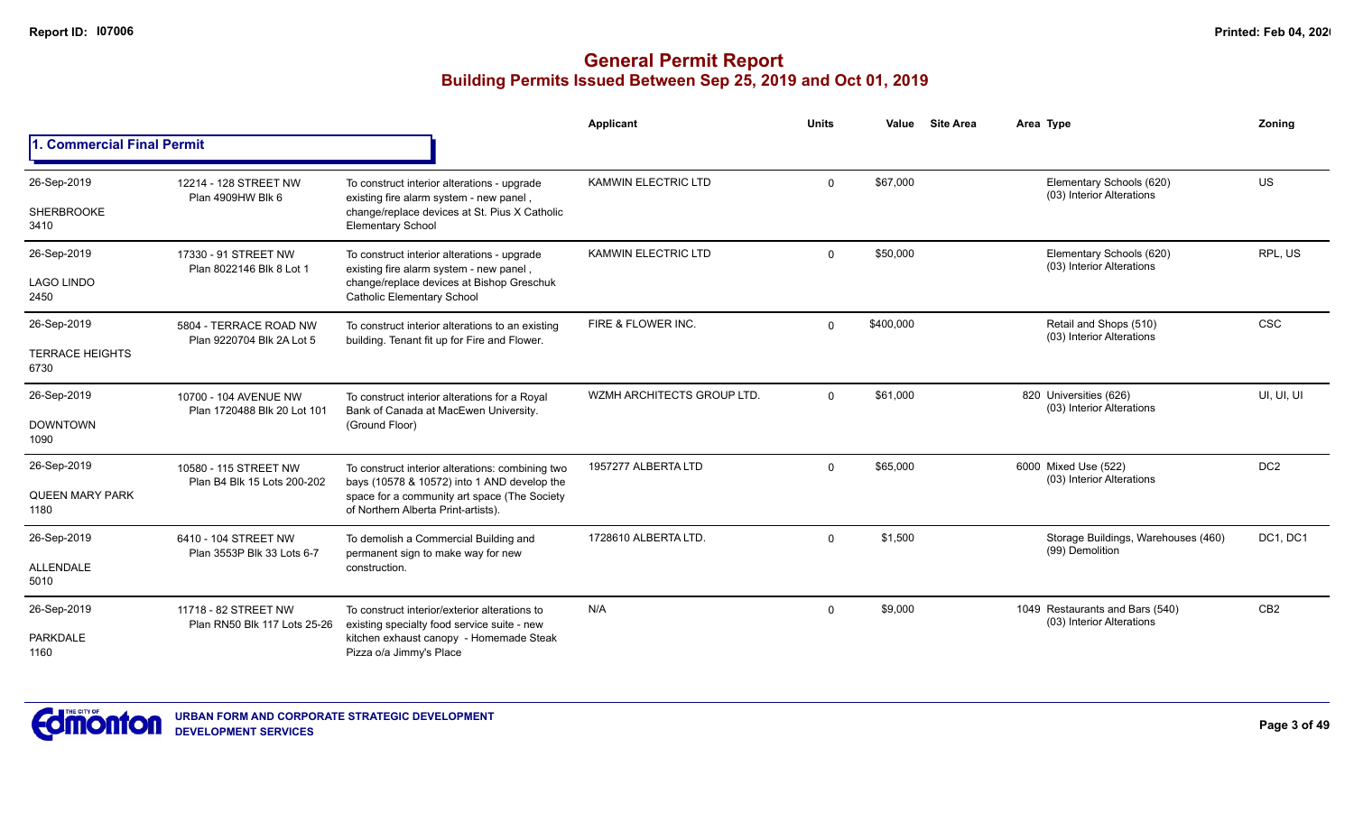|                                               |                                                      |                                                                                                                                                                                        | <b>Applicant</b>           | <b>Units</b> | Value     | <b>Site Area</b> | Area Type                                                    | Zoning          |
|-----------------------------------------------|------------------------------------------------------|----------------------------------------------------------------------------------------------------------------------------------------------------------------------------------------|----------------------------|--------------|-----------|------------------|--------------------------------------------------------------|-----------------|
| 1. Commercial Final Permit                    |                                                      |                                                                                                                                                                                        |                            |              |           |                  |                                                              |                 |
| 26-Sep-2019<br>SHERBROOKE<br>3410             | 12214 - 128 STREET NW<br>Plan 4909HW Blk 6           | To construct interior alterations - upgrade<br>existing fire alarm system - new panel,<br>change/replace devices at St. Pius X Catholic<br><b>Elementary School</b>                    | <b>KAMWIN ELECTRIC LTD</b> | $\Omega$     | \$67,000  |                  | Elementary Schools (620)<br>(03) Interior Alterations        | <b>US</b>       |
| 26-Sep-2019<br><b>LAGO LINDO</b><br>2450      | 17330 - 91 STREET NW<br>Plan 8022146 Blk 8 Lot 1     | To construct interior alterations - upgrade<br>existing fire alarm system - new panel,<br>change/replace devices at Bishop Greschuk<br><b>Catholic Elementary School</b>               | <b>KAMWIN ELECTRIC LTD</b> | $\Omega$     | \$50,000  |                  | Elementary Schools (620)<br>(03) Interior Alterations        | RPL, US         |
| 26-Sep-2019<br><b>TERRACE HEIGHTS</b><br>6730 | 5804 - TERRACE ROAD NW<br>Plan 9220704 Blk 2A Lot 5  | To construct interior alterations to an existing<br>building. Tenant fit up for Fire and Flower.                                                                                       | FIRE & FLOWER INC.         | $\Omega$     | \$400,000 |                  | Retail and Shops (510)<br>(03) Interior Alterations          | <b>CSC</b>      |
| 26-Sep-2019<br><b>DOWNTOWN</b><br>1090        | 10700 - 104 AVENUE NW<br>Plan 1720488 Blk 20 Lot 101 | To construct interior alterations for a Royal<br>Bank of Canada at MacEwen University.<br>(Ground Floor)                                                                               | WZMH ARCHITECTS GROUP LTD. | $\Omega$     | \$61,000  |                  | 820 Universities (626)<br>(03) Interior Alterations          | UI, UI, UI      |
| 26-Sep-2019<br><b>QUEEN MARY PARK</b><br>1180 | 10580 - 115 STREET NW<br>Plan B4 Blk 15 Lots 200-202 | To construct interior alterations: combining two<br>bays (10578 & 10572) into 1 AND develop the<br>space for a community art space (The Society<br>of Northern Alberta Print-artists). | 1957277 ALBERTA LTD        | $\Omega$     | \$65,000  |                  | 6000 Mixed Use (522)<br>(03) Interior Alterations            | DC <sub>2</sub> |
| 26-Sep-2019<br><b>ALLENDALE</b><br>5010       | 6410 - 104 STREET NW<br>Plan 3553P Blk 33 Lots 6-7   | To demolish a Commercial Building and<br>permanent sign to make way for new<br>construction.                                                                                           | 1728610 ALBERTA LTD.       | $\Omega$     | \$1,500   |                  | Storage Buildings, Warehouses (460)<br>(99) Demolition       | DC1, DC1        |
| 26-Sep-2019<br><b>PARKDALE</b><br>1160        | 11718 - 82 STREET NW<br>Plan RN50 Blk 117 Lots 25-26 | To construct interior/exterior alterations to<br>existing specialty food service suite - new<br>kitchen exhaust canopy - Homemade Steak<br>Pizza o/a Jimmy's Place                     | N/A                        | $\Omega$     | \$9,000   |                  | 1049 Restaurants and Bars (540)<br>(03) Interior Alterations | CB <sub>2</sub> |

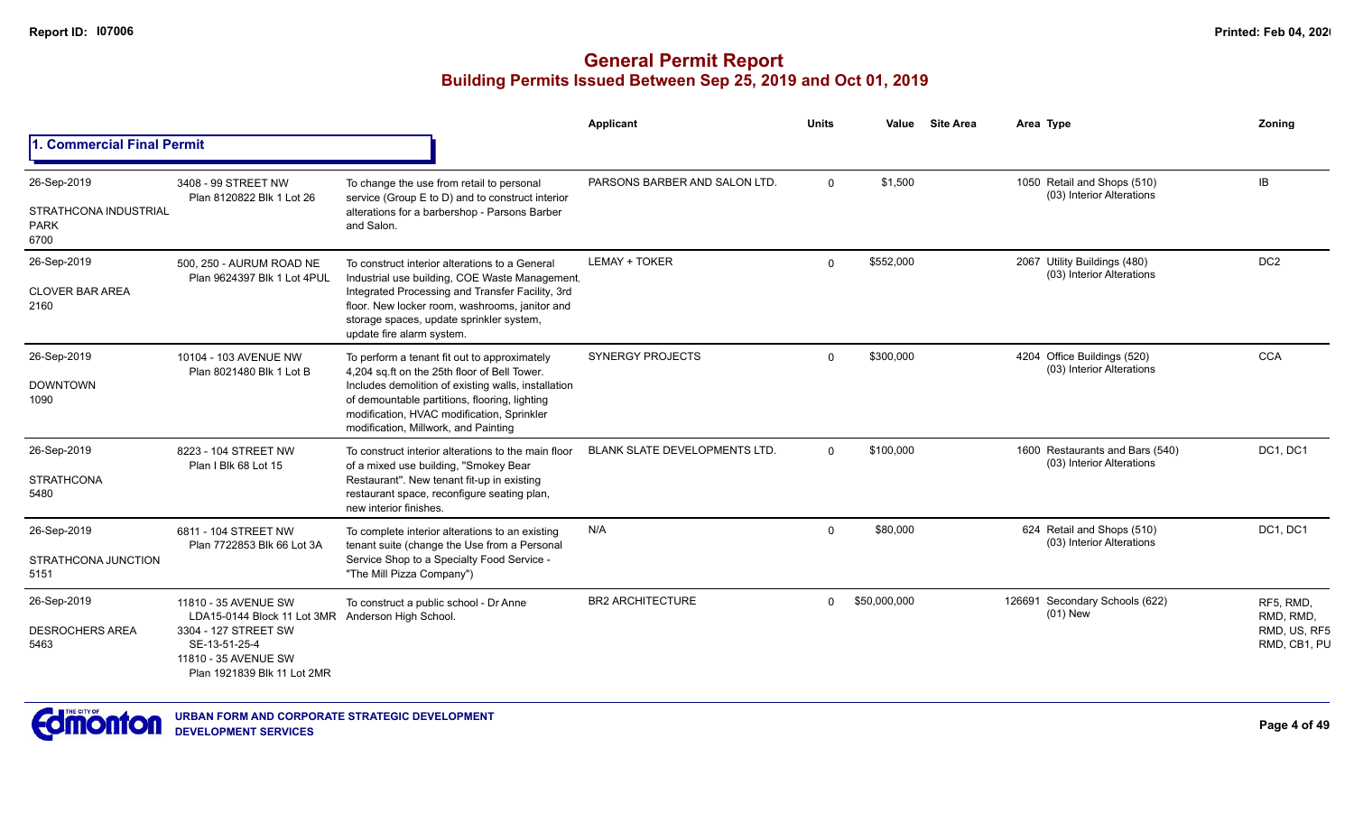|                                                             |                                                                                                                                                     |                                                                                                                                                                                                                                                                                            | Applicant                            | <b>Units</b> | Value        | <b>Site Area</b> | Area Type                                                    | Zoning                                                 |
|-------------------------------------------------------------|-----------------------------------------------------------------------------------------------------------------------------------------------------|--------------------------------------------------------------------------------------------------------------------------------------------------------------------------------------------------------------------------------------------------------------------------------------------|--------------------------------------|--------------|--------------|------------------|--------------------------------------------------------------|--------------------------------------------------------|
| <b>1. Commercial Final Permit</b>                           |                                                                                                                                                     |                                                                                                                                                                                                                                                                                            |                                      |              |              |                  |                                                              |                                                        |
| 26-Sep-2019<br>STRATHCONA INDUSTRIAL<br><b>PARK</b><br>6700 | 3408 - 99 STREET NW<br>Plan 8120822 Blk 1 Lot 26                                                                                                    | To change the use from retail to personal<br>service (Group E to D) and to construct interior<br>alterations for a barbershop - Parsons Barber<br>and Salon.                                                                                                                               | PARSONS BARBER AND SALON LTD.        | $\Omega$     | \$1,500      |                  | 1050 Retail and Shops (510)<br>(03) Interior Alterations     | IB                                                     |
| 26-Sep-2019<br><b>CLOVER BAR AREA</b><br>2160               | 500, 250 - AURUM ROAD NE<br>Plan 9624397 Blk 1 Lot 4PUL                                                                                             | To construct interior alterations to a General<br>Industrial use building, COE Waste Management,<br>Integrated Processing and Transfer Facility, 3rd<br>floor. New locker room, washrooms, janitor and<br>storage spaces, update sprinkler system,<br>update fire alarm system.            | LEMAY + TOKER                        | $\Omega$     | \$552,000    |                  | 2067 Utility Buildings (480)<br>(03) Interior Alterations    | DC <sub>2</sub>                                        |
| 26-Sep-2019<br><b>DOWNTOWN</b><br>1090                      | 10104 - 103 AVENUE NW<br>Plan 8021480 Blk 1 Lot B                                                                                                   | To perform a tenant fit out to approximately<br>4,204 sq.ft on the 25th floor of Bell Tower.<br>Includes demolition of existing walls, installation<br>of demountable partitions, flooring, lighting<br>modification, HVAC modification, Sprinkler<br>modification, Millwork, and Painting | <b>SYNERGY PROJECTS</b>              | $\Omega$     | \$300,000    |                  | 4204 Office Buildings (520)<br>(03) Interior Alterations     | CCA                                                    |
| 26-Sep-2019<br><b>STRATHCONA</b><br>5480                    | 8223 - 104 STREET NW<br>Plan I Blk 68 Lot 15                                                                                                        | To construct interior alterations to the main floor<br>of a mixed use building, "Smokey Bear<br>Restaurant". New tenant fit-up in existing<br>restaurant space, reconfigure seating plan,<br>new interior finishes.                                                                        | <b>BLANK SLATE DEVELOPMENTS LTD.</b> | $\Omega$     | \$100,000    |                  | 1600 Restaurants and Bars (540)<br>(03) Interior Alterations | DC1, DC1                                               |
| 26-Sep-2019<br>STRATHCONA JUNCTION<br>5151                  | 6811 - 104 STREET NW<br>Plan 7722853 Blk 66 Lot 3A                                                                                                  | To complete interior alterations to an existing<br>tenant suite (change the Use from a Personal<br>Service Shop to a Specialty Food Service -<br>"The Mill Pizza Company")                                                                                                                 | N/A                                  | $\Omega$     | \$80,000     |                  | 624 Retail and Shops (510)<br>(03) Interior Alterations      | DC1, DC1                                               |
| 26-Sep-2019<br><b>DESROCHERS AREA</b><br>5463               | 11810 - 35 AVENUE SW<br>LDA15-0144 Block 11 Lot 3MR<br>3304 - 127 STREET SW<br>SE-13-51-25-4<br>11810 - 35 AVENUE SW<br>Plan 1921839 Blk 11 Lot 2MR | To construct a public school - Dr Anne<br>Anderson High School.                                                                                                                                                                                                                            | <b>BR2 ARCHITECTURE</b>              | $\Omega$     | \$50,000,000 |                  | 126691 Secondary Schools (622)<br>$(01)$ New                 | RF5, RMD,<br>RMD, RMD,<br>RMD, US, RF5<br>RMD, CB1, PU |

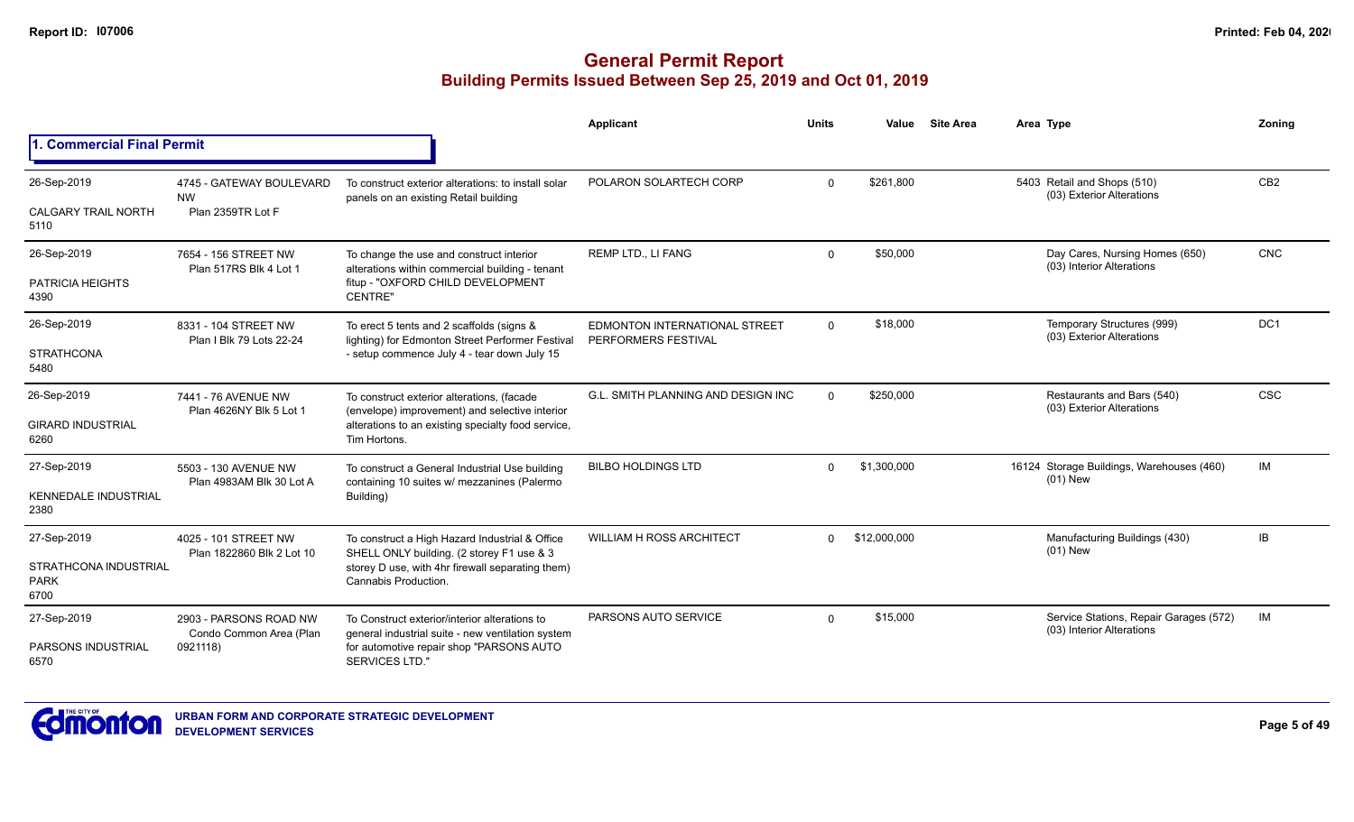|                                                     |                                                                                                                                                         |                                                                                               | Applicant                                            | <b>Units</b> | Value        | <b>Site Area</b>                                                    | Area Type                                                   | Zoning          |
|-----------------------------------------------------|---------------------------------------------------------------------------------------------------------------------------------------------------------|-----------------------------------------------------------------------------------------------|------------------------------------------------------|--------------|--------------|---------------------------------------------------------------------|-------------------------------------------------------------|-----------------|
| 1. Commercial Final Permit                          |                                                                                                                                                         |                                                                                               |                                                      |              |              |                                                                     |                                                             |                 |
| 26-Sep-2019                                         | 4745 - GATEWAY BOULEVARD                                                                                                                                | To construct exterior alterations: to install solar                                           | POLARON SOLARTECH CORP                               | $\Omega$     | \$261,800    |                                                                     | 5403 Retail and Shops (510)<br>(03) Exterior Alterations    | CB <sub>2</sub> |
| <b>CALGARY TRAIL NORTH</b><br>5110                  | <b>NW</b><br>Plan 2359TR Lot F                                                                                                                          | panels on an existing Retail building                                                         |                                                      |              |              |                                                                     |                                                             |                 |
| 26-Sep-2019                                         | 7654 - 156 STREET NW<br>Plan 517RS Blk 4 Lot 1                                                                                                          | To change the use and construct interior<br>alterations within commercial building - tenant   | <b>REMP LTD., LI FANG</b>                            | $\mathbf{0}$ | \$50,000     |                                                                     | Day Cares, Nursing Homes (650)<br>(03) Interior Alterations | <b>CNC</b>      |
| PATRICIA HEIGHTS<br>4390                            |                                                                                                                                                         | fitup - "OXFORD CHILD DEVELOPMENT<br><b>CENTRE</b>                                            |                                                      |              |              |                                                                     |                                                             |                 |
| 26-Sep-2019                                         | 8331 - 104 STREET NW<br>Plan I Blk 79 Lots 22-24                                                                                                        | To erect 5 tents and 2 scaffolds (signs &<br>lighting) for Edmonton Street Performer Festival | EDMONTON INTERNATIONAL STREET<br>PERFORMERS FESTIVAL | 0            | \$18,000     |                                                                     | Temporary Structures (999)<br>(03) Exterior Alterations     | DC <sub>1</sub> |
| <b>STRATHCONA</b><br>5480                           |                                                                                                                                                         | - setup commence July 4 - tear down July 15                                                   |                                                      |              |              |                                                                     |                                                             |                 |
| 26-Sep-2019                                         | 7441 - 76 AVENUE NW<br>Plan 4626NY Blk 5 Lot 1                                                                                                          | To construct exterior alterations, (facade<br>(envelope) improvement) and selective interior  | <b>G.L. SMITH PLANNING AND DESIGN INC</b>            | $\mathbf{0}$ | \$250,000    |                                                                     | Restaurants and Bars (540)<br>(03) Exterior Alterations     | <b>CSC</b>      |
| <b>GIRARD INDUSTRIAL</b><br>6260                    |                                                                                                                                                         | alterations to an existing specialty food service,<br>Tim Hortons.                            |                                                      |              |              |                                                                     |                                                             |                 |
| 27-Sep-2019                                         | 5503 - 130 AVENUE NW<br>Plan 4983AM Blk 30 Lot A                                                                                                        | To construct a General Industrial Use building<br>containing 10 suites w/ mezzanines (Palermo | <b>BILBO HOLDINGS LTD</b>                            | $\Omega$     | \$1,300,000  |                                                                     | 16124 Storage Buildings, Warehouses (460)<br>$(01)$ New     | IM              |
| <b>KENNEDALE INDUSTRIAL</b><br>2380                 |                                                                                                                                                         | Building)                                                                                     |                                                      |              |              |                                                                     |                                                             |                 |
| 27-Sep-2019                                         | 4025 - 101 STREET NW                                                                                                                                    | To construct a High Hazard Industrial & Office<br>SHELL ONLY building. (2 storey F1 use & 3   | <b>WILLIAM H ROSS ARCHITECT</b>                      | $\Omega$     | \$12,000,000 |                                                                     | Manufacturing Buildings (430)<br>$(01)$ New                 | IB              |
| <b>STRATHCONA INDUSTRIAL</b><br><b>PARK</b><br>6700 | Plan 1822860 Blk 2 Lot 10                                                                                                                               | storey D use, with 4hr firewall separating them)<br>Cannabis Production.                      |                                                      |              |              |                                                                     |                                                             |                 |
| 27-Sep-2019                                         | 2903 - PARSONS ROAD NW<br>To Construct exterior/interior alterations to<br>general industrial suite - new ventilation system<br>Condo Common Area (Plan | PARSONS AUTO SERVICE                                                                          | $\Omega$                                             | \$15,000     |              | Service Stations, Repair Garages (572)<br>(03) Interior Alterations | IM                                                          |                 |
| <b>PARSONS INDUSTRIAL</b><br>6570                   | 0921118)                                                                                                                                                | for automotive repair shop "PARSONS AUTO<br>SERVICES LTD."                                    |                                                      |              |              |                                                                     |                                                             |                 |

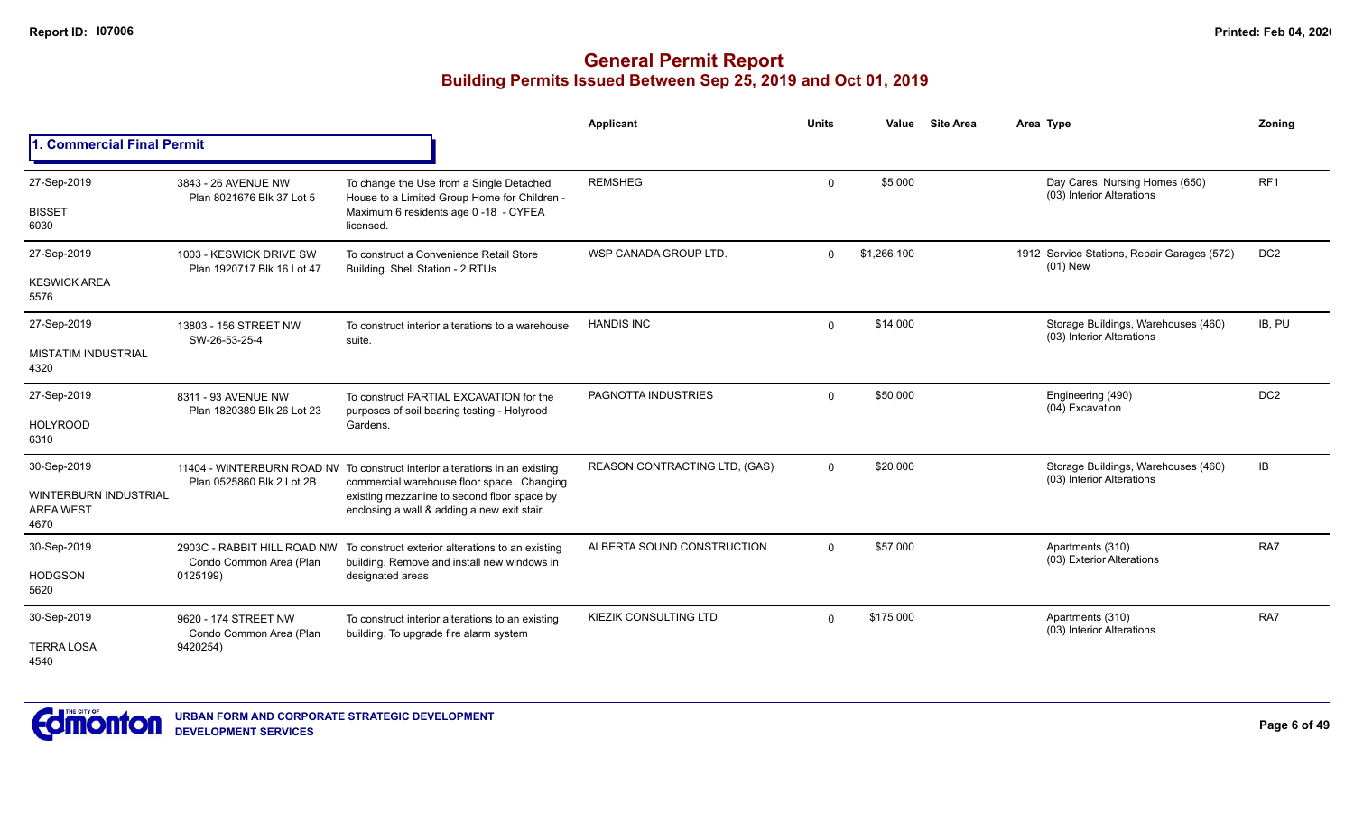|                                                          |                                                        |                                                                                                                           | Applicant                     | <b>Units</b> | Value       | <b>Site Area</b> | Area Type                                                        | Zoning          |
|----------------------------------------------------------|--------------------------------------------------------|---------------------------------------------------------------------------------------------------------------------------|-------------------------------|--------------|-------------|------------------|------------------------------------------------------------------|-----------------|
| 1. Commercial Final Permit                               |                                                        |                                                                                                                           |                               |              |             |                  |                                                                  |                 |
| 27-Sep-2019                                              | 3843 - 26 AVENUE NW<br>Plan 8021676 Blk 37 Lot 5       | To change the Use from a Single Detached<br>House to a Limited Group Home for Children -                                  | <b>REMSHEG</b>                | $\Omega$     | \$5,000     |                  | Day Cares, Nursing Homes (650)<br>(03) Interior Alterations      | RF <sub>1</sub> |
| <b>BISSET</b><br>6030                                    |                                                        | Maximum 6 residents age 0 -18 - CYFEA<br>licensed.                                                                        |                               |              |             |                  |                                                                  |                 |
| 27-Sep-2019                                              | 1003 - KESWICK DRIVE SW<br>Plan 1920717 Blk 16 Lot 47  | To construct a Convenience Retail Store<br>Building. Shell Station - 2 RTUs                                               | WSP CANADA GROUP LTD.         | $\Omega$     | \$1,266,100 |                  | 1912 Service Stations, Repair Garages (572)<br>$(01)$ New        | DC <sub>2</sub> |
| <b>KESWICK AREA</b><br>5576                              |                                                        |                                                                                                                           |                               |              |             |                  |                                                                  |                 |
| 27-Sep-2019                                              | 13803 - 156 STREET NW<br>SW-26-53-25-4                 | To construct interior alterations to a warehouse<br>suite.                                                                | <b>HANDIS INC</b>             | $\mathbf 0$  | \$14,000    |                  | Storage Buildings, Warehouses (460)<br>(03) Interior Alterations | IB, PU          |
| <b>MISTATIM INDUSTRIAL</b><br>4320                       |                                                        |                                                                                                                           |                               |              |             |                  |                                                                  |                 |
| 27-Sep-2019                                              | 8311 - 93 AVENUE NW<br>Plan 1820389 Blk 26 Lot 23      | To construct PARTIAL EXCAVATION for the<br>purposes of soil bearing testing - Holyrood                                    | PAGNOTTA INDUSTRIES           | $\mathbf 0$  | \$50,000    |                  | Engineering (490)<br>(04) Excavation                             | DC <sub>2</sub> |
| <b>HOLYROOD</b><br>6310                                  |                                                        | Gardens.                                                                                                                  |                               |              |             |                  |                                                                  |                 |
| 30-Sep-2019                                              | Plan 0525860 Blk 2 Lot 2B                              | 11404 - WINTERBURN ROAD NV To construct interior alterations in an existing<br>commercial warehouse floor space. Changing | REASON CONTRACTING LTD, (GAS) | $\Omega$     | \$20,000    |                  | Storage Buildings, Warehouses (460)<br>(03) Interior Alterations | IB              |
| <b>WINTERBURN INDUSTRIAL</b><br><b>AREA WEST</b><br>4670 |                                                        | existing mezzanine to second floor space by<br>enclosing a wall & adding a new exit stair.                                |                               |              |             |                  |                                                                  |                 |
| 30-Sep-2019                                              | 2903C - RABBIT HILL ROAD NW<br>Condo Common Area (Plan | To construct exterior alterations to an existing<br>building. Remove and install new windows in                           | ALBERTA SOUND CONSTRUCTION    | $\Omega$     | \$57,000    |                  | Apartments (310)<br>(03) Exterior Alterations                    | RA7             |
| <b>HODGSON</b><br>5620                                   | 0125199)                                               | designated areas                                                                                                          |                               |              |             |                  |                                                                  |                 |
| 30-Sep-2019                                              | 9620 - 174 STREET NW<br>Condo Common Area (Plan        | To construct interior alterations to an existing<br>building. To upgrade fire alarm system                                | KIEZIK CONSULTING LTD         | $\Omega$     | \$175,000   |                  | Apartments (310)<br>(03) Interior Alterations                    | RA7             |
| <b>TERRA LOSA</b><br>4540                                | 9420254)                                               |                                                                                                                           |                               |              |             |                  |                                                                  |                 |

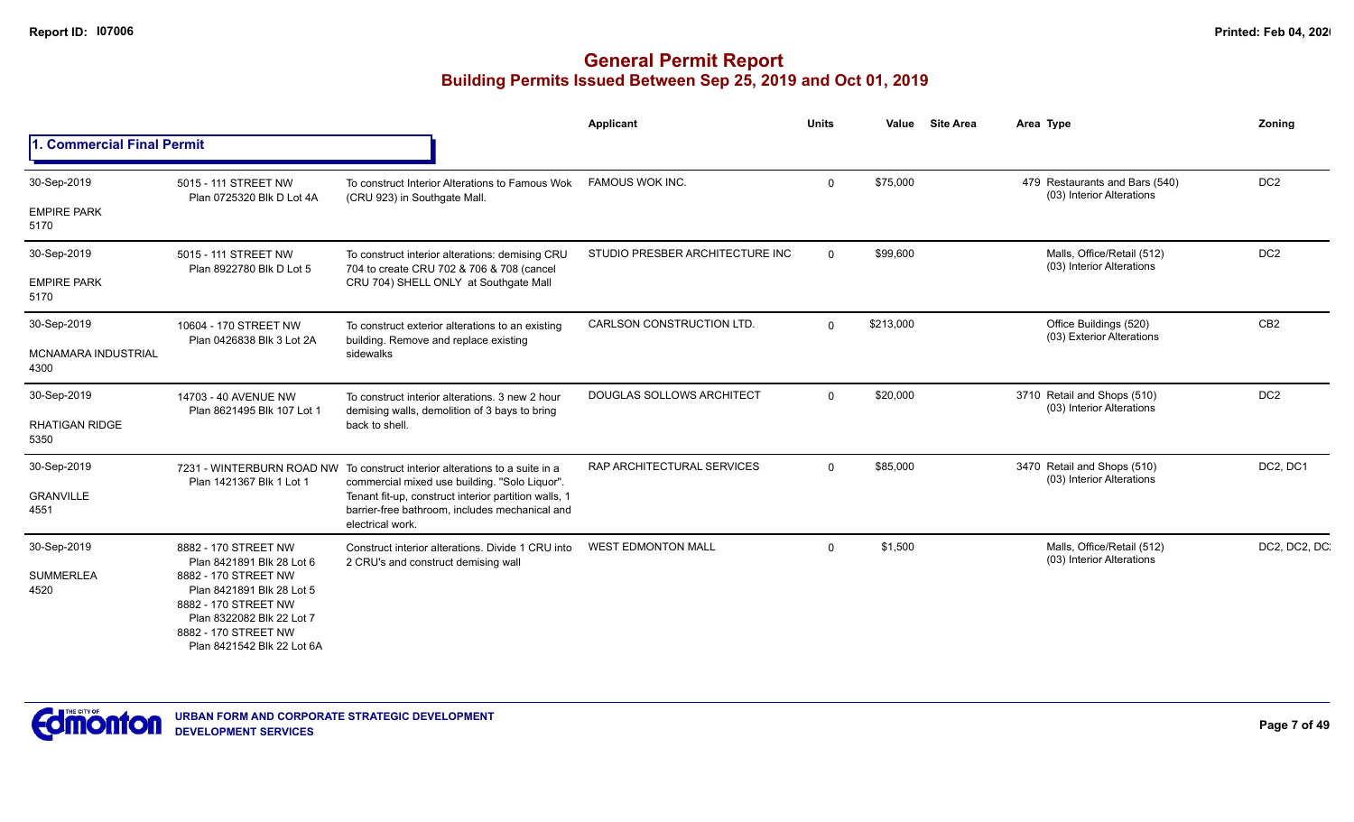|                                    |                                                                                                                                                              |                                                                                                        | <b>Applicant</b>                 | <b>Units</b> | Value     | <b>Site Area</b> | Area Type                                                   | Zoning          |
|------------------------------------|--------------------------------------------------------------------------------------------------------------------------------------------------------------|--------------------------------------------------------------------------------------------------------|----------------------------------|--------------|-----------|------------------|-------------------------------------------------------------|-----------------|
| 1. Commercial Final Permit         |                                                                                                                                                              |                                                                                                        |                                  |              |           |                  |                                                             |                 |
| 30-Sep-2019<br><b>EMPIRE PARK</b>  | 5015 - 111 STREET NW<br>Plan 0725320 Blk D Lot 4A                                                                                                            | To construct Interior Alterations to Famous Wok<br>(CRU 923) in Southgate Mall.                        | <b>FAMOUS WOK INC.</b>           | $\Omega$     | \$75,000  |                  | 479 Restaurants and Bars (540)<br>(03) Interior Alterations | DC <sub>2</sub> |
| 5170                               |                                                                                                                                                              |                                                                                                        |                                  |              |           |                  |                                                             |                 |
| 30-Sep-2019                        | 5015 - 111 STREET NW<br>Plan 8922780 Blk D Lot 5                                                                                                             | To construct interior alterations: demising CRU<br>704 to create CRU 702 & 706 & 708 (cancel           | STUDIO PRESBER ARCHITECTURE INC  | $\Omega$     | \$99,600  |                  | Malls, Office/Retail (512)<br>(03) Interior Alterations     | DC <sub>2</sub> |
| <b>EMPIRE PARK</b><br>5170         |                                                                                                                                                              | CRU 704) SHELL ONLY at Southgate Mall                                                                  |                                  |              |           |                  |                                                             |                 |
| 30-Sep-2019                        | 10604 - 170 STREET NW<br>Plan 0426838 Blk 3 Lot 2A                                                                                                           | To construct exterior alterations to an existing<br>building. Remove and replace existing              | CARLSON CONSTRUCTION LTD.        | $\Omega$     | \$213,000 |                  | Office Buildings (520)<br>(03) Exterior Alterations         | CB <sub>2</sub> |
| <b>MCNAMARA INDUSTRIAL</b><br>4300 |                                                                                                                                                              | sidewalks                                                                                              |                                  |              |           |                  |                                                             |                 |
| 30-Sep-2019                        | 14703 - 40 AVENUE NW<br>Plan 8621495 Blk 107 Lot 1                                                                                                           | To construct interior alterations, 3 new 2 hour<br>demising walls, demolition of 3 bays to bring       | <b>DOUGLAS SOLLOWS ARCHITECT</b> | $\Omega$     | \$20,000  |                  | 3710 Retail and Shops (510)<br>(03) Interior Alterations    | DC <sub>2</sub> |
| <b>RHATIGAN RIDGE</b><br>5350      |                                                                                                                                                              | back to shell.                                                                                         |                                  |              |           |                  |                                                             |                 |
| 30-Sep-2019                        |                                                                                                                                                              | 7231 - WINTERBURN ROAD NW To construct interior alterations to a suite in a                            | RAP ARCHITECTURAL SERVICES       | $\Omega$     | \$85,000  |                  | 3470 Retail and Shops (510)<br>(03) Interior Alterations    | DC2, DC1        |
| <b>GRANVILLE</b><br>4551           | Plan 1421367 Blk 1 Lot 1<br>commercial mixed use building. "Solo Liquor".<br>electrical work.                                                                | Tenant fit-up, construct interior partition walls, 1<br>barrier-free bathroom, includes mechanical and |                                  |              |           |                  |                                                             |                 |
| 30-Sep-2019                        | 8882 - 170 STREET NW<br>Plan 8421891 Blk 28 Lot 6                                                                                                            | Construct interior alterations. Divide 1 CRU into<br>2 CRU's and construct demising wall               | <b>WEST EDMONTON MALL</b>        | $\Omega$     | \$1,500   |                  | Malls, Office/Retail (512)<br>(03) Interior Alterations     | DC2, DC2, DC    |
| <b>SUMMERLEA</b><br>4520           | 8882 - 170 STREET NW<br>Plan 8421891 Blk 28 Lot 5<br>8882 - 170 STREET NW<br>Plan 8322082 Blk 22 Lot 7<br>8882 - 170 STREET NW<br>Plan 8421542 Blk 22 Lot 6A |                                                                                                        |                                  |              |           |                  |                                                             |                 |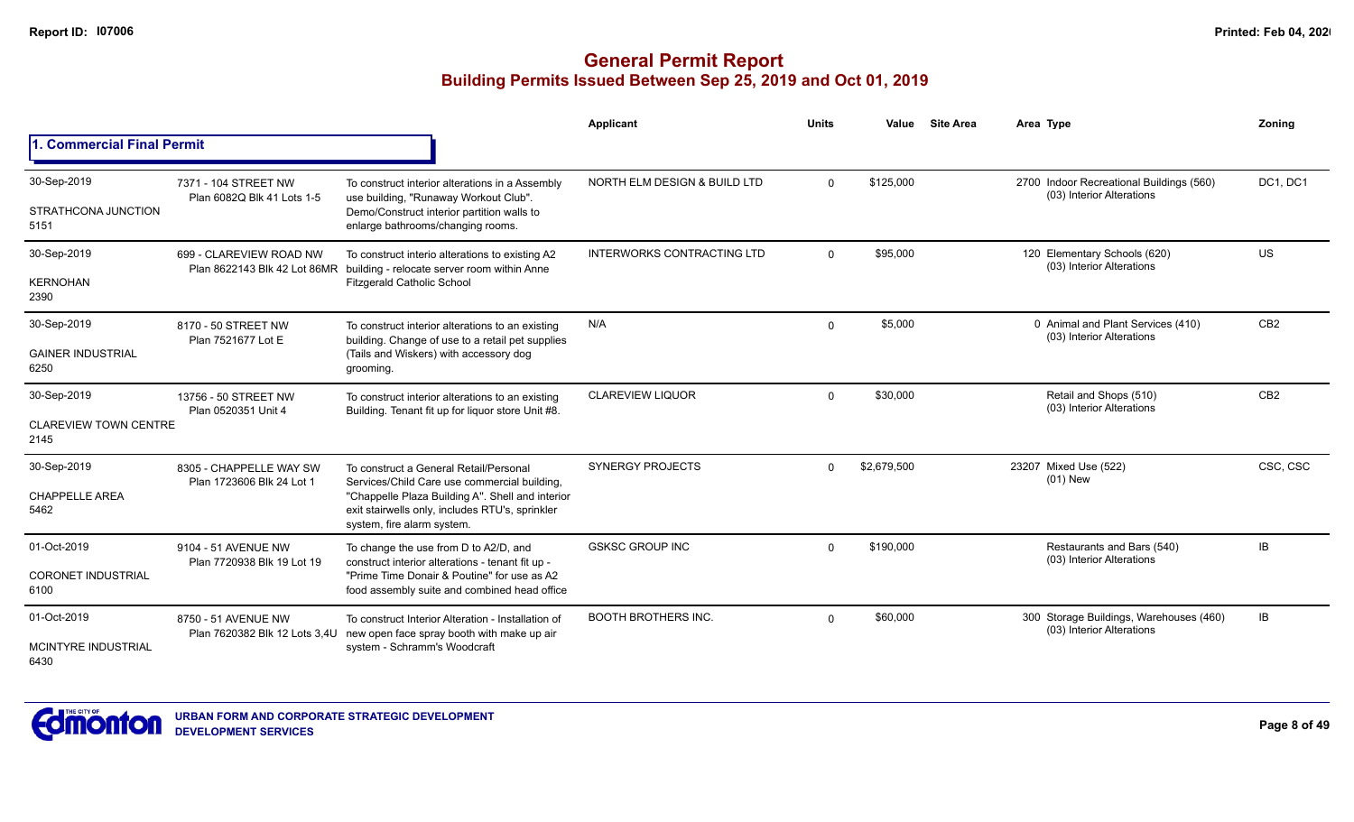|                                      |                                                      |                                                                                                                                   | Applicant                         | <b>Units</b> | Value       | <b>Site Area</b> | Area Type                                                             | Zoning          |
|--------------------------------------|------------------------------------------------------|-----------------------------------------------------------------------------------------------------------------------------------|-----------------------------------|--------------|-------------|------------------|-----------------------------------------------------------------------|-----------------|
| 1. Commercial Final Permit           |                                                      |                                                                                                                                   |                                   |              |             |                  |                                                                       |                 |
| 30-Sep-2019                          | 7371 - 104 STREET NW<br>Plan 6082Q Blk 41 Lots 1-5   | To construct interior alterations in a Assembly<br>use building, "Runaway Workout Club".                                          | NORTH ELM DESIGN & BUILD LTD      | $\Omega$     | \$125,000   |                  | 2700 Indoor Recreational Buildings (560)<br>(03) Interior Alterations | DC1, DC1        |
| STRATHCONA JUNCTION<br>5151          |                                                      | Demo/Construct interior partition walls to<br>enlarge bathrooms/changing rooms.                                                   |                                   |              |             |                  |                                                                       |                 |
| 30-Sep-2019                          | 699 - CLAREVIEW ROAD NW                              | To construct interio alterations to existing A2<br>Plan 8622143 Blk 42 Lot 86MR building - relocate server room within Anne       | <b>INTERWORKS CONTRACTING LTD</b> | $\Omega$     | \$95,000    |                  | 120 Elementary Schools (620)<br>(03) Interior Alterations             | <b>US</b>       |
| <b>KERNOHAN</b><br>2390              |                                                      | <b>Fitzgerald Catholic School</b>                                                                                                 |                                   |              |             |                  |                                                                       |                 |
| 30-Sep-2019                          | 8170 - 50 STREET NW<br>Plan 7521677 Lot E            | To construct interior alterations to an existing<br>building. Change of use to a retail pet supplies                              | N/A                               | $\Omega$     | \$5,000     |                  | 0 Animal and Plant Services (410)<br>(03) Interior Alterations        | CB <sub>2</sub> |
| <b>GAINER INDUSTRIAL</b><br>6250     |                                                      | (Tails and Wiskers) with accessory dog<br>grooming.                                                                               |                                   |              |             |                  |                                                                       |                 |
| 30-Sep-2019                          | 13756 - 50 STREET NW<br>Plan 0520351 Unit 4          | To construct interior alterations to an existing<br>Building. Tenant fit up for liquor store Unit #8.                             | <b>CLAREVIEW LIQUOR</b>           | $\Omega$     | \$30,000    |                  | Retail and Shops (510)<br>(03) Interior Alterations                   | CB <sub>2</sub> |
| <b>CLAREVIEW TOWN CENTRE</b><br>2145 |                                                      |                                                                                                                                   |                                   |              |             |                  |                                                                       |                 |
| 30-Sep-2019                          | 8305 - CHAPPELLE WAY SW<br>Plan 1723606 Blk 24 Lot 1 | To construct a General Retail/Personal<br>Services/Child Care use commercial building,                                            | <b>SYNERGY PROJECTS</b>           | $\Omega$     | \$2,679,500 |                  | 23207 Mixed Use (522)<br>$(01)$ New                                   | CSC, CSC        |
| <b>CHAPPELLE AREA</b><br>5462        |                                                      | "Chappelle Plaza Building A". Shell and interior<br>exit stairwells only, includes RTU's, sprinkler<br>system, fire alarm system. |                                   |              |             |                  |                                                                       |                 |
| 01-Oct-2019                          | 9104 - 51 AVENUE NW                                  | To change the use from D to A2/D, and<br>construct interior alterations - tenant fit up -                                         | <b>GSKSC GROUP INC</b>            | $\Omega$     | \$190,000   |                  | Restaurants and Bars (540)<br>(03) Interior Alterations               | IB              |
| <b>CORONET INDUSTRIAL</b><br>6100    | Plan 7720938 Blk 19 Lot 19                           | "Prime Time Donair & Poutine" for use as A2<br>food assembly suite and combined head office                                       |                                   |              |             |                  |                                                                       |                 |
| 01-Oct-2019                          | 8750 - 51 AVENUE NW<br>Plan 7620382 Blk 12 Lots 3,4U | To construct Interior Alteration - Installation of<br>new open face spray booth with make up air                                  | <b>BOOTH BROTHERS INC.</b>        | $\Omega$     | \$60,000    |                  | 300 Storage Buildings, Warehouses (460)<br>(03) Interior Alterations  | IB              |
| <b>MCINTYRE INDUSTRIAL</b><br>6430   |                                                      | system - Schramm's Woodcraft                                                                                                      |                                   |              |             |                  |                                                                       |                 |

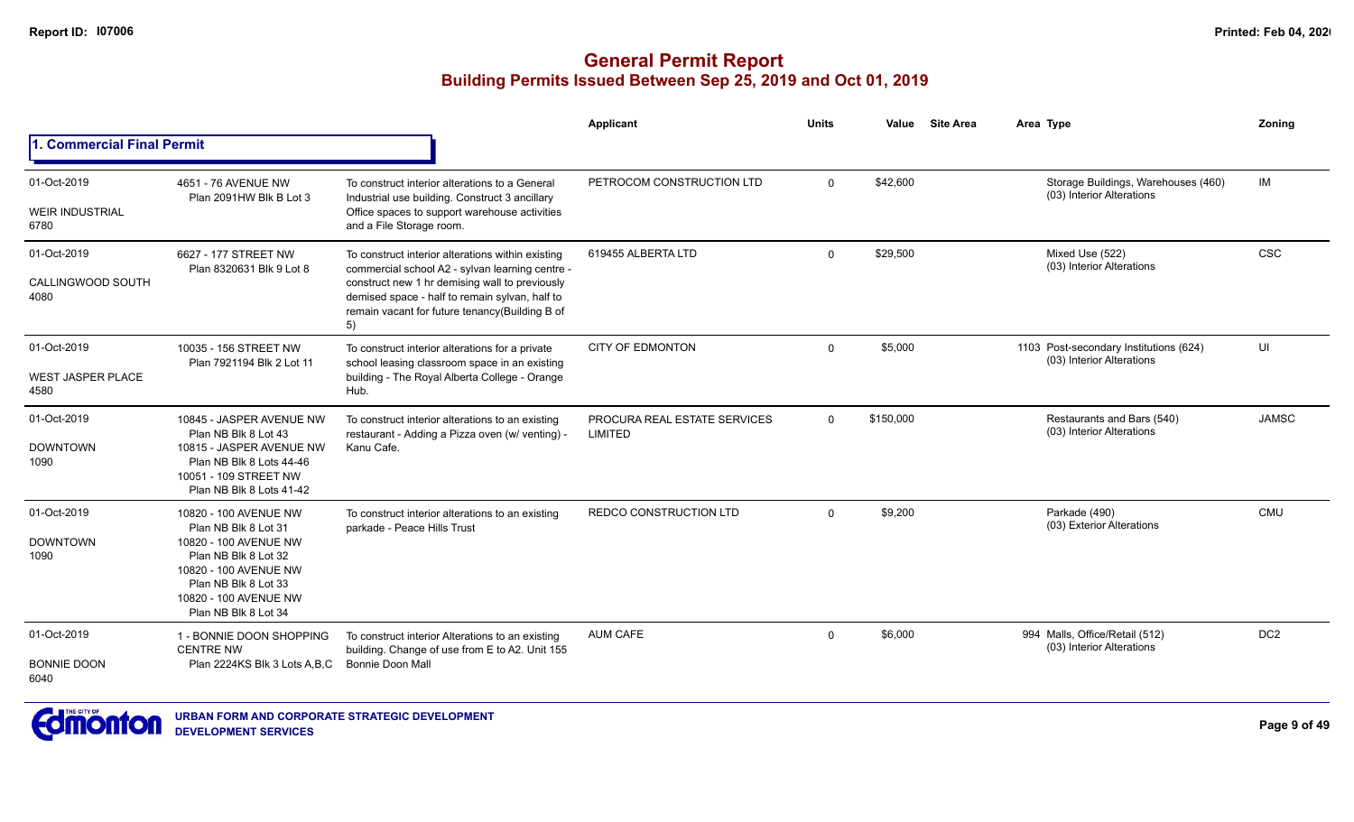|                                                 |                                                                                                                                                                                                  |                                                                                                                                                                                                                                                                  | <b>Applicant</b>                        | <b>Units</b> | Value     | <b>Site Area</b> | Area Type                                                           | Zoning          |
|-------------------------------------------------|--------------------------------------------------------------------------------------------------------------------------------------------------------------------------------------------------|------------------------------------------------------------------------------------------------------------------------------------------------------------------------------------------------------------------------------------------------------------------|-----------------------------------------|--------------|-----------|------------------|---------------------------------------------------------------------|-----------------|
| 1. Commercial Final Permit                      |                                                                                                                                                                                                  |                                                                                                                                                                                                                                                                  |                                         |              |           |                  |                                                                     |                 |
| 01-Oct-2019<br><b>WEIR INDUSTRIAL</b><br>6780   | 4651 - 76 AVENUE NW<br>Plan 2091HW Blk B Lot 3                                                                                                                                                   | To construct interior alterations to a General<br>Industrial use building. Construct 3 ancillary<br>Office spaces to support warehouse activities<br>and a File Storage room.                                                                                    | PETROCOM CONSTRUCTION LTD               | $\Omega$     | \$42,600  |                  | Storage Buildings, Warehouses (460)<br>(03) Interior Alterations    | <b>IM</b>       |
| 01-Oct-2019<br>CALLINGWOOD SOUTH<br>4080        | 6627 - 177 STREET NW<br>Plan 8320631 Blk 9 Lot 8                                                                                                                                                 | To construct interior alterations within existing<br>commercial school A2 - sylvan learning centre -<br>construct new 1 hr demising wall to previously<br>demised space - half to remain sylvan, half to<br>remain vacant for future tenancy(Building B of<br>5) | 619455 ALBERTA LTD                      | $\Omega$     | \$29,500  |                  | Mixed Use (522)<br>(03) Interior Alterations                        | <b>CSC</b>      |
| 01-Oct-2019<br><b>WEST JASPER PLACE</b><br>4580 | 10035 - 156 STREET NW<br>Plan 7921194 Blk 2 Lot 11                                                                                                                                               | To construct interior alterations for a private<br>school leasing classroom space in an existing<br>building - The Royal Alberta College - Orange<br>Hub.                                                                                                        | <b>CITY OF EDMONTON</b>                 | $\Omega$     | \$5,000   |                  | 1103 Post-secondary Institutions (624)<br>(03) Interior Alterations | UI              |
| 01-Oct-2019<br><b>DOWNTOWN</b><br>1090          | 10845 - JASPER AVENUE NW<br>Plan NB Blk 8 Lot 43<br>10815 - JASPER AVENUE NW<br>Plan NB Blk 8 Lots 44-46<br>10051 - 109 STREET NW<br>Plan NB Blk 8 Lots 41-42                                    | To construct interior alterations to an existing<br>restaurant - Adding a Pizza oven (w/ venting) -<br>Kanu Cafe.                                                                                                                                                | PROCURA REAL ESTATE SERVICES<br>LIMITED | $\mathbf{0}$ | \$150,000 |                  | Restaurants and Bars (540)<br>(03) Interior Alterations             | <b>JAMSC</b>    |
| 01-Oct-2019<br><b>DOWNTOWN</b><br>1090          | 10820 - 100 AVENUE NW<br>Plan NB Blk 8 Lot 31<br>10820 - 100 AVENUE NW<br>Plan NB Blk 8 Lot 32<br>10820 - 100 AVENUE NW<br>Plan NB Blk 8 Lot 33<br>10820 - 100 AVENUE NW<br>Plan NB Blk 8 Lot 34 | To construct interior alterations to an existing<br>parkade - Peace Hills Trust                                                                                                                                                                                  | REDCO CONSTRUCTION LTD                  | $\Omega$     | \$9,200   |                  | Parkade (490)<br>(03) Exterior Alterations                          | <b>CMU</b>      |
| 01-Oct-2019<br><b>BONNIE DOON</b><br>6040       | 1 - BONNIE DOON SHOPPING<br><b>CENTRE NW</b><br>Plan 2224KS Blk 3 Lots A.B.C                                                                                                                     | To construct interior Alterations to an existing<br>building. Change of use from E to A2. Unit 155<br><b>Bonnie Doon Mall</b>                                                                                                                                    | <b>AUM CAFE</b>                         | 0            | \$6,000   |                  | 994 Malls, Office/Retail (512)<br>(03) Interior Alterations         | DC <sub>2</sub> |

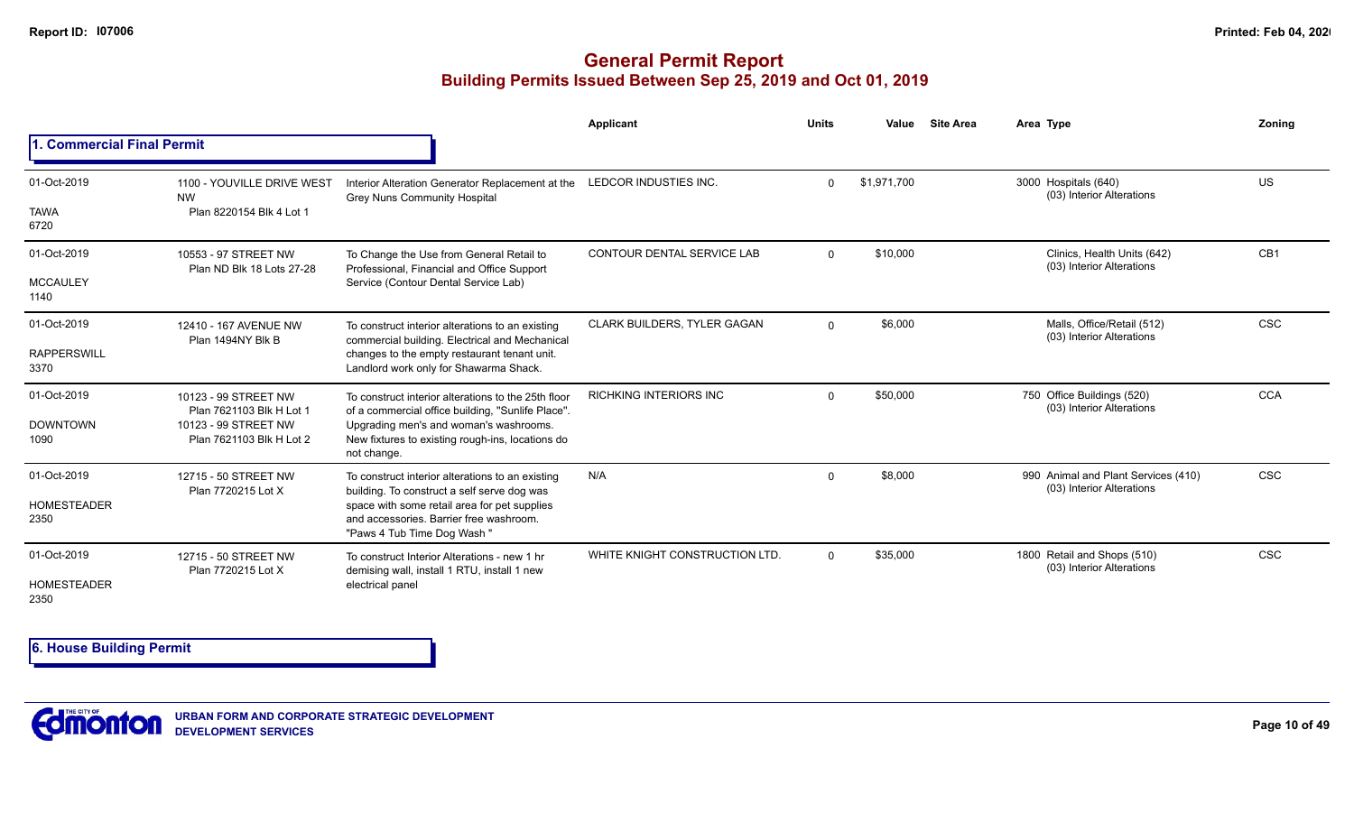## **General Permit Report Building Permits Issued Between Sep 25, 2019 and Oct 01, 2019**

|                            |                                                   |                                                                                                                       | Applicant                      | <b>Units</b> | Value       | <b>Site Area</b> | Area Type                                                        | Zoning          |
|----------------------------|---------------------------------------------------|-----------------------------------------------------------------------------------------------------------------------|--------------------------------|--------------|-------------|------------------|------------------------------------------------------------------|-----------------|
| 1. Commercial Final Permit |                                                   |                                                                                                                       |                                |              |             |                  |                                                                  |                 |
| 01-Oct-2019                | 1100 - YOUVILLE DRIVE WEST<br><b>NW</b>           | Interior Alteration Generator Replacement at the<br><b>Grey Nuns Community Hospital</b>                               | LEDCOR INDUSTIES INC.          | $\Omega$     | \$1,971,700 |                  | 3000 Hospitals (640)<br>(03) Interior Alterations                | <b>US</b>       |
| <b>TAWA</b><br>6720        | Plan 8220154 Blk 4 Lot 1                          |                                                                                                                       |                                |              |             |                  |                                                                  |                 |
| 01-Oct-2019                | 10553 - 97 STREET NW<br>Plan ND Blk 18 Lots 27-28 | To Change the Use from General Retail to<br>Professional, Financial and Office Support                                | CONTOUR DENTAL SERVICE LAB     | $\Omega$     | \$10,000    |                  | Clinics, Health Units (642)<br>(03) Interior Alterations         | CB <sub>1</sub> |
| <b>MCCAULEY</b><br>1140    |                                                   | Service (Contour Dental Service Lab)                                                                                  |                                |              |             |                  |                                                                  |                 |
| 01-Oct-2019                | 12410 - 167 AVENUE NW<br>Plan 1494NY Blk B        | To construct interior alterations to an existing<br>commercial building. Electrical and Mechanical                    | CLARK BUILDERS, TYLER GAGAN    | $\Omega$     | \$6,000     |                  | Malls, Office/Retail (512)<br>(03) Interior Alterations          | <b>CSC</b>      |
| <b>RAPPERSWILL</b><br>3370 |                                                   | changes to the empty restaurant tenant unit.<br>Landlord work only for Shawarma Shack.                                |                                |              |             |                  |                                                                  |                 |
| 01-Oct-2019                | 10123 - 99 STREET NW<br>Plan 7621103 Blk H Lot 1  | To construct interior alterations to the 25th floor<br>of a commercial office building, "Sunlife Place".              | <b>RICHKING INTERIORS INC</b>  | $\Omega$     | \$50,000    |                  | 750 Office Buildings (520)<br>(03) Interior Alterations          | <b>CCA</b>      |
| <b>DOWNTOWN</b><br>1090    | 10123 - 99 STREET NW<br>Plan 7621103 Blk H Lot 2  | Upgrading men's and woman's washrooms.<br>New fixtures to existing rough-ins, locations do<br>not change.             |                                |              |             |                  |                                                                  |                 |
| 01-Oct-2019                | 12715 - 50 STREET NW<br>Plan 7720215 Lot X        | To construct interior alterations to an existing<br>building. To construct a self serve dog was                       | N/A                            | $\Omega$     | \$8,000     |                  | 990 Animal and Plant Services (410)<br>(03) Interior Alterations | <b>CSC</b>      |
| <b>HOMESTEADER</b><br>2350 |                                                   | space with some retail area for pet supplies<br>and accessories. Barrier free washroom.<br>"Paws 4 Tub Time Dog Wash" |                                |              |             |                  |                                                                  |                 |
| 01-Oct-2019                | 12715 - 50 STREET NW<br>Plan 7720215 Lot X        | To construct Interior Alterations - new 1 hr<br>demising wall, install 1 RTU, install 1 new                           | WHITE KNIGHT CONSTRUCTION LTD. | $\Omega$     | \$35,000    |                  | 1800 Retail and Shops (510)<br>(03) Interior Alterations         | <b>CSC</b>      |
| <b>HOMESTEADER</b><br>2350 |                                                   | electrical panel                                                                                                      |                                |              |             |                  |                                                                  |                 |

**6. House Building Permit**

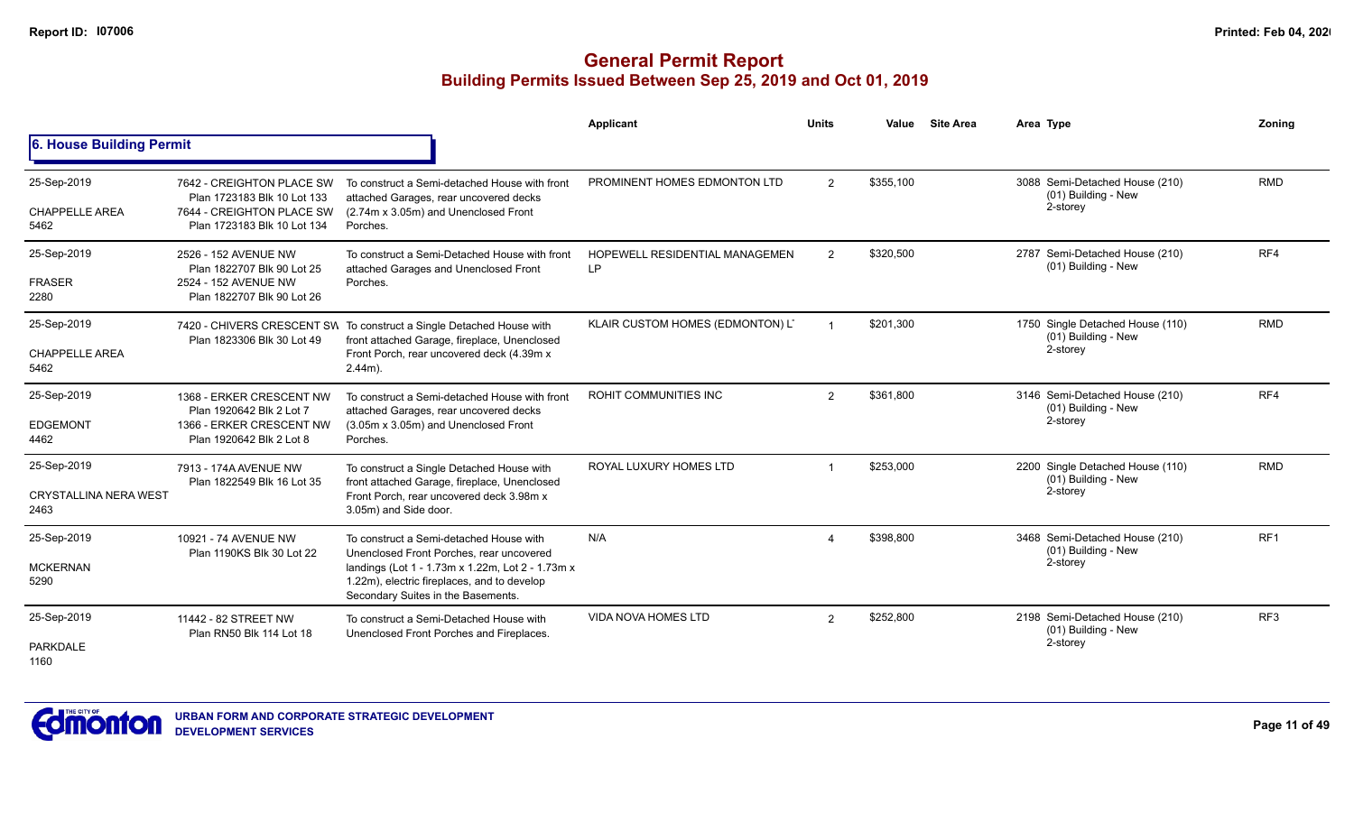|                                                     |                                                                                                                      |                                                                                                                                                                                                                              | <b>Applicant</b>                            | <b>Units</b>   | Value     | <b>Site Area</b> | Area Type                                                           | Zoning          |
|-----------------------------------------------------|----------------------------------------------------------------------------------------------------------------------|------------------------------------------------------------------------------------------------------------------------------------------------------------------------------------------------------------------------------|---------------------------------------------|----------------|-----------|------------------|---------------------------------------------------------------------|-----------------|
| 6. House Building Permit                            |                                                                                                                      |                                                                                                                                                                                                                              |                                             |                |           |                  |                                                                     |                 |
| 25-Sep-2019<br><b>CHAPPELLE AREA</b><br>5462        | 7642 - CREIGHTON PLACE SW<br>Plan 1723183 Blk 10 Lot 133<br>7644 - CREIGHTON PLACE SW<br>Plan 1723183 Blk 10 Lot 134 | To construct a Semi-detached House with front<br>attached Garages, rear uncovered decks<br>(2.74m x 3.05m) and Unenclosed Front<br>Porches.                                                                                  | PROMINENT HOMES EDMONTON LTD                | $\overline{2}$ | \$355,100 |                  | 3088 Semi-Detached House (210)<br>(01) Building - New<br>2-storey   | <b>RMD</b>      |
| 25-Sep-2019<br><b>FRASER</b><br>2280                | 2526 - 152 AVENUE NW<br>Plan 1822707 Blk 90 Lot 25<br>2524 - 152 AVENUE NW<br>Plan 1822707 Blk 90 Lot 26             | To construct a Semi-Detached House with front<br>attached Garages and Unenclosed Front<br>Porches.                                                                                                                           | HOPEWELL RESIDENTIAL MANAGEMEN<br><b>LP</b> | $\overline{2}$ | \$320,500 |                  | 2787 Semi-Detached House (210)<br>(01) Building - New               | RF4             |
| 25-Sep-2019<br><b>CHAPPELLE AREA</b><br>5462        | Plan 1823306 Blk 30 Lot 49                                                                                           | 7420 - CHIVERS CRESCENT SW To construct a Single Detached House with<br>front attached Garage, fireplace, Unenclosed<br>Front Porch, rear uncovered deck (4.39m x<br>$2.44m$ ).                                              | KLAIR CUSTOM HOMES (EDMONTON) L'            |                | \$201.300 |                  | 1750 Single Detached House (110)<br>(01) Building - New<br>2-storey | <b>RMD</b>      |
| 25-Sep-2019<br><b>EDGEMONT</b><br>4462              | 1368 - ERKER CRESCENT NW<br>Plan 1920642 Blk 2 Lot 7<br>1366 - ERKER CRESCENT NW<br>Plan 1920642 Blk 2 Lot 8         | To construct a Semi-detached House with front<br>attached Garages, rear uncovered decks<br>(3.05m x 3.05m) and Unenclosed Front<br>Porches.                                                                                  | <b>ROHIT COMMUNITIES INC</b>                | $\overline{2}$ | \$361,800 |                  | 3146 Semi-Detached House (210)<br>(01) Building - New<br>2-storey   | RF4             |
| 25-Sep-2019<br><b>CRYSTALLINA NERA WEST</b><br>2463 | 7913 - 174A AVENUE NW<br>Plan 1822549 Blk 16 Lot 35                                                                  | To construct a Single Detached House with<br>front attached Garage, fireplace, Unenclosed<br>Front Porch, rear uncovered deck 3.98m x<br>3.05m) and Side door.                                                               | ROYAL LUXURY HOMES LTD                      |                | \$253,000 |                  | 2200 Single Detached House (110)<br>(01) Building - New<br>2-storey | <b>RMD</b>      |
| 25-Sep-2019<br><b>MCKERNAN</b><br>5290              | 10921 - 74 AVENUE NW<br>Plan 1190KS Blk 30 Lot 22                                                                    | To construct a Semi-detached House with<br>Unenclosed Front Porches, rear uncovered<br>landings (Lot 1 - 1.73m x 1.22m, Lot 2 - 1.73m x<br>1.22m), electric fireplaces, and to develop<br>Secondary Suites in the Basements. | N/A                                         |                | \$398,800 |                  | 3468 Semi-Detached House (210)<br>(01) Building - New<br>2-storey   | RF <sub>1</sub> |
| 25-Sep-2019<br><b>PARKDALE</b><br>1160              | 11442 - 82 STREET NW<br>Plan RN50 Blk 114 Lot 18                                                                     | To construct a Semi-Detached House with<br>Unenclosed Front Porches and Fireplaces.                                                                                                                                          | <b>VIDA NOVA HOMES LTD</b>                  | $\mathcal{P}$  | \$252,800 |                  | 2198 Semi-Detached House (210)<br>(01) Building - New<br>2-storey   | RF <sub>3</sub> |

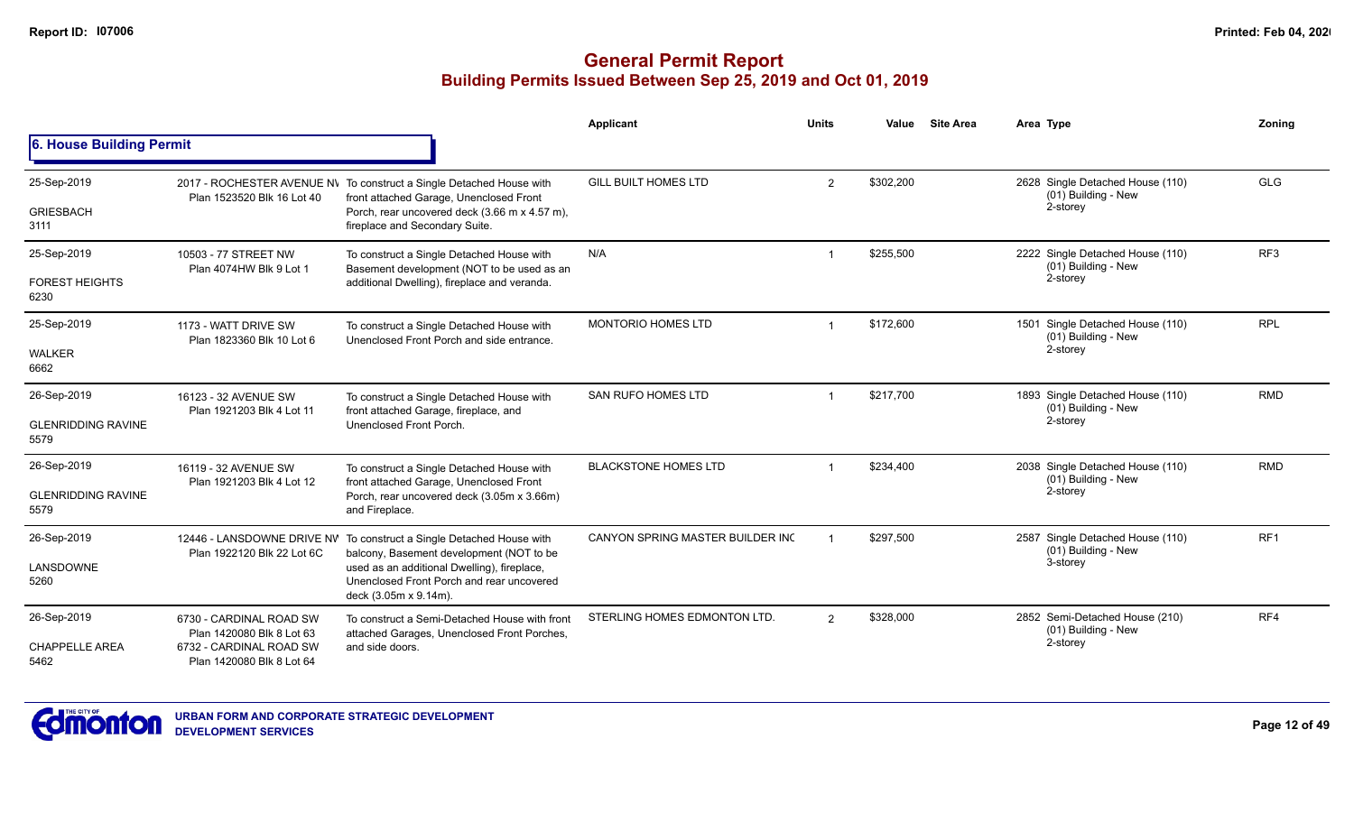|                                   |                                                      |                                                                                                                                                                  | Applicant                        | <b>Units</b>   | Value     | <b>Site Area</b> | Area Type                                                           | Zoning          |
|-----------------------------------|------------------------------------------------------|------------------------------------------------------------------------------------------------------------------------------------------------------------------|----------------------------------|----------------|-----------|------------------|---------------------------------------------------------------------|-----------------|
| 6. House Building Permit          |                                                      |                                                                                                                                                                  |                                  |                |           |                  |                                                                     |                 |
| 25-Sep-2019<br><b>GRIESBACH</b>   | Plan 1523520 Blk 16 Lot 40                           | 2017 - ROCHESTER AVENUE NV To construct a Single Detached House with<br>front attached Garage, Unenclosed Front<br>Porch, rear uncovered deck (3.66 m x 4.57 m), | <b>GILL BUILT HOMES LTD</b>      | 2              | \$302,200 |                  | 2628 Single Detached House (110)<br>(01) Building - New<br>2-storey | GLG             |
| 3111                              |                                                      | fireplace and Secondary Suite.                                                                                                                                   |                                  |                |           |                  |                                                                     |                 |
| 25-Sep-2019                       | 10503 - 77 STREET NW<br>Plan 4074HW Blk 9 Lot 1      | To construct a Single Detached House with<br>Basement development (NOT to be used as an                                                                          | N/A                              |                | \$255,500 |                  | 2222 Single Detached House (110)<br>(01) Building - New             | RF <sub>3</sub> |
| <b>FOREST HEIGHTS</b><br>6230     |                                                      | additional Dwelling), fireplace and veranda.                                                                                                                     |                                  |                |           |                  | 2-storey                                                            |                 |
| 25-Sep-2019                       | 1173 - WATT DRIVE SW<br>Plan 1823360 Blk 10 Lot 6    | To construct a Single Detached House with<br>Unenclosed Front Porch and side entrance.                                                                           | <b>MONTORIO HOMES LTD</b>        |                | \$172,600 |                  | 1501 Single Detached House (110)<br>(01) Building - New             | <b>RPL</b>      |
| <b>WALKER</b><br>6662             |                                                      |                                                                                                                                                                  |                                  |                |           |                  | 2-storey                                                            |                 |
| 26-Sep-2019                       | 16123 - 32 AVENUE SW<br>Plan 1921203 Blk 4 Lot 11    | To construct a Single Detached House with<br>front attached Garage, fireplace, and                                                                               | <b>SAN RUFO HOMES LTD</b>        |                | \$217.700 |                  | 1893 Single Detached House (110)<br>(01) Building - New             | <b>RMD</b>      |
| <b>GLENRIDDING RAVINE</b><br>5579 |                                                      | Unenclosed Front Porch.                                                                                                                                          |                                  |                |           |                  | 2-storey                                                            |                 |
| 26-Sep-2019                       | 16119 - 32 AVENUE SW<br>Plan 1921203 Blk 4 Lot 12    | To construct a Single Detached House with<br>front attached Garage, Unenclosed Front                                                                             | <b>BLACKSTONE HOMES LTD</b>      |                | \$234,400 |                  | 2038 Single Detached House (110)<br>(01) Building - New             | <b>RMD</b>      |
| <b>GLENRIDDING RAVINE</b><br>5579 |                                                      | Porch, rear uncovered deck (3.05m x 3.66m)<br>and Fireplace.                                                                                                     |                                  |                |           |                  | 2-storey                                                            |                 |
| 26-Sep-2019                       | Plan 1922120 Blk 22 Lot 6C                           | 12446 - LANSDOWNE DRIVE NV To construct a Single Detached House with<br>balcony, Basement development (NOT to be                                                 | CANYON SPRING MASTER BUILDER INC |                | \$297,500 |                  | 2587 Single Detached House (110)<br>(01) Building - New             | RF <sub>1</sub> |
| LANSDOWNE<br>5260                 |                                                      | used as an additional Dwelling), fireplace,<br>Unenclosed Front Porch and rear uncovered<br>deck (3.05m x 9.14m).                                                |                                  |                |           |                  | 3-storey                                                            |                 |
| 26-Sep-2019                       | 6730 - CARDINAL ROAD SW<br>Plan 1420080 Blk 8 Lot 63 | To construct a Semi-Detached House with front<br>attached Garages, Unenclosed Front Porches,                                                                     | STERLING HOMES EDMONTON LTD.     | $\mathfrak{p}$ | \$328,000 |                  | 2852 Semi-Detached House (210)<br>(01) Building - New               | RF4             |
| <b>CHAPPELLE AREA</b><br>5462     | 6732 - CARDINAL ROAD SW<br>Plan 1420080 Blk 8 Lot 64 | and side doors.                                                                                                                                                  |                                  |                |           |                  | 2-storey                                                            |                 |

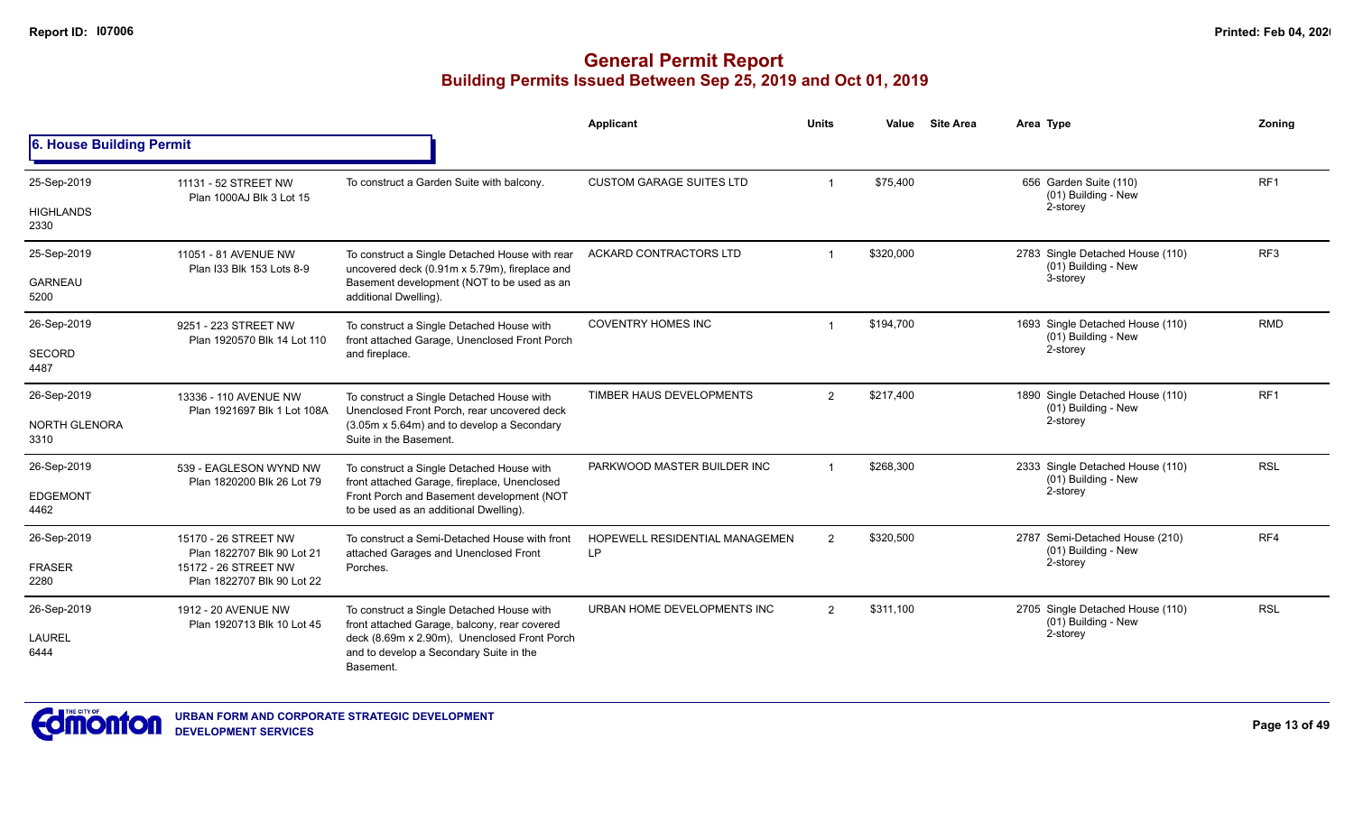|                          |                                                                                                                                                                                    |                                                                                                 | Applicant                             | <b>Units</b>   | Value     | <b>Site Area</b> | Area Type                                               | Zonina          |
|--------------------------|------------------------------------------------------------------------------------------------------------------------------------------------------------------------------------|-------------------------------------------------------------------------------------------------|---------------------------------------|----------------|-----------|------------------|---------------------------------------------------------|-----------------|
| 6. House Building Permit |                                                                                                                                                                                    |                                                                                                 |                                       |                |           |                  |                                                         |                 |
| 25-Sep-2019              | 11131 - 52 STREET NW<br>Plan 1000AJ Blk 3 Lot 15                                                                                                                                   | To construct a Garden Suite with balcony.                                                       | <b>CUSTOM GARAGE SUITES LTD</b>       |                | \$75,400  |                  | 656 Garden Suite (110)<br>(01) Building - New           | RF1             |
| <b>HIGHLANDS</b><br>2330 |                                                                                                                                                                                    |                                                                                                 |                                       |                |           |                  | 2-storey                                                |                 |
| 25-Sep-2019              | 11051 - 81 AVENUE NW<br>Plan I33 Blk 153 Lots 8-9                                                                                                                                  | To construct a Single Detached House with rear<br>uncovered deck (0.91m x 5.79m), fireplace and | ACKARD CONTRACTORS LTD                |                | \$320,000 |                  | 2783 Single Detached House (110)<br>(01) Building - New | RF <sub>3</sub> |
| <b>GARNEAU</b><br>5200   |                                                                                                                                                                                    | Basement development (NOT to be used as an<br>additional Dwelling).                             |                                       |                |           |                  | 3-storey                                                |                 |
| 26-Sep-2019              | 9251 - 223 STREET NW<br>Plan 1920570 Blk 14 Lot 110                                                                                                                                | To construct a Single Detached House with<br>front attached Garage, Unenclosed Front Porch      | <b>COVENTRY HOMES INC</b>             |                | \$194,700 |                  | 1693 Single Detached House (110)<br>(01) Building - New | <b>RMD</b>      |
| SECORD<br>4487           |                                                                                                                                                                                    | and fireplace.                                                                                  |                                       |                |           |                  | 2-storey                                                |                 |
| 26-Sep-2019              | 13336 - 110 AVENUE NW<br>Plan 1921697 Blk 1 Lot 108A                                                                                                                               | To construct a Single Detached House with<br>Unenclosed Front Porch, rear uncovered deck        | TIMBER HAUS DEVELOPMENTS              | $\overline{2}$ | \$217,400 |                  | 1890 Single Detached House (110)<br>(01) Building - New | RF <sub>1</sub> |
| NORTH GLENORA<br>3310    |                                                                                                                                                                                    | (3.05m x 5.64m) and to develop a Secondary<br>Suite in the Basement.                            |                                       |                |           |                  | 2-storey                                                |                 |
| 26-Sep-2019              | 539 - EAGLESON WYND NW<br>Plan 1820200 Blk 26 Lot 79                                                                                                                               | To construct a Single Detached House with<br>front attached Garage, fireplace, Unenclosed       | PARKWOOD MASTER BUILDER INC           |                | \$268.300 |                  | 2333 Single Detached House (110)<br>(01) Building - New | <b>RSL</b>      |
| <b>EDGEMONT</b><br>4462  |                                                                                                                                                                                    | Front Porch and Basement development (NOT<br>to be used as an additional Dwelling).             |                                       |                |           |                  | 2-storey                                                |                 |
| 26-Sep-2019              | 15170 - 26 STREET NW                                                                                                                                                               | To construct a Semi-Detached House with front<br>attached Garages and Unenclosed Front          | <b>HOPEWELL RESIDENTIAL MANAGEMEN</b> | $\overline{2}$ | \$320,500 |                  | 2787 Semi-Detached House (210)<br>(01) Building - New   | RF4             |
| <b>FRASER</b><br>2280    | Plan 1822707 Blk 90 Lot 21<br>15172 - 26 STREET NW<br>Plan 1822707 Blk 90 Lot 22                                                                                                   | Porches.                                                                                        | LP                                    |                |           |                  | 2-storey                                                |                 |
| 26-Sep-2019              | 1912 - 20 AVENUE NW                                                                                                                                                                | To construct a Single Detached House with                                                       | URBAN HOME DEVELOPMENTS INC           | $\overline{2}$ | \$311,100 |                  | 2705 Single Detached House (110)<br>(01) Building - New | <b>RSL</b>      |
| <b>LAUREL</b><br>6444    | front attached Garage, balcony, rear covered<br>Plan 1920713 Blk 10 Lot 45<br>deck (8.69m x 2.90m), Unenclosed Front Porch<br>and to develop a Secondary Suite in the<br>Basement. |                                                                                                 |                                       |                |           |                  | 2-storey                                                |                 |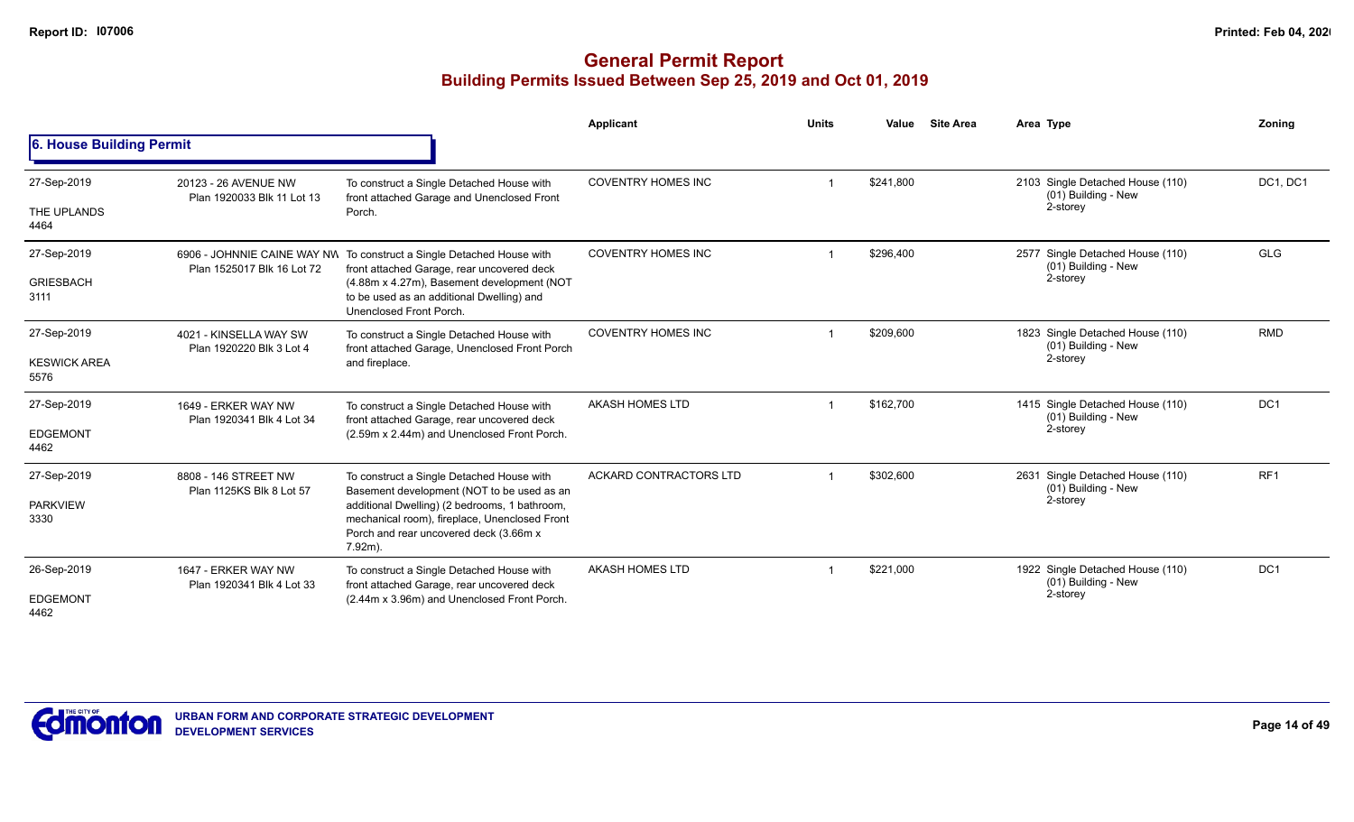|                             |                                                    |                                                                                                                                                        | Applicant                     | <b>Units</b> | Value     | <b>Site Area</b> | Area Type                                               | Zoning                             |
|-----------------------------|----------------------------------------------------|--------------------------------------------------------------------------------------------------------------------------------------------------------|-------------------------------|--------------|-----------|------------------|---------------------------------------------------------|------------------------------------|
| 6. House Building Permit    |                                                    |                                                                                                                                                        |                               |              |           |                  |                                                         |                                    |
| 27-Sep-2019                 | 20123 - 26 AVENUE NW<br>Plan 1920033 Blk 11 Lot 13 | To construct a Single Detached House with<br>front attached Garage and Unenclosed Front                                                                | <b>COVENTRY HOMES INC</b>     |              | \$241,800 |                  | 2103 Single Detached House (110)<br>(01) Building - New | DC1, DC1                           |
| THE UPLANDS<br>4464         |                                                    | Porch.                                                                                                                                                 |                               |              |           |                  | 2-storey                                                |                                    |
| 27-Sep-2019                 | Plan 1525017 Blk 16 Lot 72                         | 6906 - JOHNNIE CAINE WAY NW To construct a Single Detached House with<br>front attached Garage, rear uncovered deck                                    | <b>COVENTRY HOMES INC</b>     |              | \$296.400 |                  | 2577 Single Detached House (110)<br>(01) Building - New | <b>GLG</b>                         |
| <b>GRIESBACH</b><br>3111    |                                                    | (4.88m x 4.27m), Basement development (NOT<br>to be used as an additional Dwelling) and<br>Unenclosed Front Porch.                                     |                               |              |           |                  | 2-storey                                                |                                    |
| 27-Sep-2019                 | 4021 - KINSELLA WAY SW<br>Plan 1920220 Blk 3 Lot 4 | To construct a Single Detached House with<br>front attached Garage, Unenclosed Front Porch                                                             | <b>COVENTRY HOMES INC</b>     |              | \$209.600 |                  | 1823 Single Detached House (110)<br>(01) Building - New | <b>RMD</b>                         |
| <b>KESWICK AREA</b><br>5576 |                                                    | and fireplace.                                                                                                                                         |                               |              |           |                  | 2-storey                                                |                                    |
| 27-Sep-2019                 | 1649 - ERKER WAY NW<br>Plan 1920341 Blk 4 Lot 34   | To construct a Single Detached House with<br>front attached Garage, rear uncovered deck                                                                | AKASH HOMES LTD               |              | \$162,700 |                  | 1415 Single Detached House (110)<br>(01) Building - New | DC <sub>1</sub><br>RF <sub>1</sub> |
| <b>EDGEMONT</b><br>4462     |                                                    | (2.59m x 2.44m) and Unenclosed Front Porch.                                                                                                            |                               |              |           |                  | 2-storey                                                |                                    |
| 27-Sep-2019                 | 8808 - 146 STREET NW<br>Plan 1125KS Blk 8 Lot 57   | To construct a Single Detached House with<br>Basement development (NOT to be used as an                                                                | <b>ACKARD CONTRACTORS LTD</b> |              | \$302,600 |                  | 2631 Single Detached House (110)<br>(01) Building - New |                                    |
| <b>PARKVIEW</b><br>3330     |                                                    | additional Dwelling) (2 bedrooms, 1 bathroom,<br>mechanical room), fireplace, Unenclosed Front<br>Porch and rear uncovered deck (3.66m x<br>$7.92m$ ). |                               |              |           |                  | 2-storey                                                |                                    |
| 26-Sep-2019                 | 1647 - ERKER WAY NW<br>Plan 1920341 Blk 4 Lot 33   | To construct a Single Detached House with<br>front attached Garage, rear uncovered deck                                                                | AKASH HOMES LTD               |              | \$221,000 |                  | 1922 Single Detached House (110)<br>(01) Building - New | DC <sub>1</sub>                    |
| <b>EDGEMONT</b><br>4462     |                                                    | (2.44m x 3.96m) and Unenclosed Front Porch.                                                                                                            |                               |              |           |                  | 2-storey                                                |                                    |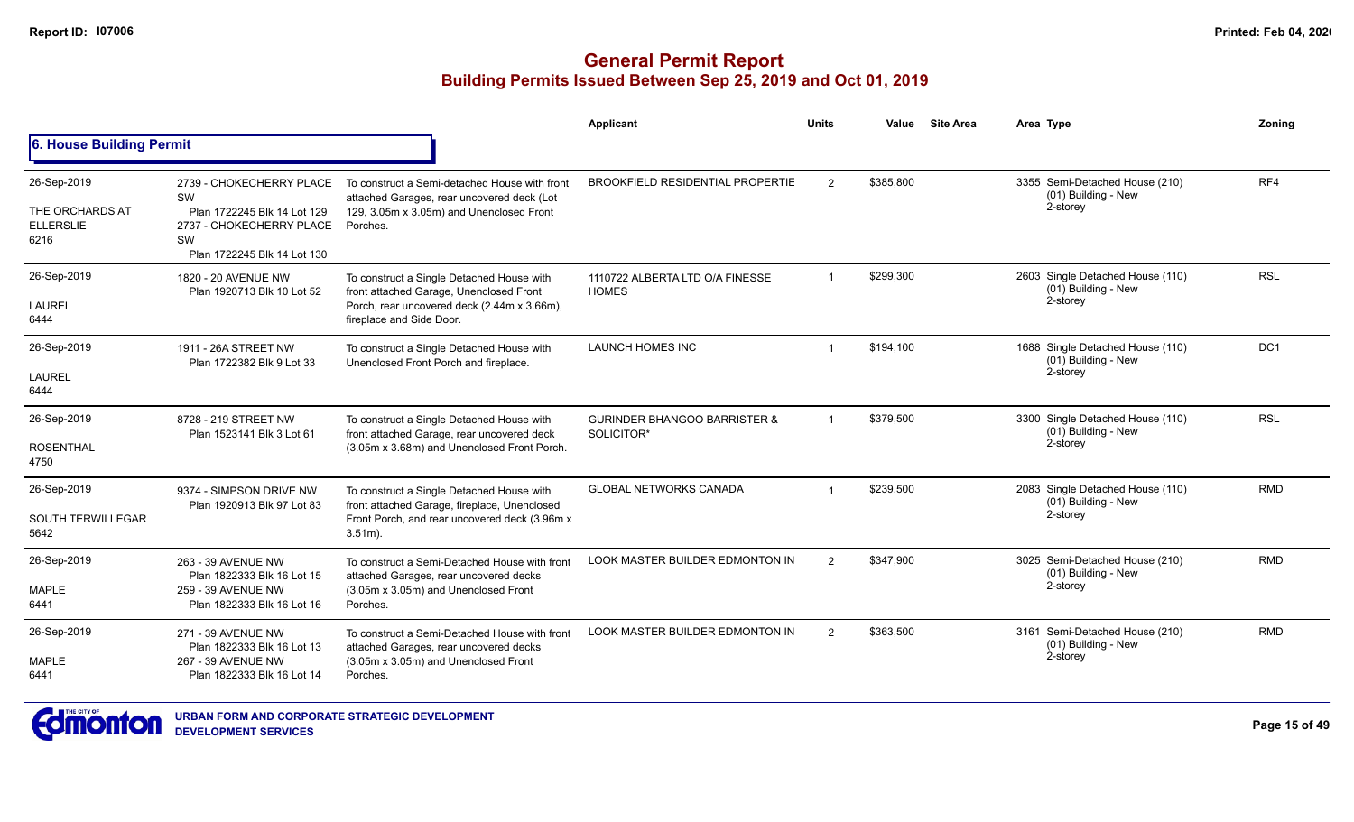|                                                            |                                                                                                                                |                                                                                                                                                                 | Applicant                                             | <b>Units</b>  | Value     | <b>Site Area</b> | Area Type                                                             | Zonina     |
|------------------------------------------------------------|--------------------------------------------------------------------------------------------------------------------------------|-----------------------------------------------------------------------------------------------------------------------------------------------------------------|-------------------------------------------------------|---------------|-----------|------------------|-----------------------------------------------------------------------|------------|
| 6. House Building Permit                                   |                                                                                                                                |                                                                                                                                                                 |                                                       |               |           |                  |                                                                       |            |
| 26-Sep-2019<br>THE ORCHARDS AT<br><b>ELLERSLIE</b><br>6216 | 2739 - CHOKECHERRY PLACE<br>SW<br>Plan 1722245 Blk 14 Lot 129<br>2737 - CHOKECHERRY PLACE<br>SW<br>Plan 1722245 Blk 14 Lot 130 | To construct a Semi-detached House with front<br>attached Garages, rear uncovered deck (Lot<br>129, 3.05m x 3.05m) and Unenclosed Front<br>Porches.             | <b>BROOKFIELD RESIDENTIAL PROPERTIE</b>               | 2             | \$385,800 |                  | 3355 Semi-Detached House (210)<br>(01) Building - New<br>2-storey     | RF4        |
| 26-Sep-2019<br><b>LAUREL</b><br>6444                       | 1820 - 20 AVENUE NW<br>Plan 1920713 Blk 10 Lot 52                                                                              | To construct a Single Detached House with<br>front attached Garage, Unenclosed Front<br>Porch, rear uncovered deck (2.44m x 3.66m),<br>fireplace and Side Door. | 1110722 ALBERTA LTD O/A FINESSE<br><b>HOMES</b>       |               | \$299.300 |                  | 2603 Single Detached House (110)<br>(01) Building - New<br>2-storey   | <b>RSL</b> |
| 26-Sep-2019<br>LAUREL<br>6444                              | 1911 - 26A STREET NW<br>Plan 1722382 Blk 9 Lot 33                                                                              | To construct a Single Detached House with<br>Unenclosed Front Porch and fireplace.                                                                              | <b>LAUNCH HOMES INC</b>                               |               | \$194,100 |                  | 1688 Single Detached House (110)<br>$(01)$ Building - New<br>2-storey | DC1        |
| 26-Sep-2019<br><b>ROSENTHAL</b><br>4750                    | 8728 - 219 STREET NW<br>Plan 1523141 Blk 3 Lot 61                                                                              | To construct a Single Detached House with<br>front attached Garage, rear uncovered deck<br>(3.05m x 3.68m) and Unenclosed Front Porch.                          | <b>GURINDER BHANGOO BARRISTER &amp;</b><br>SOLICITOR* |               | \$379,500 |                  | 3300 Single Detached House (110)<br>$(01)$ Building - New<br>2-storey | <b>RSL</b> |
| 26-Sep-2019<br><b>SOUTH TERWILLEGAR</b><br>5642            | 9374 - SIMPSON DRIVE NW<br>Plan 1920913 Blk 97 Lot 83                                                                          | To construct a Single Detached House with<br>front attached Garage, fireplace, Unenclosed<br>Front Porch, and rear uncovered deck (3.96m x<br>$3.51m$ ).        | <b>GLOBAL NETWORKS CANADA</b>                         |               | \$239,500 |                  | 2083 Single Detached House (110)<br>$(01)$ Building - New<br>2-storey | <b>RMD</b> |
| 26-Sep-2019<br>MAPLE<br>6441                               | 263 - 39 AVENUE NW<br>Plan 1822333 Blk 16 Lot 15<br>259 - 39 AVENUE NW<br>Plan 1822333 Blk 16 Lot 16                           | To construct a Semi-Detached House with front<br>attached Garages, rear uncovered decks<br>(3.05m x 3.05m) and Unenclosed Front<br>Porches.                     | LOOK MASTER BUILDER EDMONTON IN                       | $\mathcal{P}$ | \$347.900 |                  | 3025 Semi-Detached House (210)<br>(01) Building - New<br>2-storey     | <b>RMD</b> |
| 26-Sep-2019<br>MAPLE<br>6441                               | 271 - 39 AVENUE NW<br>Plan 1822333 Blk 16 Lot 13<br>267 - 39 AVENUE NW<br>Plan 1822333 Blk 16 Lot 14                           | To construct a Semi-Detached House with front<br>attached Garages, rear uncovered decks<br>(3.05m x 3.05m) and Unenclosed Front<br>Porches.                     | LOOK MASTER BUILDER EDMONTON IN                       | $\mathcal{P}$ | \$363,500 |                  | 3161 Semi-Detached House (210)<br>(01) Building - New<br>2-storey     | <b>RMD</b> |

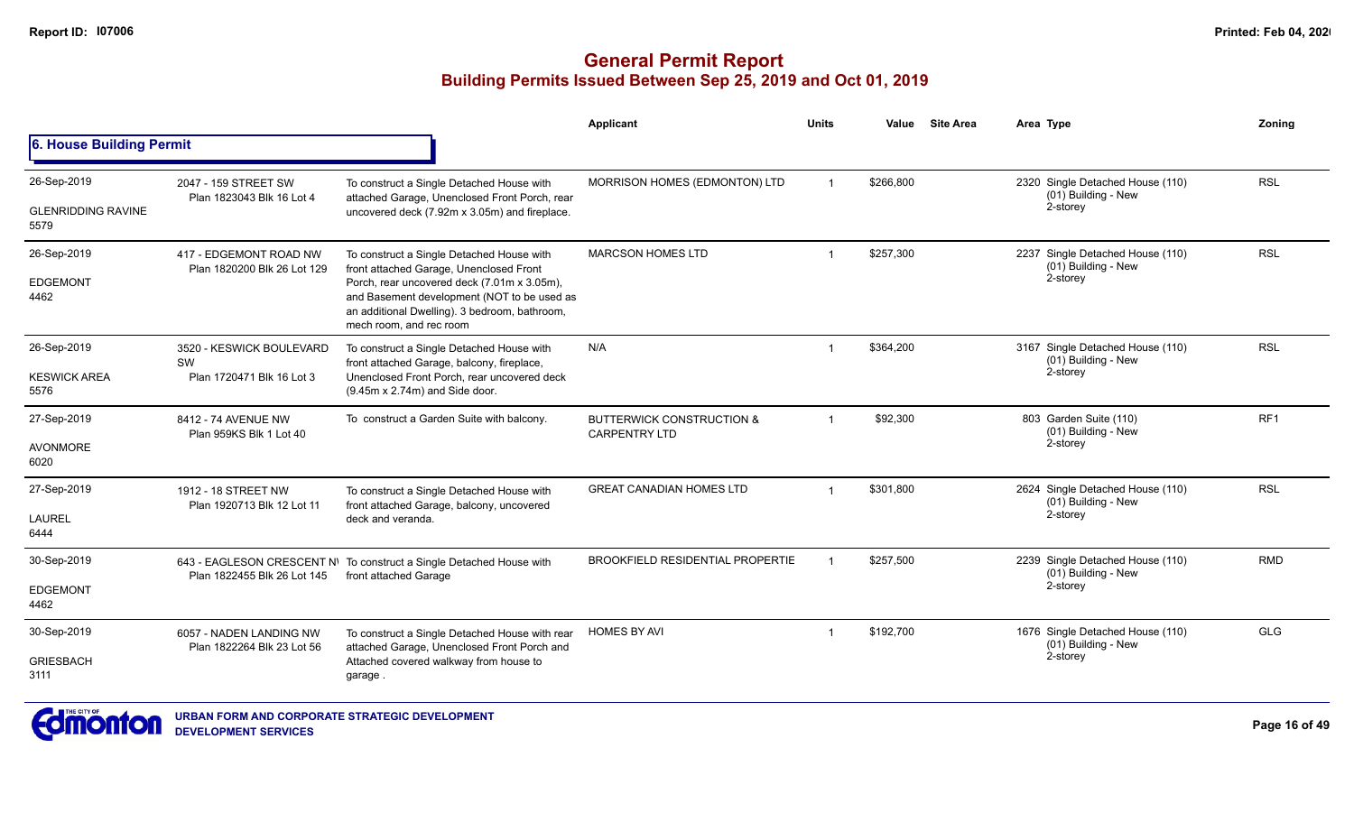|                                   |                                                       |                                                                                                                                                                        | Applicant                                                    | <b>Units</b> | Value     | <b>Site Area</b> | Area Type                                               | Zoning          |
|-----------------------------------|-------------------------------------------------------|------------------------------------------------------------------------------------------------------------------------------------------------------------------------|--------------------------------------------------------------|--------------|-----------|------------------|---------------------------------------------------------|-----------------|
| 6. House Building Permit          |                                                       |                                                                                                                                                                        |                                                              |              |           |                  |                                                         |                 |
| 26-Sep-2019                       | 2047 - 159 STREET SW                                  | To construct a Single Detached House with                                                                                                                              | MORRISON HOMES (EDMONTON) LTD                                | $\mathbf{1}$ | \$266,800 |                  | 2320 Single Detached House (110)<br>(01) Building - New | <b>RSL</b>      |
| <b>GLENRIDDING RAVINE</b><br>5579 | Plan 1823043 Blk 16 Lot 4                             | attached Garage, Unenclosed Front Porch, rear<br>uncovered deck (7.92m x 3.05m) and fireplace.                                                                         |                                                              |              |           |                  | 2-storey                                                |                 |
| 26-Sep-2019                       | 417 - EDGEMONT ROAD NW<br>Plan 1820200 Blk 26 Lot 129 | To construct a Single Detached House with<br>front attached Garage, Unenclosed Front                                                                                   | <b>MARCSON HOMES LTD</b>                                     | -1           | \$257,300 |                  | 2237 Single Detached House (110)<br>(01) Building - New | <b>RSL</b>      |
| <b>EDGEMONT</b><br>4462           |                                                       | Porch, rear uncovered deck (7.01m x 3.05m),<br>and Basement development (NOT to be used as<br>an additional Dwelling). 3 bedroom, bathroom,<br>mech room, and rec room |                                                              |              |           |                  | 2-storey                                                |                 |
| 26-Sep-2019                       | 3520 - KESWICK BOULEVARD<br>SW                        | To construct a Single Detached House with<br>front attached Garage, balcony, fireplace,                                                                                | N/A                                                          | -1           | \$364,200 |                  | 3167 Single Detached House (110)<br>(01) Building - New | <b>RSL</b>      |
| <b>KESWICK AREA</b><br>5576       | Plan 1720471 Blk 16 Lot 3                             | Unenclosed Front Porch, rear uncovered deck<br>(9.45m x 2.74m) and Side door.                                                                                          |                                                              |              |           |                  | 2-storey                                                |                 |
| 27-Sep-2019                       | 8412 - 74 AVENUE NW<br>Plan 959KS Blk 1 Lot 40        | To construct a Garden Suite with balcony.                                                                                                                              | <b>BUTTERWICK CONSTRUCTION &amp;</b><br><b>CARPENTRY LTD</b> | $\mathbf 1$  | \$92,300  |                  | 803 Garden Suite (110)<br>(01) Building - New           | RF <sub>1</sub> |
| <b>AVONMORE</b><br>6020           |                                                       |                                                                                                                                                                        |                                                              |              |           |                  | 2-storey                                                |                 |
| 27-Sep-2019                       | 1912 - 18 STREET NW<br>Plan 1920713 Blk 12 Lot 11     | To construct a Single Detached House with<br>front attached Garage, balcony, uncovered                                                                                 | <b>GREAT CANADIAN HOMES LTD</b>                              | $\mathbf{1}$ | \$301.800 |                  | 2624 Single Detached House (110)<br>(01) Building - New | <b>RSL</b>      |
| <b>LAUREL</b><br>6444             |                                                       | deck and veranda.                                                                                                                                                      |                                                              |              |           |                  | 2-storey                                                |                 |
| 30-Sep-2019                       | Plan 1822455 Blk 26 Lot 145                           | 643 - EAGLESON CRESCENT N\ To construct a Single Detached House with<br>front attached Garage                                                                          | <b>BROOKFIELD RESIDENTIAL PROPERTIE</b>                      |              | \$257,500 |                  | 2239 Single Detached House (110)<br>(01) Building - New | <b>RMD</b>      |
| <b>EDGEMONT</b><br>4462           |                                                       |                                                                                                                                                                        |                                                              |              |           |                  | 2-storey                                                |                 |
| 30-Sep-2019                       | 6057 - NADEN LANDING NW<br>Plan 1822264 Blk 23 Lot 56 | To construct a Single Detached House with rear<br>attached Garage, Unenclosed Front Porch and                                                                          | <b>HOMES BY AVI</b>                                          | $\mathbf 1$  | \$192,700 |                  | 1676 Single Detached House (110)<br>(01) Building - New | <b>GLG</b>      |
| <b>GRIESBACH</b><br>3111          |                                                       | Attached covered walkway from house to<br>garage.                                                                                                                      |                                                              |              |           |                  | 2-storey                                                |                 |

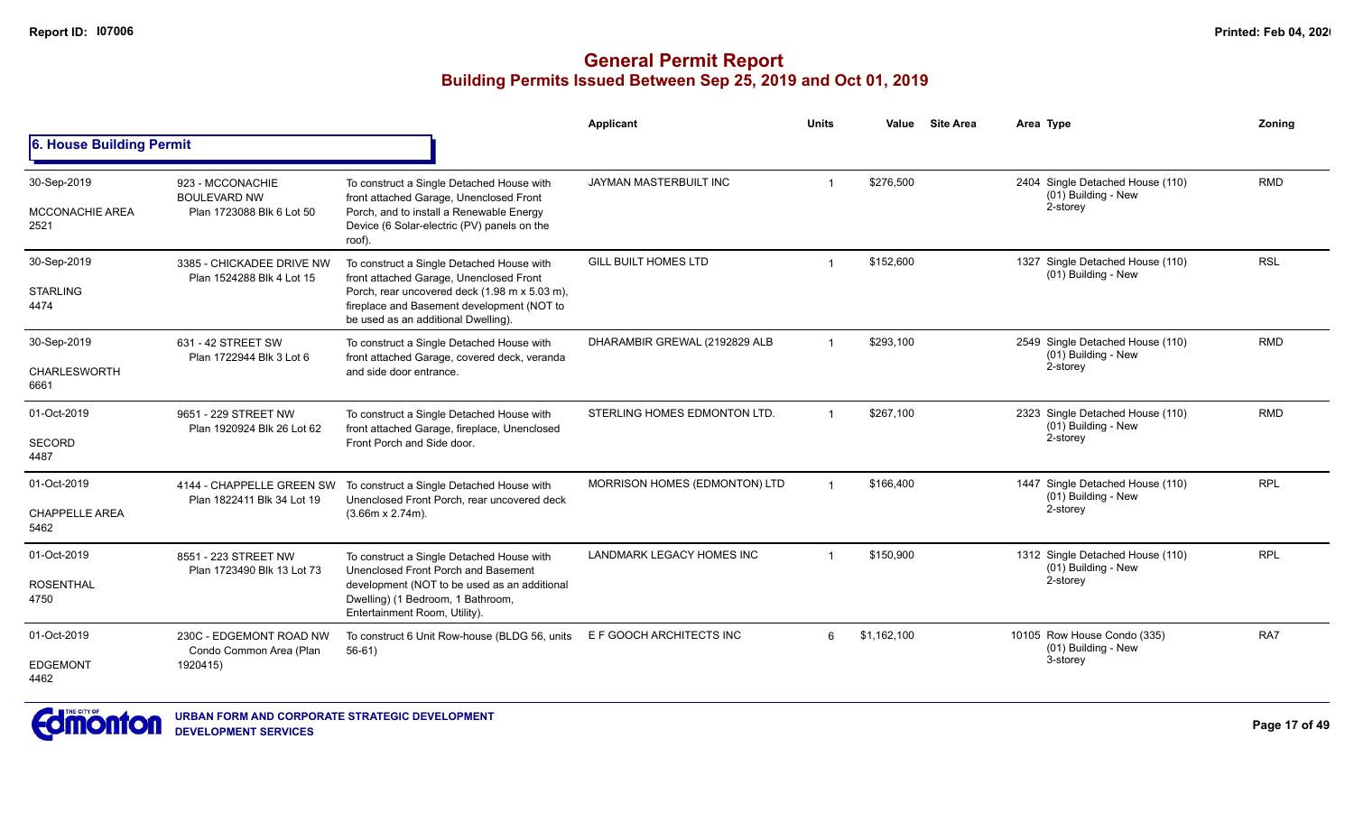|                                               |                                                                      |                                                                                                                                                                                                                            | <b>Applicant</b>              | <b>Units</b>   | Value       | <b>Site Area</b> | Area Type                                                           | Zonina     |
|-----------------------------------------------|----------------------------------------------------------------------|----------------------------------------------------------------------------------------------------------------------------------------------------------------------------------------------------------------------------|-------------------------------|----------------|-------------|------------------|---------------------------------------------------------------------|------------|
| 6. House Building Permit                      |                                                                      |                                                                                                                                                                                                                            |                               |                |             |                  |                                                                     |            |
| 30-Sep-2019<br><b>MCCONACHIE AREA</b><br>2521 | 923 - MCCONACHIE<br><b>BOULEVARD NW</b><br>Plan 1723088 Blk 6 Lot 50 | To construct a Single Detached House with<br>front attached Garage, Unenclosed Front<br>Porch, and to install a Renewable Energy<br>Device (6 Solar-electric (PV) panels on the<br>roof).                                  | JAYMAN MASTERBUILT INC        | $\overline{1}$ | \$276,500   |                  | 2404 Single Detached House (110)<br>(01) Building - New<br>2-storey | <b>RMD</b> |
| 30-Sep-2019<br><b>STARLING</b><br>4474        | 3385 - CHICKADEE DRIVE NW<br>Plan 1524288 Blk 4 Lot 15               | To construct a Single Detached House with<br>front attached Garage, Unenclosed Front<br>Porch, rear uncovered deck (1.98 m x 5.03 m),<br>fireplace and Basement development (NOT to<br>be used as an additional Dwelling). | <b>GILL BUILT HOMES LTD</b>   |                | \$152,600   |                  | 1327 Single Detached House (110)<br>(01) Building - New             | <b>RSL</b> |
| 30-Sep-2019<br><b>CHARLESWORTH</b><br>6661    | 631 - 42 STREET SW<br>Plan 1722944 Blk 3 Lot 6                       | To construct a Single Detached House with<br>front attached Garage, covered deck, veranda<br>and side door entrance.                                                                                                       | DHARAMBIR GREWAL (2192829 ALB |                | \$293,100   |                  | 2549 Single Detached House (110)<br>(01) Building - New<br>2-storey | <b>RMD</b> |
| 01-Oct-2019<br><b>SECORD</b><br>4487          | 9651 - 229 STREET NW<br>Plan 1920924 Blk 26 Lot 62                   | To construct a Single Detached House with<br>front attached Garage, fireplace, Unenclosed<br>Front Porch and Side door.                                                                                                    | STERLING HOMES EDMONTON LTD.  | $\overline{1}$ | \$267.100   |                  | 2323 Single Detached House (110)<br>(01) Building - New<br>2-storey | <b>RMD</b> |
| 01-Oct-2019<br><b>CHAPPELLE AREA</b><br>5462  | 4144 - CHAPPELLE GREEN SW<br>Plan 1822411 Blk 34 Lot 19              | To construct a Single Detached House with<br>Unenclosed Front Porch, rear uncovered deck<br>$(3.66m \times 2.74m)$ .                                                                                                       | MORRISON HOMES (EDMONTON) LTD |                | \$166,400   |                  | 1447 Single Detached House (110)<br>(01) Building - New<br>2-storey | <b>RPL</b> |
| 01-Oct-2019<br><b>ROSENTHAL</b><br>4750       | 8551 - 223 STREET NW<br>Plan 1723490 Blk 13 Lot 73                   | To construct a Single Detached House with<br>Unenclosed Front Porch and Basement<br>development (NOT to be used as an additional<br>Dwelling) (1 Bedroom, 1 Bathroom,<br>Entertainment Room, Utility).                     | LANDMARK LEGACY HOMES INC     | $\overline{1}$ | \$150,900   |                  | 1312 Single Detached House (110)<br>(01) Building - New<br>2-storey | <b>RPL</b> |
| 01-Oct-2019<br><b>EDGEMONT</b><br>4462        | 230C - EDGEMONT ROAD NW<br>Condo Common Area (Plan<br>1920415)       | To construct 6 Unit Row-house (BLDG 56, units<br>$56-61)$                                                                                                                                                                  | E F GOOCH ARCHITECTS INC      | 6              | \$1,162,100 |                  | 10105 Row House Condo (335)<br>(01) Building - New<br>3-storey      | RA7        |

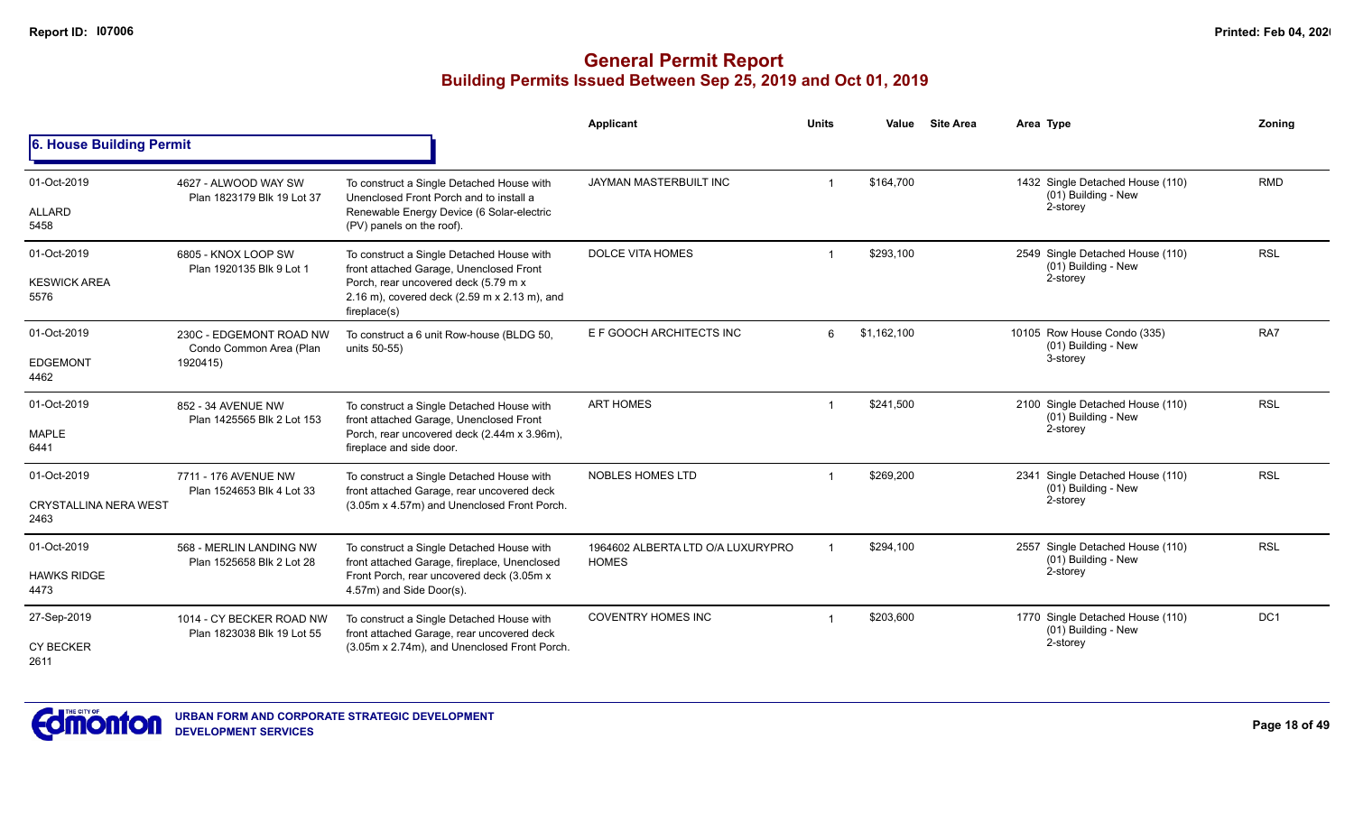|                                      |                                                        |                                                                                                                                                                    | Applicant                         | <b>Units</b> | Value       | <b>Site Area</b> | Area Type                                                 | Zoning     |
|--------------------------------------|--------------------------------------------------------|--------------------------------------------------------------------------------------------------------------------------------------------------------------------|-----------------------------------|--------------|-------------|------------------|-----------------------------------------------------------|------------|
| 6. House Building Permit             |                                                        |                                                                                                                                                                    |                                   |              |             |                  |                                                           |            |
| 01-Oct-2019                          | 4627 - ALWOOD WAY SW<br>Plan 1823179 Blk 19 Lot 37     | To construct a Single Detached House with<br>Unenclosed Front Porch and to install a                                                                               | JAYMAN MASTERBUILT INC            |              | \$164,700   |                  | 1432 Single Detached House (110)<br>(01) Building - New   | <b>RMD</b> |
| ALLARD<br>5458                       |                                                        | Renewable Energy Device (6 Solar-electric<br>(PV) panels on the roof).                                                                                             |                                   |              |             |                  | 2-storey                                                  |            |
| 01-Oct-2019                          | 6805 - KNOX LOOP SW<br>Plan 1920135 Blk 9 Lot 1        | To construct a Single Detached House with<br>front attached Garage, Unenclosed Front                                                                               | <b>DOLCE VITA HOMES</b>           |              | \$293,100   |                  | 2549 Single Detached House (110)<br>(01) Building - New   | <b>RSL</b> |
| <b>KESWICK AREA</b><br>5576          |                                                        | Porch, rear uncovered deck (5.79 m x<br>2.16 m), covered deck (2.59 m x 2.13 m), and<br>fireplace(s)                                                               |                                   |              |             |                  | 2-storey                                                  |            |
| 01-Oct-2019                          | 230C - EDGEMONT ROAD NW<br>Condo Common Area (Plan     | To construct a 6 unit Row-house (BLDG 50,<br>units 50-55)                                                                                                          | E F GOOCH ARCHITECTS INC          | 6            | \$1,162,100 |                  | 10105 Row House Condo (335)<br>(01) Building - New        | RA7        |
| <b>EDGEMONT</b><br>4462              | 1920415)                                               |                                                                                                                                                                    |                                   |              |             |                  | 3-storey                                                  |            |
| 01-Oct-2019                          | 852 - 34 AVENUE NW<br>Plan 1425565 Blk 2 Lot 153       | To construct a Single Detached House with<br>front attached Garage, Unenclosed Front                                                                               | <b>ART HOMES</b>                  |              | \$241,500   |                  | 2100 Single Detached House (110)<br>(01) Building - New   | <b>RSL</b> |
| <b>MAPLE</b><br>6441                 |                                                        | Porch, rear uncovered deck (2.44m x 3.96m),<br>fireplace and side door.                                                                                            |                                   |              |             |                  | 2-storey                                                  |            |
| 01-Oct-2019                          | 7711 - 176 AVENUE NW                                   | To construct a Single Detached House with                                                                                                                          | <b>NOBLES HOMES LTD</b>           |              | \$269.200   |                  | 2341 Single Detached House (110)<br>$(01)$ Building - New | <b>RSL</b> |
| <b>CRYSTALLINA NERA WEST</b><br>2463 | Plan 1524653 Blk 4 Lot 33                              | front attached Garage, rear uncovered deck<br>(3.05m x 4.57m) and Unenclosed Front Porch.                                                                          |                                   |              |             |                  | 2-storey                                                  |            |
| 01-Oct-2019                          | 568 - MERLIN LANDING NW                                | To construct a Single Detached House with                                                                                                                          | 1964602 ALBERTA LTD O/A LUXURYPRO |              | \$294,100   |                  | 2557 Single Detached House (110)<br>(01) Building - New   | <b>RSL</b> |
| <b>HAWKS RIDGE</b><br>4473           |                                                        | front attached Garage, fireplace, Unenclosed<br>Plan 1525658 Blk 2 Lot 28<br><b>HOMES</b><br>Front Porch, rear uncovered deck (3.05m x<br>4.57m) and Side Door(s). |                                   |              |             | 2-storey         |                                                           |            |
| 27-Sep-2019                          | 1014 - CY BECKER ROAD NW<br>Plan 1823038 Blk 19 Lot 55 | To construct a Single Detached House with<br>front attached Garage, rear uncovered deck                                                                            | <b>COVENTRY HOMES INC</b>         |              | \$203,600   |                  | 1770 Single Detached House (110)<br>(01) Building - New   | DC1        |
| <b>CY BECKER</b><br>2611             |                                                        | (3.05m x 2.74m), and Unenclosed Front Porch.                                                                                                                       |                                   |              |             |                  | 2-storey                                                  |            |

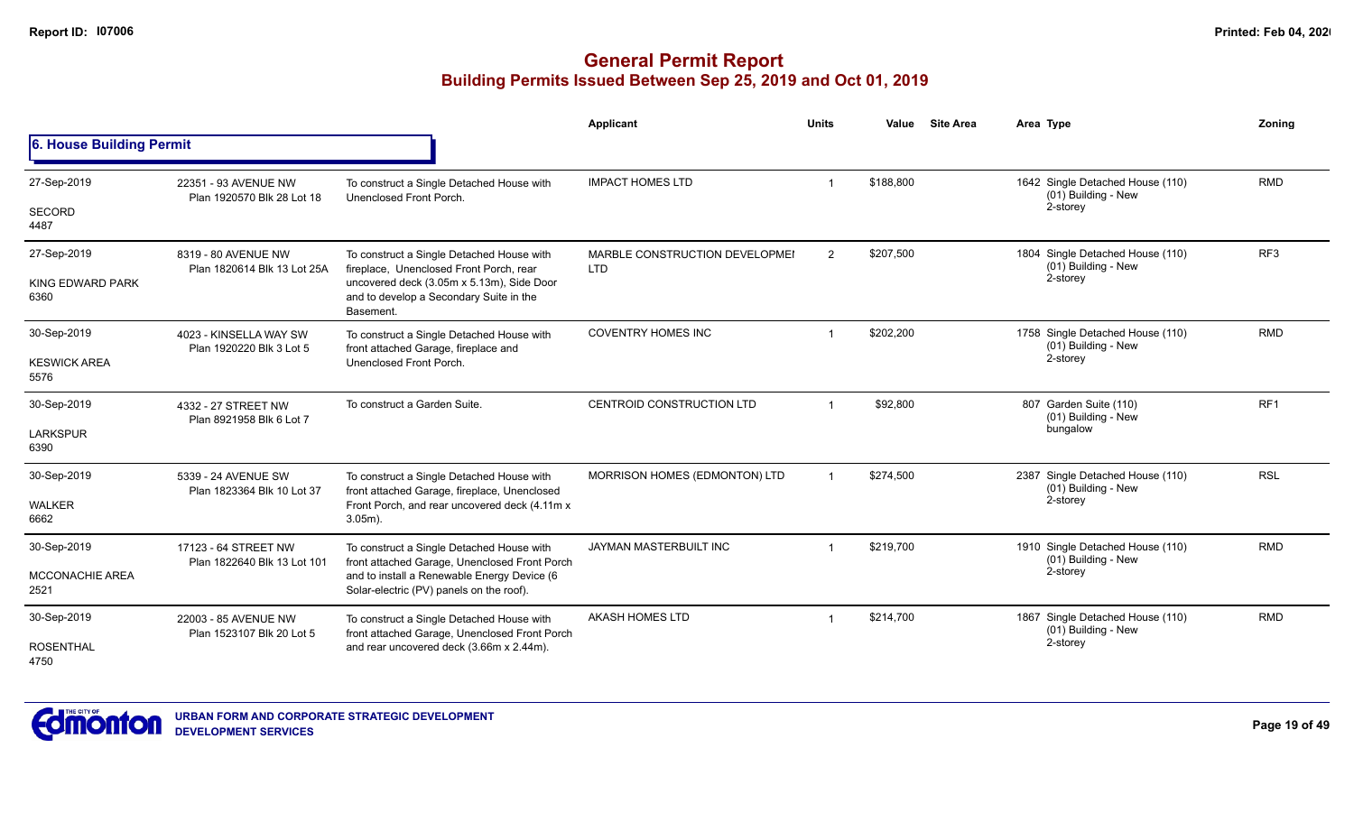|                                 |                                                     |                                                                                                   | <b>Applicant</b>                             | <b>Units</b>   | Value     | <b>Site Area</b> | Area Type                                               | Zoning          |
|---------------------------------|-----------------------------------------------------|---------------------------------------------------------------------------------------------------|----------------------------------------------|----------------|-----------|------------------|---------------------------------------------------------|-----------------|
| 6. House Building Permit        |                                                     |                                                                                                   |                                              |                |           |                  |                                                         |                 |
| 27-Sep-2019                     | 22351 - 93 AVENUE NW<br>Plan 1920570 Blk 28 Lot 18  | To construct a Single Detached House with<br>Unenclosed Front Porch.                              | <b>IMPACT HOMES LTD</b>                      |                | \$188,800 |                  | 1642 Single Detached House (110)<br>(01) Building - New | <b>RMD</b>      |
| SECORD<br>4487                  |                                                     |                                                                                                   |                                              |                |           |                  | 2-storey                                                |                 |
| 27-Sep-2019                     | 8319 - 80 AVENUE NW<br>Plan 1820614 Blk 13 Lot 25A  | To construct a Single Detached House with<br>fireplace, Unenclosed Front Porch, rear              | MARBLE CONSTRUCTION DEVELOPMEI<br><b>LTD</b> | $\overline{2}$ | \$207,500 |                  | 1804 Single Detached House (110)<br>(01) Building - New | RF3             |
| <b>KING EDWARD PARK</b><br>6360 |                                                     | uncovered deck (3.05m x 5.13m), Side Door<br>and to develop a Secondary Suite in the<br>Basement. |                                              |                |           |                  | 2-storey                                                |                 |
| 30-Sep-2019                     | 4023 - KINSELLA WAY SW<br>Plan 1920220 Blk 3 Lot 5  | To construct a Single Detached House with<br>front attached Garage, fireplace and                 | <b>COVENTRY HOMES INC</b>                    |                | \$202,200 |                  | 1758 Single Detached House (110)<br>(01) Building - New | <b>RMD</b>      |
| <b>KESWICK AREA</b><br>5576     |                                                     | Unenclosed Front Porch.                                                                           |                                              |                |           |                  | 2-storey                                                |                 |
| 30-Sep-2019                     | 4332 - 27 STREET NW                                 | To construct a Garden Suite.                                                                      | <b>CENTROID CONSTRUCTION LTD</b>             |                | \$92,800  |                  | 807 Garden Suite (110)<br>(01) Building - New           | RF <sub>1</sub> |
| <b>LARKSPUR</b><br>6390         | Plan 8921958 Blk 6 Lot 7                            |                                                                                                   |                                              |                |           |                  | bungalow                                                |                 |
| 30-Sep-2019                     | 5339 - 24 AVENUE SW<br>Plan 1823364 Blk 10 Lot 37   | To construct a Single Detached House with<br>front attached Garage, fireplace, Unenclosed         | MORRISON HOMES (EDMONTON) LTD                |                | \$274,500 |                  | 2387 Single Detached House (110)<br>(01) Building - New | <b>RSL</b>      |
| <b>WALKER</b><br>6662           |                                                     | Front Porch, and rear uncovered deck (4.11m x<br>$3.05m$ ).                                       |                                              |                |           |                  | 2-storey                                                |                 |
| 30-Sep-2019                     | 17123 - 64 STREET NW<br>Plan 1822640 Blk 13 Lot 101 | To construct a Single Detached House with<br>front attached Garage, Unenclosed Front Porch        | JAYMAN MASTERBUILT INC                       |                | \$219,700 |                  | 1910 Single Detached House (110)<br>(01) Building - New | <b>RMD</b>      |
| MCCONACHIE AREA<br>2521         |                                                     | and to install a Renewable Energy Device (6<br>Solar-electric (PV) panels on the roof).           |                                              |                |           |                  | 2-storey                                                |                 |
| 30-Sep-2019                     | 22003 - 85 AVENUE NW<br>Plan 1523107 Blk 20 Lot 5   | To construct a Single Detached House with<br>front attached Garage, Unenclosed Front Porch        | <b>AKASH HOMES LTD</b>                       |                | \$214,700 |                  | 1867 Single Detached House (110)<br>(01) Building - New | <b>RMD</b>      |
| <b>ROSENTHAL</b><br>4750        |                                                     | and rear uncovered deck (3.66m x 2.44m).                                                          |                                              |                |           |                  | 2-storey                                                |                 |

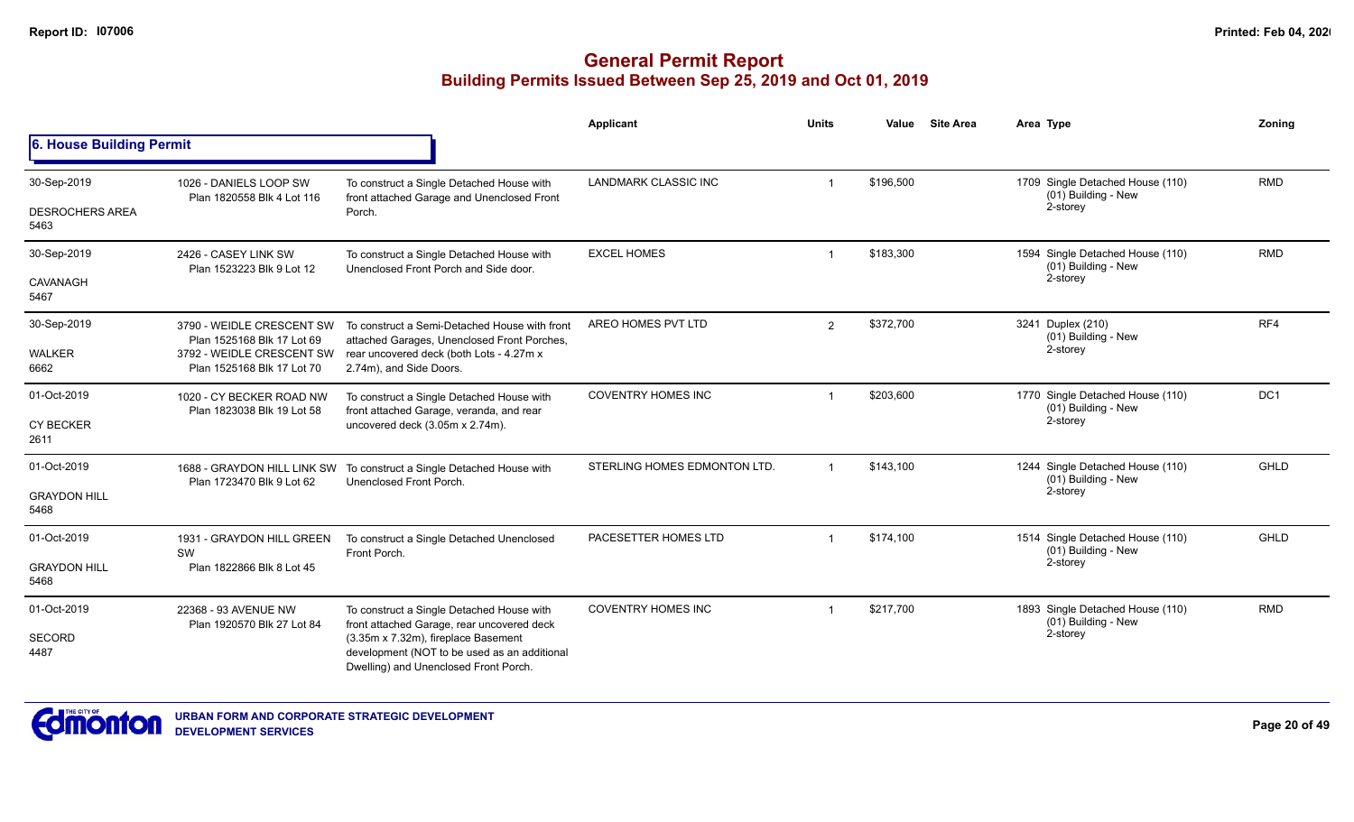|                                |                                                         |                                                                                                                              | Applicant                    | <b>Units</b>   | Value     | <b>Site Area</b> | Area Type                                               | Zoning      |
|--------------------------------|---------------------------------------------------------|------------------------------------------------------------------------------------------------------------------------------|------------------------------|----------------|-----------|------------------|---------------------------------------------------------|-------------|
| 6. House Building Permit       |                                                         |                                                                                                                              |                              |                |           |                  |                                                         |             |
| 30-Sep-2019                    | 1026 - DANIELS LOOP SW<br>Plan 1820558 Blk 4 Lot 116    | To construct a Single Detached House with<br>front attached Garage and Unenclosed Front                                      | <b>LANDMARK CLASSIC INC</b>  | $\overline{1}$ | \$196,500 |                  | 1709 Single Detached House (110)<br>(01) Building - New | <b>RMD</b>  |
| <b>DESROCHERS AREA</b><br>5463 |                                                         | Porch.                                                                                                                       |                              |                |           |                  | 2-storey                                                |             |
| 30-Sep-2019                    | 2426 - CASEY LINK SW<br>Plan 1523223 Blk 9 Lot 12       | To construct a Single Detached House with<br>Unenclosed Front Porch and Side door.                                           | <b>EXCEL HOMES</b>           | $\mathbf{1}$   | \$183,300 |                  | 1594 Single Detached House (110)<br>(01) Building - New | <b>RMD</b>  |
| CAVANAGH<br>5467               |                                                         |                                                                                                                              |                              |                |           |                  | 2-storey                                                |             |
| 30-Sep-2019                    | 3790 - WEIDLE CRESCENT SW<br>Plan 1525168 Blk 17 Lot 69 | To construct a Semi-Detached House with front<br>attached Garages, Unenclosed Front Porches,                                 | AREO HOMES PVT LTD           | $\overline{2}$ | \$372,700 |                  | 3241 Duplex (210)<br>(01) Building - New                | RF4         |
| <b>WALKER</b><br>6662          | 3792 - WEIDLE CRESCENT SW<br>Plan 1525168 Blk 17 Lot 70 | rear uncovered deck (both Lots - 4.27m x<br>2.74m), and Side Doors.                                                          |                              |                |           |                  | 2-storey                                                |             |
| 01-Oct-2019                    | 1020 - CY BECKER ROAD NW<br>Plan 1823038 Blk 19 Lot 58  | To construct a Single Detached House with                                                                                    | <b>COVENTRY HOMES INC</b>    |                | \$203,600 |                  | 1770 Single Detached House (110)<br>(01) Building - New | DC1         |
| <b>CY BECKER</b><br>2611       |                                                         | front attached Garage, veranda, and rear<br>uncovered deck (3.05m x 2.74m).                                                  |                              |                |           |                  | 2-storey                                                |             |
| 01-Oct-2019                    | Plan 1723470 Blk 9 Lot 62                               | 1688 - GRAYDON HILL LINK SW To construct a Single Detached House with<br>Unenclosed Front Porch.                             | STERLING HOMES EDMONTON LTD. | $\overline{1}$ | \$143,100 |                  | 1244 Single Detached House (110)<br>(01) Building - New | GHLD        |
| <b>GRAYDON HILL</b><br>5468    |                                                         |                                                                                                                              |                              |                |           |                  | 2-storey                                                |             |
| 01-Oct-2019                    | 1931 - GRAYDON HILL GREEN<br>SW                         | To construct a Single Detached Unenclosed<br>Front Porch.                                                                    | PACESETTER HOMES LTD         |                | \$174,100 |                  | 1514 Single Detached House (110)<br>(01) Building - New | <b>GHLD</b> |
| <b>GRAYDON HILL</b><br>5468    | Plan 1822866 Blk 8 Lot 45                               |                                                                                                                              |                              |                |           |                  | 2-storey                                                |             |
| 01-Oct-2019                    | 22368 - 93 AVENUE NW<br>Plan 1920570 Blk 27 Lot 84      | To construct a Single Detached House with<br>front attached Garage, rear uncovered deck                                      | <b>COVENTRY HOMES INC</b>    |                | \$217,700 |                  | 1893 Single Detached House (110)<br>(01) Building - New | <b>RMD</b>  |
| SECORD<br>4487                 |                                                         | (3.35m x 7.32m), fireplace Basement<br>development (NOT to be used as an additional<br>Dwelling) and Unenclosed Front Porch. |                              |                |           |                  | 2-storey                                                |             |

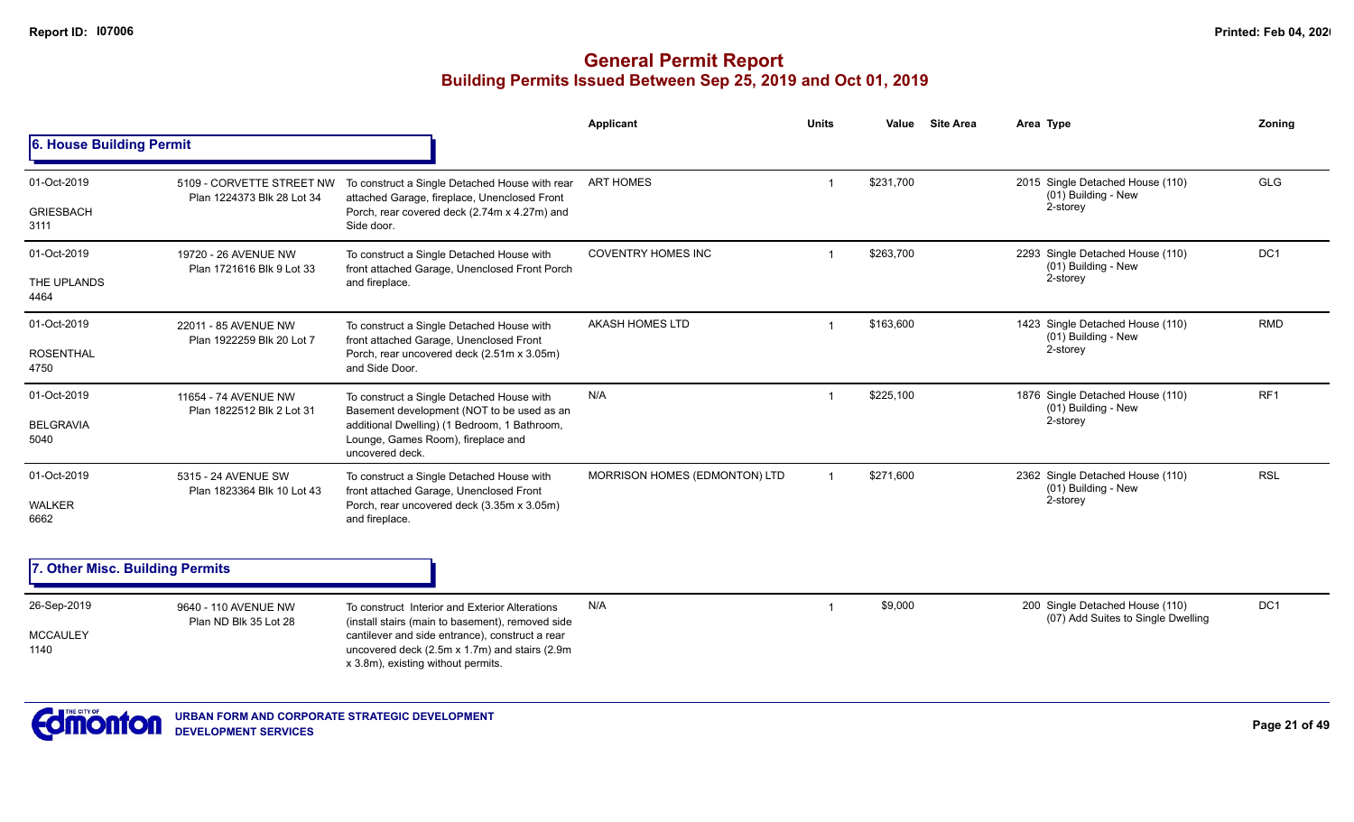|                                 |                                                         |                                                                                                                                        | Applicant                     | <b>Units</b>   | Value     | <b>Site Area</b> | Area Type                                                             | Zoning          |
|---------------------------------|---------------------------------------------------------|----------------------------------------------------------------------------------------------------------------------------------------|-------------------------------|----------------|-----------|------------------|-----------------------------------------------------------------------|-----------------|
| 6. House Building Permit        |                                                         |                                                                                                                                        |                               |                |           |                  |                                                                       |                 |
| 01-Oct-2019                     | 5109 - CORVETTE STREET NW<br>Plan 1224373 Blk 28 Lot 34 | To construct a Single Detached House with rear                                                                                         | <b>ART HOMES</b>              | -1             | \$231,700 |                  | 2015 Single Detached House (110)<br>(01) Building - New               | <b>GLG</b>      |
| <b>GRIESBACH</b><br>3111        |                                                         | attached Garage, fireplace, Unenclosed Front<br>Porch, rear covered deck (2.74m x 4.27m) and<br>Side door.                             |                               |                |           |                  | 2-storey                                                              |                 |
| 01-Oct-2019                     | 19720 - 26 AVENUE NW<br>Plan 1721616 Blk 9 Lot 33       | To construct a Single Detached House with<br>front attached Garage, Unenclosed Front Porch                                             | <b>COVENTRY HOMES INC</b>     |                | \$263,700 |                  | 2293 Single Detached House (110)<br>(01) Building - New               | DC1             |
| THE UPLANDS<br>4464             |                                                         | and fireplace.                                                                                                                         |                               |                |           |                  | 2-storey                                                              |                 |
| 01-Oct-2019                     | 22011 - 85 AVENUE NW<br>Plan 1922259 Blk 20 Lot 7       | To construct a Single Detached House with<br>front attached Garage, Unenclosed Front                                                   | AKASH HOMES LTD               |                | \$163,600 |                  | 1423 Single Detached House (110)<br>(01) Building - New               | <b>RMD</b>      |
| <b>ROSENTHAL</b><br>4750        |                                                         | Porch, rear uncovered deck (2.51m x 3.05m)<br>and Side Door.                                                                           |                               |                |           |                  | 2-storey                                                              |                 |
| 01-Oct-2019                     | 11654 - 74 AVENUE NW<br>Plan 1822512 Blk 2 Lot 31       | To construct a Single Detached House with<br>Basement development (NOT to be used as an                                                | N/A                           | -1             | \$225,100 |                  | 1876 Single Detached House (110)<br>(01) Building - New               | RF1             |
| <b>BELGRAVIA</b><br>5040        |                                                         | additional Dwelling) (1 Bedroom, 1 Bathroom,<br>Lounge, Games Room), fireplace and<br>uncovered deck.                                  |                               |                |           |                  | 2-storey                                                              |                 |
| 01-Oct-2019                     | 5315 - 24 AVENUE SW<br>Plan 1823364 Blk 10 Lot 43       | To construct a Single Detached House with<br>front attached Garage, Unenclosed Front                                                   | MORRISON HOMES (EDMONTON) LTD | $\overline{1}$ | \$271,600 |                  | 2362 Single Detached House (110)<br>$(01)$ Building - New             | <b>RSL</b>      |
| <b>WALKER</b><br>6662           |                                                         | Porch, rear uncovered deck (3.35m x 3.05m)<br>and fireplace.                                                                           |                               |                |           |                  | 2-storey                                                              |                 |
| 7. Other Misc. Building Permits |                                                         |                                                                                                                                        |                               |                |           |                  |                                                                       |                 |
| 26-Sep-2019                     | 9640 - 110 AVENUE NW<br>Plan ND Blk 35 Lot 28           | To construct Interior and Exterior Alterations<br>(install stairs (main to basement), removed side                                     | N/A                           | -1             | \$9,000   |                  | 200 Single Detached House (110)<br>(07) Add Suites to Single Dwelling | DC <sub>1</sub> |
| <b>MCCAULEY</b><br>1140         |                                                         | cantilever and side entrance), construct a rear<br>uncovered deck (2.5m x 1.7m) and stairs (2.9m<br>x 3.8m), existing without permits. |                               |                |           |                  |                                                                       |                 |
|                                 |                                                         |                                                                                                                                        |                               |                |           |                  |                                                                       |                 |

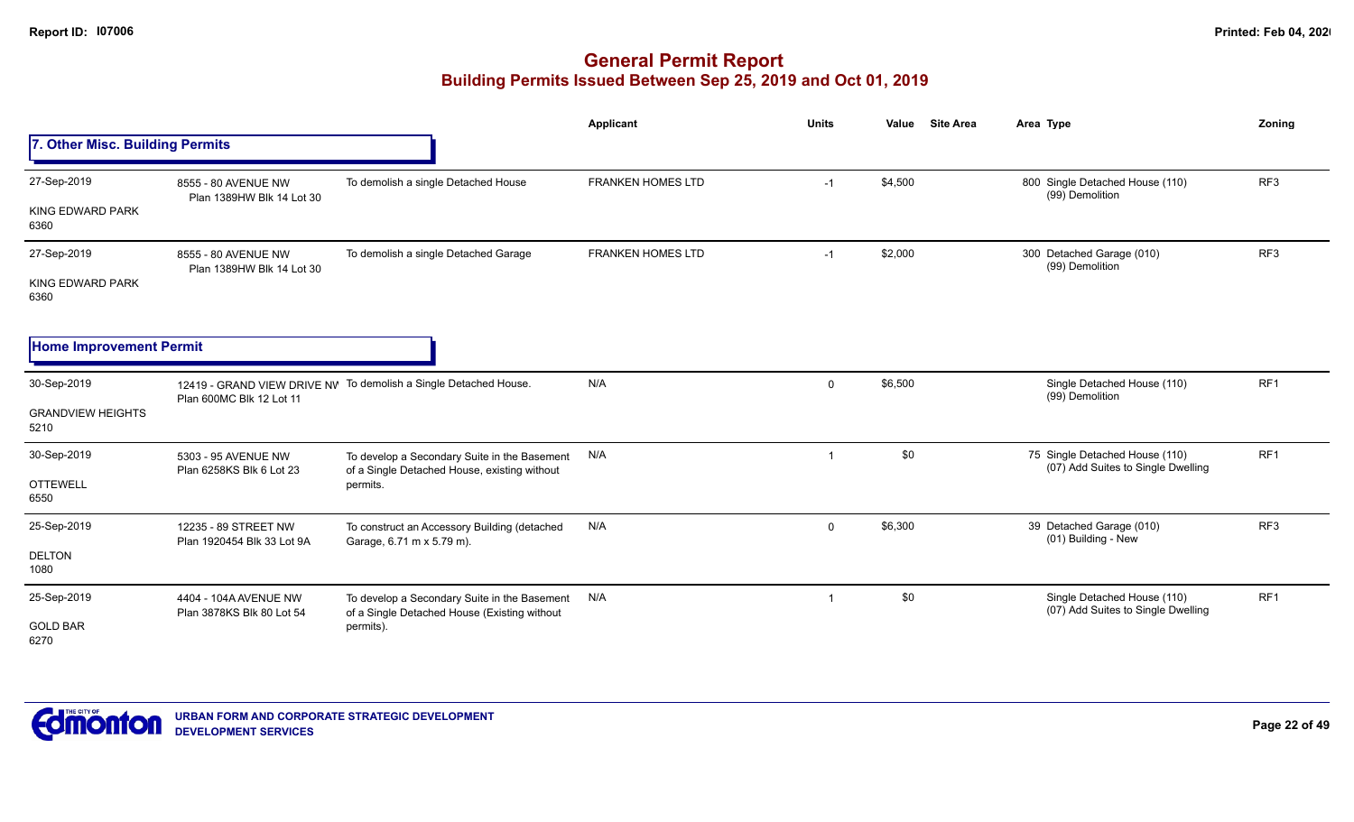|                                                 |                                                    |                                                                                                           | <b>Applicant</b>         | <b>Units</b>   | <b>Site Area</b><br>Value | Area Type                                                            | Zoning          |
|-------------------------------------------------|----------------------------------------------------|-----------------------------------------------------------------------------------------------------------|--------------------------|----------------|---------------------------|----------------------------------------------------------------------|-----------------|
| 7. Other Misc. Building Permits                 |                                                    |                                                                                                           |                          |                |                           |                                                                      |                 |
| 27-Sep-2019<br>KING EDWARD PARK<br>6360         | 8555 - 80 AVENUE NW<br>Plan 1389HW Blk 14 Lot 30   | To demolish a single Detached House                                                                       | <b>FRANKEN HOMES LTD</b> | $-1$           | \$4,500                   | 800 Single Detached House (110)<br>(99) Demolition                   | RF <sub>3</sub> |
| 27-Sep-2019<br>KING EDWARD PARK<br>6360         | 8555 - 80 AVENUE NW<br>Plan 1389HW Blk 14 Lot 30   | To demolish a single Detached Garage                                                                      | <b>FRANKEN HOMES LTD</b> | $-1$           | \$2,000                   | 300 Detached Garage (010)<br>(99) Demolition                         | RF <sub>3</sub> |
| <b>Home Improvement Permit</b>                  |                                                    |                                                                                                           |                          |                |                           |                                                                      |                 |
| 30-Sep-2019<br><b>GRANDVIEW HEIGHTS</b><br>5210 | Plan 600MC Blk 12 Lot 11                           | 12419 - GRAND VIEW DRIVE NV To demolish a Single Detached House.                                          | N/A                      | $\mathbf 0$    | \$6,500                   | Single Detached House (110)<br>(99) Demolition                       | RF1             |
| 30-Sep-2019<br><b>OTTEWELL</b><br>6550          | 5303 - 95 AVENUE NW<br>Plan 6258KS Blk 6 Lot 23    | To develop a Secondary Suite in the Basement<br>of a Single Detached House, existing without<br>permits.  | N/A                      | $\overline{1}$ | \$0                       | 75 Single Detached House (110)<br>(07) Add Suites to Single Dwelling | RF1             |
| 25-Sep-2019<br><b>DELTON</b><br>1080            | 12235 - 89 STREET NW<br>Plan 1920454 Blk 33 Lot 9A | To construct an Accessory Building (detached<br>Garage, 6.71 m x 5.79 m).                                 | N/A                      | $\mathsf 0$    | \$6,300                   | 39 Detached Garage (010)<br>(01) Building - New                      | RF <sub>3</sub> |
| 25-Sep-2019<br><b>GOLD BAR</b><br>6270          | 4404 - 104A AVENUE NW<br>Plan 3878KS Blk 80 Lot 54 | To develop a Secondary Suite in the Basement<br>of a Single Detached House (Existing without<br>permits). | N/A                      | $\overline{1}$ | \$0                       | Single Detached House (110)<br>(07) Add Suites to Single Dwelling    | RF1             |

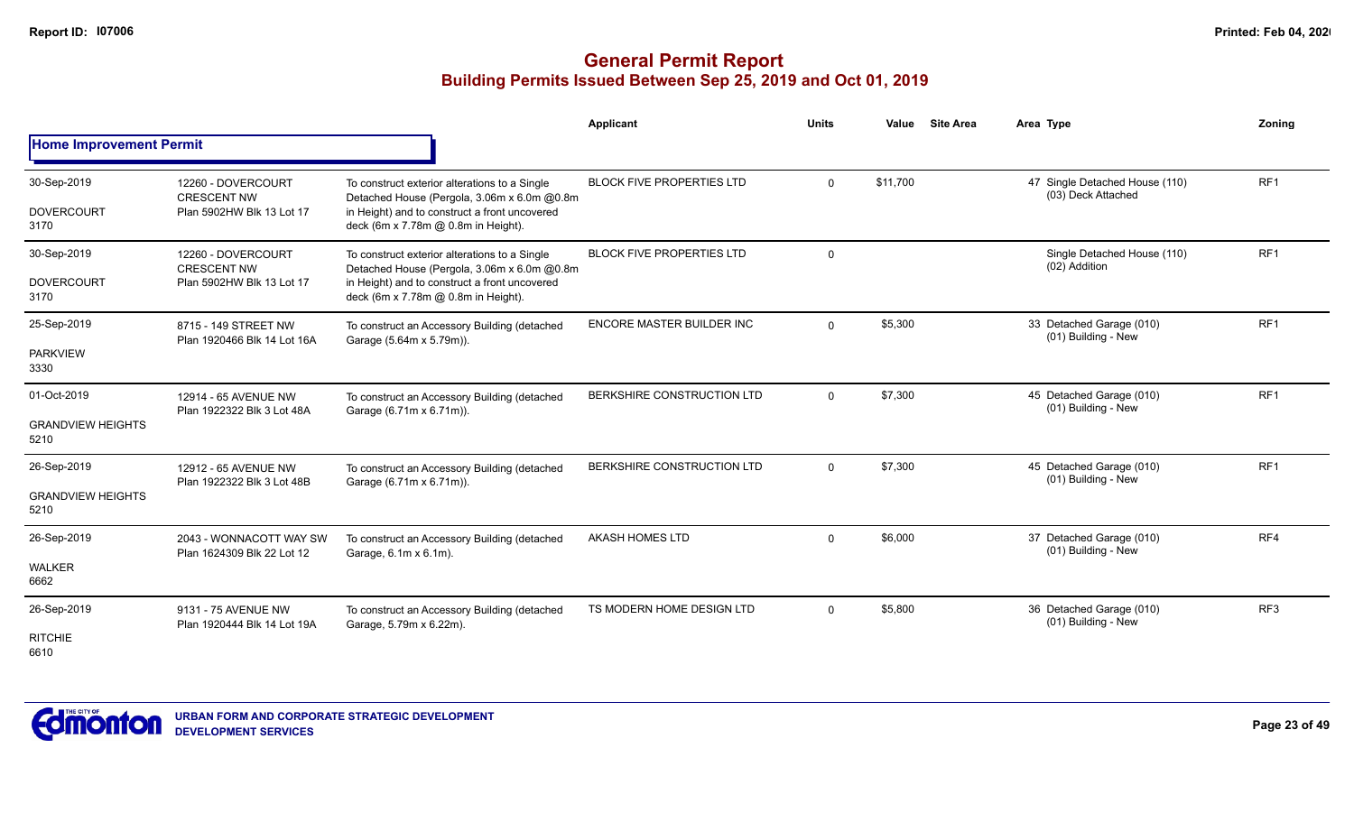|                                                 |                                                                       |                                                                                                                                                                                      | <b>Applicant</b>                 | <b>Units</b>   | Value<br><b>Site Area</b> | Area Type                                            | Zoning          |
|-------------------------------------------------|-----------------------------------------------------------------------|--------------------------------------------------------------------------------------------------------------------------------------------------------------------------------------|----------------------------------|----------------|---------------------------|------------------------------------------------------|-----------------|
| <b>Home Improvement Permit</b>                  |                                                                       |                                                                                                                                                                                      |                                  |                |                           |                                                      |                 |
| 30-Sep-2019<br><b>DOVERCOURT</b><br>3170        | 12260 - DOVERCOURT<br><b>CRESCENT NW</b><br>Plan 5902HW Blk 13 Lot 17 | To construct exterior alterations to a Single<br>Detached House (Pergola, 3.06m x 6.0m @0.8m<br>in Height) and to construct a front uncovered<br>deck (6m x 7.78m @ 0.8m in Height). | <b>BLOCK FIVE PROPERTIES LTD</b> | $\mathbf 0$    | \$11,700                  | 47 Single Detached House (110)<br>(03) Deck Attached | RF <sub>1</sub> |
| 30-Sep-2019<br><b>DOVERCOURT</b><br>3170        | 12260 - DOVERCOURT<br><b>CRESCENT NW</b><br>Plan 5902HW Blk 13 Lot 17 | To construct exterior alterations to a Single<br>Detached House (Pergola, 3.06m x 6.0m @0.8m<br>in Height) and to construct a front uncovered<br>deck (6m x 7.78m @ 0.8m in Height). | <b>BLOCK FIVE PROPERTIES LTD</b> | $\overline{0}$ |                           | Single Detached House (110)<br>(02) Addition         | RF <sub>1</sub> |
| 25-Sep-2019<br><b>PARKVIEW</b><br>3330          | 8715 - 149 STREET NW<br>Plan 1920466 Blk 14 Lot 16A                   | To construct an Accessory Building (detached<br>Garage (5.64m x 5.79m)).                                                                                                             | ENCORE MASTER BUILDER INC        | $\overline{0}$ | \$5,300                   | 33 Detached Garage (010)<br>(01) Building - New      | RF <sub>1</sub> |
| 01-Oct-2019<br><b>GRANDVIEW HEIGHTS</b><br>5210 | 12914 - 65 AVENUE NW<br>Plan 1922322 Blk 3 Lot 48A                    | To construct an Accessory Building (detached<br>Garage (6.71m x 6.71m)).                                                                                                             | BERKSHIRE CONSTRUCTION LTD       | $\overline{0}$ | \$7,300                   | 45 Detached Garage (010)<br>(01) Building - New      | RF <sub>1</sub> |
| 26-Sep-2019<br><b>GRANDVIEW HEIGHTS</b><br>5210 | 12912 - 65 AVENUE NW<br>Plan 1922322 Blk 3 Lot 48B                    | To construct an Accessory Building (detached<br>Garage (6.71m x 6.71m)).                                                                                                             | BERKSHIRE CONSTRUCTION LTD       | $\overline{0}$ | \$7,300                   | 45 Detached Garage (010)<br>(01) Building - New      | RF <sub>1</sub> |
| 26-Sep-2019<br><b>WALKER</b><br>6662            | 2043 - WONNACOTT WAY SW<br>Plan 1624309 Blk 22 Lot 12                 | To construct an Accessory Building (detached<br>Garage, 6.1m x 6.1m).                                                                                                                | AKASH HOMES LTD                  | $\Omega$       | \$6,000                   | 37 Detached Garage (010)<br>(01) Building - New      | RF4             |
| 26-Sep-2019<br><b>RITCHIE</b><br>6610           | 9131 - 75 AVENUE NW<br>Plan 1920444 Blk 14 Lot 19A                    | To construct an Accessory Building (detached<br>Garage, 5.79m x 6.22m).                                                                                                              | TS MODERN HOME DESIGN LTD        | $\overline{0}$ | \$5,800                   | 36 Detached Garage (010)<br>(01) Building - New      | RF <sub>3</sub> |

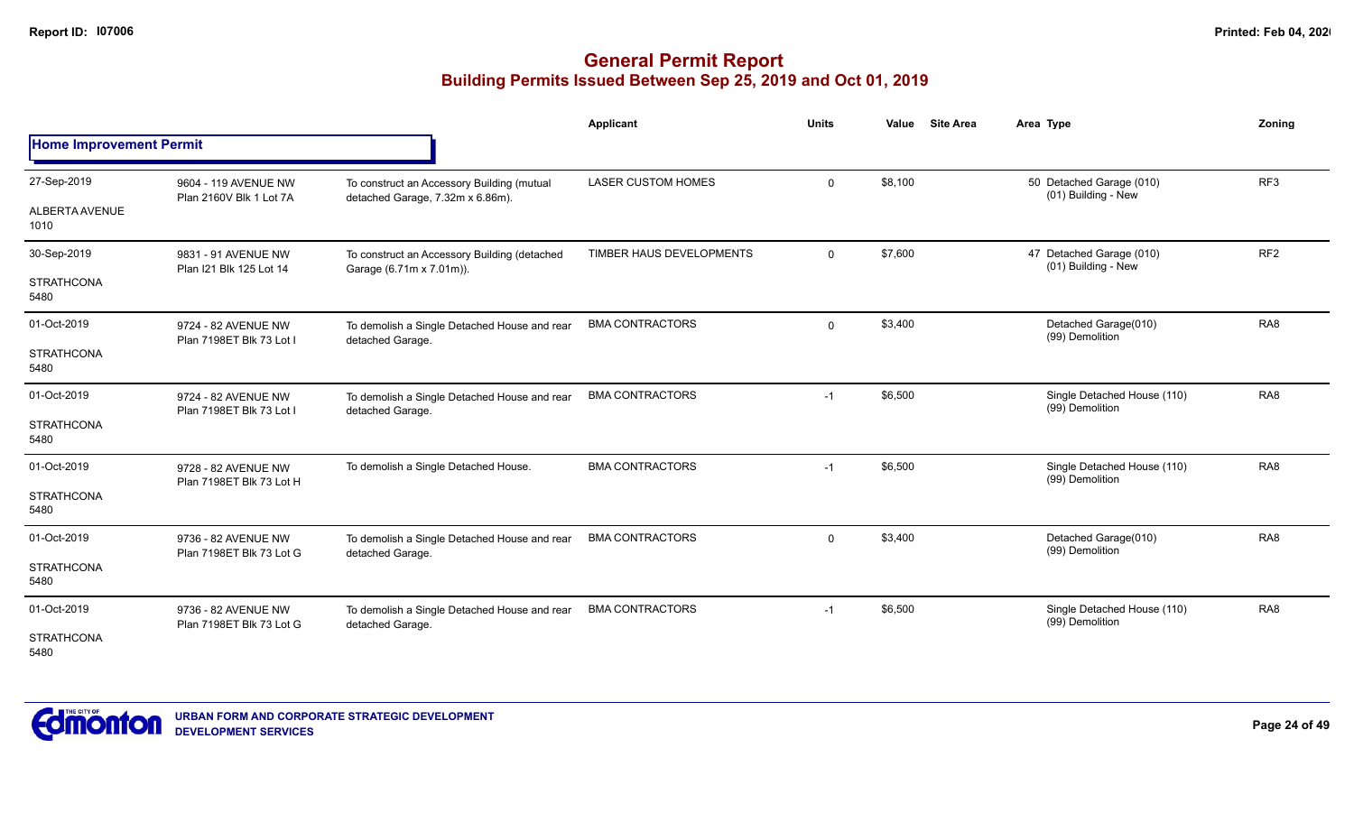|                                |                                                 |                                                                                | <b>Applicant</b>          | <b>Units</b> | Value   | <b>Site Area</b><br>Area Type                   | Zoning          |
|--------------------------------|-------------------------------------------------|--------------------------------------------------------------------------------|---------------------------|--------------|---------|-------------------------------------------------|-----------------|
| <b>Home Improvement Permit</b> |                                                 |                                                                                |                           |              |         |                                                 |                 |
| 27-Sep-2019                    | 9604 - 119 AVENUE NW<br>Plan 2160V Blk 1 Lot 7A | To construct an Accessory Building (mutual<br>detached Garage, 7.32m x 6.86m). | <b>LASER CUSTOM HOMES</b> | $\mathbf 0$  | \$8,100 | 50 Detached Garage (010)<br>(01) Building - New | RF <sub>3</sub> |
| <b>ALBERTA AVENUE</b><br>1010  |                                                 |                                                                                |                           |              |         |                                                 |                 |
| 30-Sep-2019                    | 9831 - 91 AVENUE NW<br>Plan I21 Blk 125 Lot 14  | To construct an Accessory Building (detached<br>Garage (6.71m x 7.01m)).       | TIMBER HAUS DEVELOPMENTS  | $\mathbf 0$  | \$7,600 | 47 Detached Garage (010)<br>(01) Building - New | RF <sub>2</sub> |
| <b>STRATHCONA</b><br>5480      |                                                 |                                                                                |                           |              |         |                                                 |                 |
| 01-Oct-2019                    | 9724 - 82 AVENUE NW<br>Plan 7198ET Blk 73 Lot I | To demolish a Single Detached House and rear<br>detached Garage.               | <b>BMA CONTRACTORS</b>    | $\mathbf 0$  | \$3,400 | Detached Garage(010)<br>(99) Demolition         | RA <sub>8</sub> |
| <b>STRATHCONA</b><br>5480      |                                                 |                                                                                |                           |              |         |                                                 |                 |
| 01-Oct-2019                    | 9724 - 82 AVENUE NW<br>Plan 7198ET Blk 73 Lot I | To demolish a Single Detached House and rear<br>detached Garage.               | <b>BMA CONTRACTORS</b>    | $-1$         | \$6,500 | Single Detached House (110)<br>(99) Demolition  | RA <sub>8</sub> |
| <b>STRATHCONA</b><br>5480      |                                                 |                                                                                |                           |              |         |                                                 |                 |
| 01-Oct-2019                    | 9728 - 82 AVENUE NW<br>Plan 7198ET Blk 73 Lot H | To demolish a Single Detached House.                                           | <b>BMA CONTRACTORS</b>    | $-1$         | \$6,500 | Single Detached House (110)<br>(99) Demolition  | RA <sub>8</sub> |
| <b>STRATHCONA</b><br>5480      |                                                 |                                                                                |                           |              |         |                                                 |                 |
| 01-Oct-2019                    | 9736 - 82 AVENUE NW<br>Plan 7198ET Blk 73 Lot G | To demolish a Single Detached House and rear<br>detached Garage.               | <b>BMA CONTRACTORS</b>    | $\mathbf 0$  | \$3,400 | Detached Garage(010)<br>(99) Demolition         | RA <sub>8</sub> |
| <b>STRATHCONA</b><br>5480      |                                                 |                                                                                |                           |              |         |                                                 |                 |
| 01-Oct-2019                    | 9736 - 82 AVENUE NW<br>Plan 7198ET Blk 73 Lot G | To demolish a Single Detached House and rear<br>detached Garage.               | <b>BMA CONTRACTORS</b>    | $-1$         | \$6,500 | Single Detached House (110)<br>(99) Demolition  | RA <sub>8</sub> |
| <b>STRATHCONA</b><br>5480      |                                                 |                                                                                |                           |              |         |                                                 |                 |

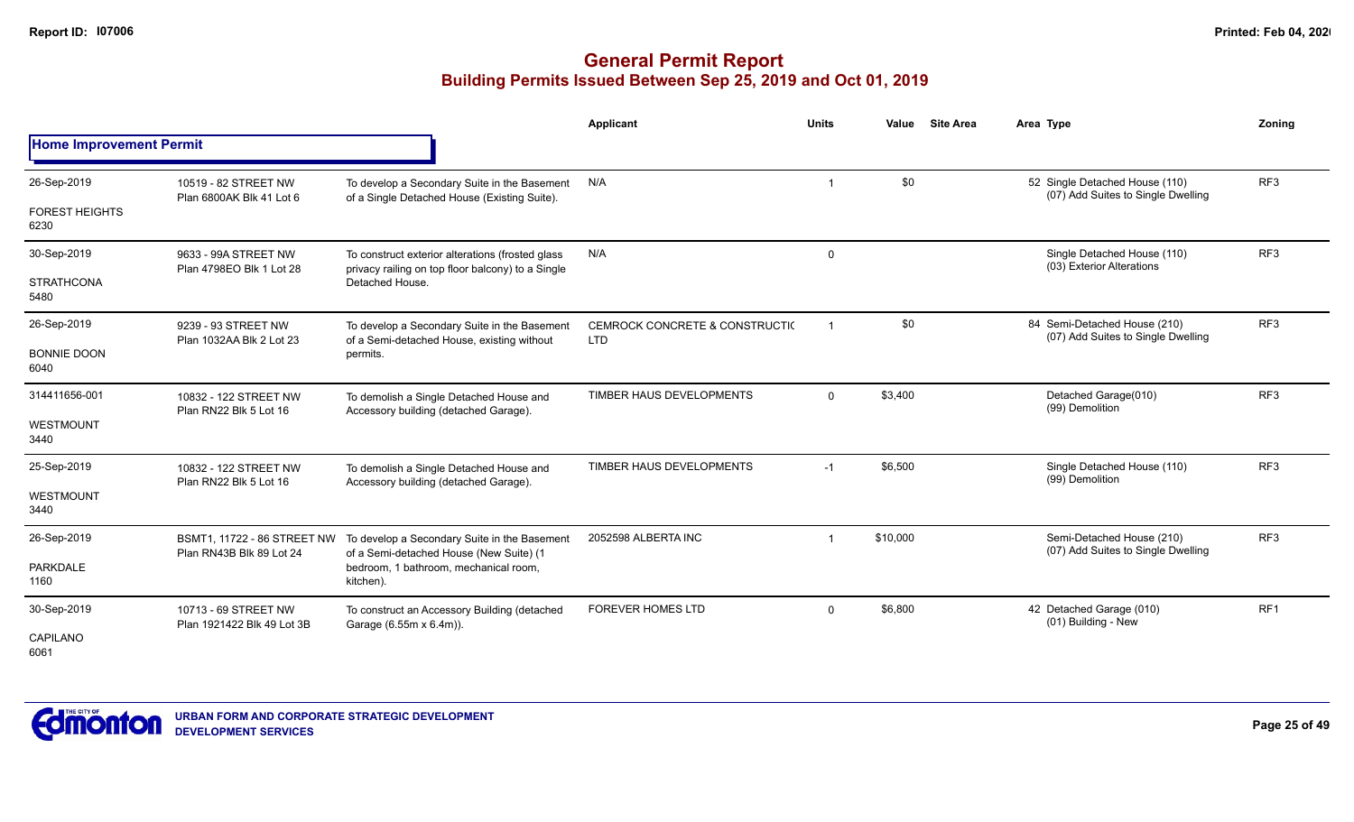|                                |                                                         |                                                                                                       | <b>Applicant</b>                                        | <b>Units</b>            | <b>Site Area</b><br>Value | Area Type                                                            | Zoning          |
|--------------------------------|---------------------------------------------------------|-------------------------------------------------------------------------------------------------------|---------------------------------------------------------|-------------------------|---------------------------|----------------------------------------------------------------------|-----------------|
| <b>Home Improvement Permit</b> |                                                         |                                                                                                       |                                                         |                         |                           |                                                                      |                 |
| 26-Sep-2019                    | 10519 - 82 STREET NW<br>Plan 6800AK Blk 41 Lot 6        | To develop a Secondary Suite in the Basement<br>of a Single Detached House (Existing Suite).          | N/A                                                     |                         | \$0                       | 52 Single Detached House (110)<br>(07) Add Suites to Single Dwelling | RF <sub>3</sub> |
| <b>FOREST HEIGHTS</b><br>6230  |                                                         |                                                                                                       |                                                         |                         |                           |                                                                      |                 |
| 30-Sep-2019                    | 9633 - 99A STREET NW<br>Plan 4798EO Blk 1 Lot 28        | To construct exterior alterations (frosted glass<br>privacy railing on top floor balcony) to a Single | N/A                                                     | $\mathbf 0$             |                           | Single Detached House (110)<br>(03) Exterior Alterations             | RF <sub>3</sub> |
| <b>STRATHCONA</b><br>5480      |                                                         | Detached House.                                                                                       |                                                         |                         |                           |                                                                      |                 |
| 26-Sep-2019                    | 9239 - 93 STREET NW<br>Plan 1032AA Blk 2 Lot 23         | To develop a Secondary Suite in the Basement<br>of a Semi-detached House, existing without            | <b>CEMROCK CONCRETE &amp; CONSTRUCTI(</b><br><b>LTD</b> | $\overline{\mathbf{1}}$ | \$0                       | 84 Semi-Detached House (210)<br>(07) Add Suites to Single Dwelling   | RF <sub>3</sub> |
| <b>BONNIE DOON</b><br>6040     |                                                         | permits.                                                                                              |                                                         |                         |                           |                                                                      |                 |
| 314411656-001                  | 10832 - 122 STREET NW                                   | To demolish a Single Detached House and<br>Accessory building (detached Garage).                      | TIMBER HAUS DEVELOPMENTS                                | $\Omega$                | \$3,400                   | Detached Garage(010)<br>(99) Demolition                              | RF <sub>3</sub> |
| <b>WESTMOUNT</b><br>3440       | Plan RN22 Blk 5 Lot 16                                  |                                                                                                       |                                                         |                         |                           |                                                                      |                 |
| 25-Sep-2019                    | 10832 - 122 STREET NW<br>Plan RN22 Blk 5 Lot 16         | To demolish a Single Detached House and<br>Accessory building (detached Garage).                      | TIMBER HAUS DEVELOPMENTS                                | $-1$                    | \$6,500                   | Single Detached House (110)<br>(99) Demolition                       | RF3             |
| <b>WESTMOUNT</b><br>3440       |                                                         |                                                                                                       |                                                         |                         |                           |                                                                      |                 |
| 26-Sep-2019                    | BSMT1, 11722 - 86 STREET NW<br>Plan RN43B Blk 89 Lot 24 | To develop a Secondary Suite in the Basement<br>of a Semi-detached House (New Suite) (1               | 2052598 ALBERTA INC                                     |                         | \$10,000                  | Semi-Detached House (210)<br>(07) Add Suites to Single Dwelling      | RF <sub>3</sub> |
| <b>PARKDALE</b><br>1160        |                                                         | bedroom, 1 bathroom, mechanical room,<br>kitchen).                                                    |                                                         |                         |                           |                                                                      |                 |
| 30-Sep-2019                    | 10713 - 69 STREET NW<br>Plan 1921422 Blk 49 Lot 3B      | To construct an Accessory Building (detached<br>Garage (6.55m x 6.4m)).                               | <b>FOREVER HOMES LTD</b>                                | $\mathbf 0$             | \$6,800                   | 42 Detached Garage (010)<br>(01) Building - New                      | RF1             |
| CAPILANO<br>6061               |                                                         |                                                                                                       |                                                         |                         |                           |                                                                      |                 |

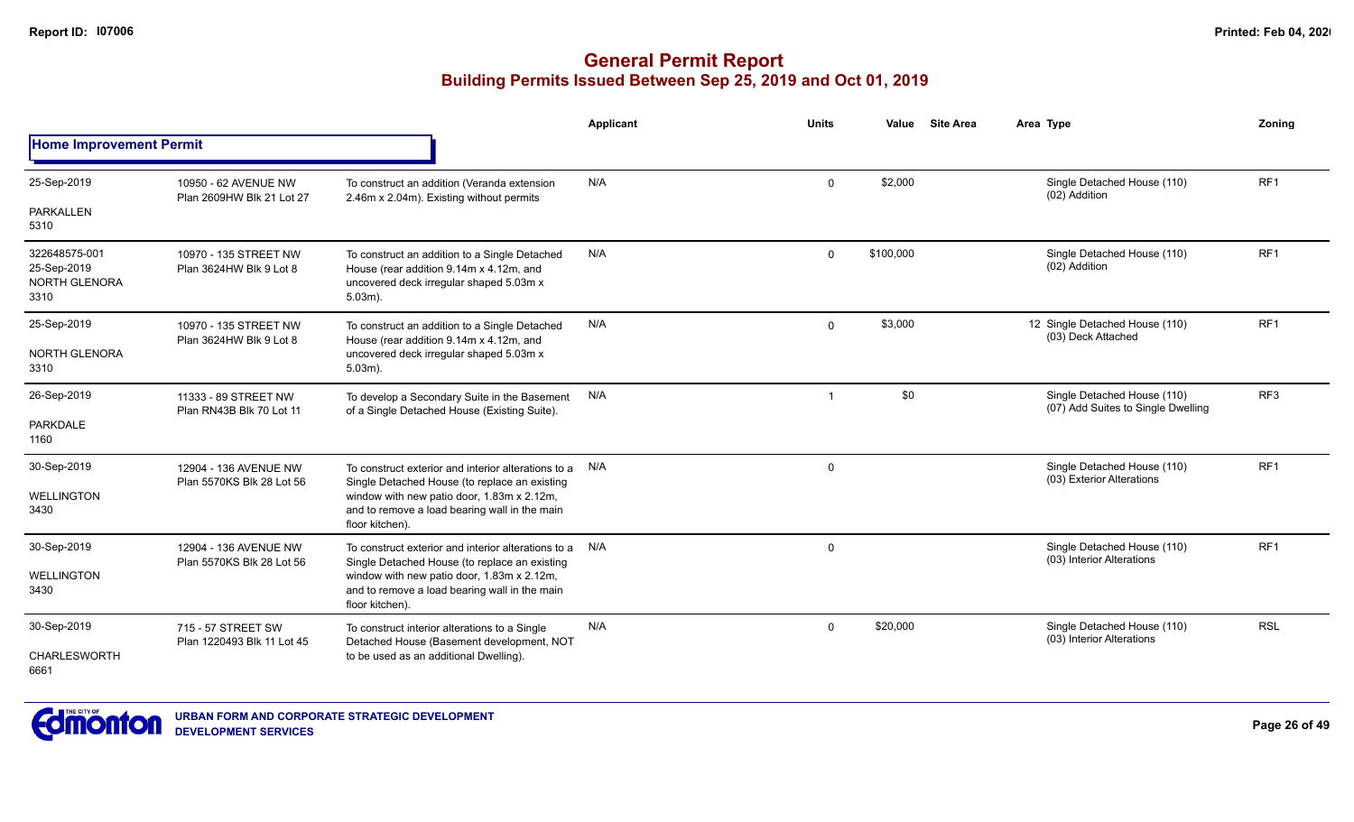|                                                       |                                                    |                                                                                                                                                   | Applicant | Units        | Value     | <b>Site Area</b>                                         | Area Type                                                         | Zoning          |
|-------------------------------------------------------|----------------------------------------------------|---------------------------------------------------------------------------------------------------------------------------------------------------|-----------|--------------|-----------|----------------------------------------------------------|-------------------------------------------------------------------|-----------------|
| <b>Home Improvement Permit</b>                        |                                                    |                                                                                                                                                   |           |              |           |                                                          |                                                                   |                 |
| 25-Sep-2019                                           | 10950 - 62 AVENUE NW<br>Plan 2609HW Blk 21 Lot 27  | To construct an addition (Veranda extension<br>2.46m x 2.04m). Existing without permits                                                           | N/A       | $\Omega$     | \$2,000   |                                                          | Single Detached House (110)<br>(02) Addition                      | RF <sub>1</sub> |
| PARKALLEN<br>5310                                     |                                                    |                                                                                                                                                   |           |              |           |                                                          |                                                                   |                 |
| 322648575-001<br>25-Sep-2019<br>NORTH GLENORA<br>3310 | 10970 - 135 STREET NW<br>Plan 3624HW Blk 9 Lot 8   | To construct an addition to a Single Detached<br>House (rear addition 9.14m x 4.12m, and<br>uncovered deck irregular shaped 5.03m x<br>$5.03m$ ). | N/A       | 0            | \$100,000 |                                                          | Single Detached House (110)<br>(02) Addition                      | RF <sub>1</sub> |
| 25-Sep-2019                                           | 10970 - 135 STREET NW<br>Plan 3624HW Blk 9 Lot 8   | To construct an addition to a Single Detached<br>House (rear addition 9.14m x 4.12m, and                                                          | N/A       | $\mathbf 0$  | \$3,000   |                                                          | 12 Single Detached House (110)<br>(03) Deck Attached              | RF <sub>1</sub> |
| <b>NORTH GLENORA</b><br>3310                          |                                                    | uncovered deck irregular shaped 5.03m x<br>$5.03m$ ).                                                                                             |           |              |           |                                                          |                                                                   |                 |
| 26-Sep-2019                                           | 11333 - 89 STREET NW<br>Plan RN43B Blk 70 Lot 11   | To develop a Secondary Suite in the Basement<br>of a Single Detached House (Existing Suite).                                                      | N/A       | $\mathbf{1}$ | \$0       |                                                          | Single Detached House (110)<br>(07) Add Suites to Single Dwelling | RF <sub>3</sub> |
| <b>PARKDALE</b><br>1160                               |                                                    |                                                                                                                                                   |           |              |           |                                                          |                                                                   |                 |
| 30-Sep-2019                                           | 12904 - 136 AVENUE NW<br>Plan 5570KS Blk 28 Lot 56 | To construct exterior and interior alterations to a<br>Single Detached House (to replace an existing                                              | N/A       | $\Omega$     |           |                                                          | Single Detached House (110)<br>(03) Exterior Alterations          | RF <sub>1</sub> |
| <b>WELLINGTON</b><br>3430                             |                                                    | window with new patio door, 1.83m x 2.12m,<br>and to remove a load bearing wall in the main<br>floor kitchen).                                    |           |              |           |                                                          |                                                                   |                 |
| 30-Sep-2019                                           | 12904 - 136 AVENUE NW                              | To construct exterior and interior alterations to a N/A<br>Single Detached House (to replace an existing                                          |           | $\Omega$     |           |                                                          | Single Detached House (110)<br>(03) Interior Alterations          | RF1             |
| <b>WELLINGTON</b><br>3430                             | Plan 5570KS Blk 28 Lot 56                          | window with new patio door, 1.83m x 2.12m,<br>and to remove a load bearing wall in the main<br>floor kitchen).                                    |           |              |           |                                                          |                                                                   |                 |
| 30-Sep-2019                                           | 715 - 57 STREET SW<br>Plan 1220493 Blk 11 Lot 45   | N/A<br>To construct interior alterations to a Single<br>Detached House (Basement development, NOT                                                 | $\Omega$  | \$20,000     |           | Single Detached House (110)<br>(03) Interior Alterations | <b>RSL</b>                                                        |                 |
| <b>CHARLESWORTH</b><br>6661                           |                                                    | to be used as an additional Dwelling).                                                                                                            |           |              |           |                                                          |                                                                   |                 |

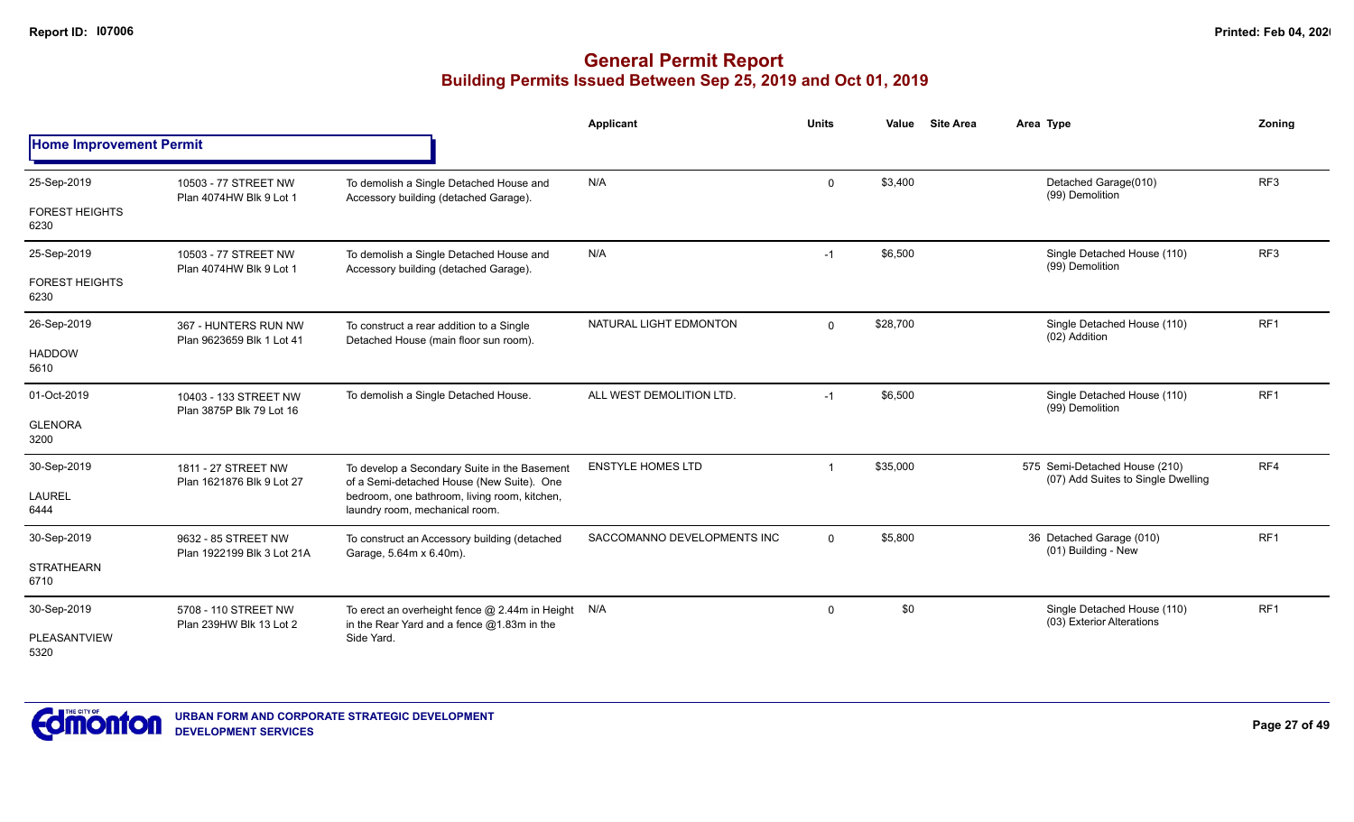|                                |                                                   |                                                                                                      | <b>Applicant</b>            | <b>Units</b> | <b>Site Area</b><br>Value | Area Type                                                           | Zoning          |
|--------------------------------|---------------------------------------------------|------------------------------------------------------------------------------------------------------|-----------------------------|--------------|---------------------------|---------------------------------------------------------------------|-----------------|
| <b>Home Improvement Permit</b> |                                                   |                                                                                                      |                             |              |                           |                                                                     |                 |
| 25-Sep-2019                    | 10503 - 77 STREET NW                              | To demolish a Single Detached House and                                                              | N/A                         | $\mathbf 0$  | \$3,400                   | Detached Garage(010)<br>(99) Demolition                             | RF <sub>3</sub> |
| <b>FOREST HEIGHTS</b><br>6230  | Plan 4074HW Blk 9 Lot 1                           | Accessory building (detached Garage).                                                                |                             |              |                           |                                                                     |                 |
| 25-Sep-2019                    | 10503 - 77 STREET NW<br>Plan 4074HW Blk 9 Lot 1   | To demolish a Single Detached House and<br>Accessory building (detached Garage).                     | N/A                         | $-1$         | \$6,500                   | Single Detached House (110)<br>(99) Demolition                      | RF3             |
| <b>FOREST HEIGHTS</b><br>6230  |                                                   |                                                                                                      |                             |              |                           |                                                                     |                 |
| 26-Sep-2019                    | 367 - HUNTERS RUN NW<br>Plan 9623659 Blk 1 Lot 41 | To construct a rear addition to a Single<br>Detached House (main floor sun room).                    | NATURAL LIGHT EDMONTON      | $\mathbf{0}$ | \$28,700                  | Single Detached House (110)<br>(02) Addition                        | RF <sub>1</sub> |
| <b>HADDOW</b><br>5610          |                                                   |                                                                                                      |                             |              |                           |                                                                     |                 |
| 01-Oct-2019                    | 10403 - 133 STREET NW<br>Plan 3875P Blk 79 Lot 16 | To demolish a Single Detached House.                                                                 | ALL WEST DEMOLITION LTD.    | $-1$         | \$6,500                   | Single Detached House (110)<br>(99) Demolition                      | RF <sub>1</sub> |
| <b>GLENORA</b><br>3200         |                                                   |                                                                                                      |                             |              |                           |                                                                     |                 |
| 30-Sep-2019                    | 1811 - 27 STREET NW<br>Plan 1621876 Blk 9 Lot 27  | To develop a Secondary Suite in the Basement<br>of a Semi-detached House (New Suite). One            | <b>ENSTYLE HOMES LTD</b>    | -1           | \$35,000                  | 575 Semi-Detached House (210)<br>(07) Add Suites to Single Dwelling | RF4             |
| <b>LAUREL</b><br>6444          |                                                   | bedroom, one bathroom, living room, kitchen,<br>laundry room, mechanical room.                       |                             |              |                           |                                                                     |                 |
| 30-Sep-2019                    | 9632 - 85 STREET NW<br>Plan 1922199 Blk 3 Lot 21A | To construct an Accessory building (detached<br>Garage, 5.64m x 6.40m).                              | SACCOMANNO DEVELOPMENTS INC | $\mathbf 0$  | \$5,800                   | 36 Detached Garage (010)<br>(01) Building - New                     | RF <sub>1</sub> |
| <b>STRATHEARN</b><br>6710      |                                                   |                                                                                                      |                             |              |                           |                                                                     |                 |
| 30-Sep-2019                    | 5708 - 110 STREET NW<br>Plan 239HW Blk 13 Lot 2   | To erect an overheight fence $@$ 2.44m in Height $N/A$<br>in the Rear Yard and a fence @1.83m in the |                             | 0            | \$0                       | Single Detached House (110)<br>(03) Exterior Alterations            | RF <sub>1</sub> |
| PLEASANTVIEW<br>5320           |                                                   | Side Yard.                                                                                           |                             |              |                           |                                                                     |                 |

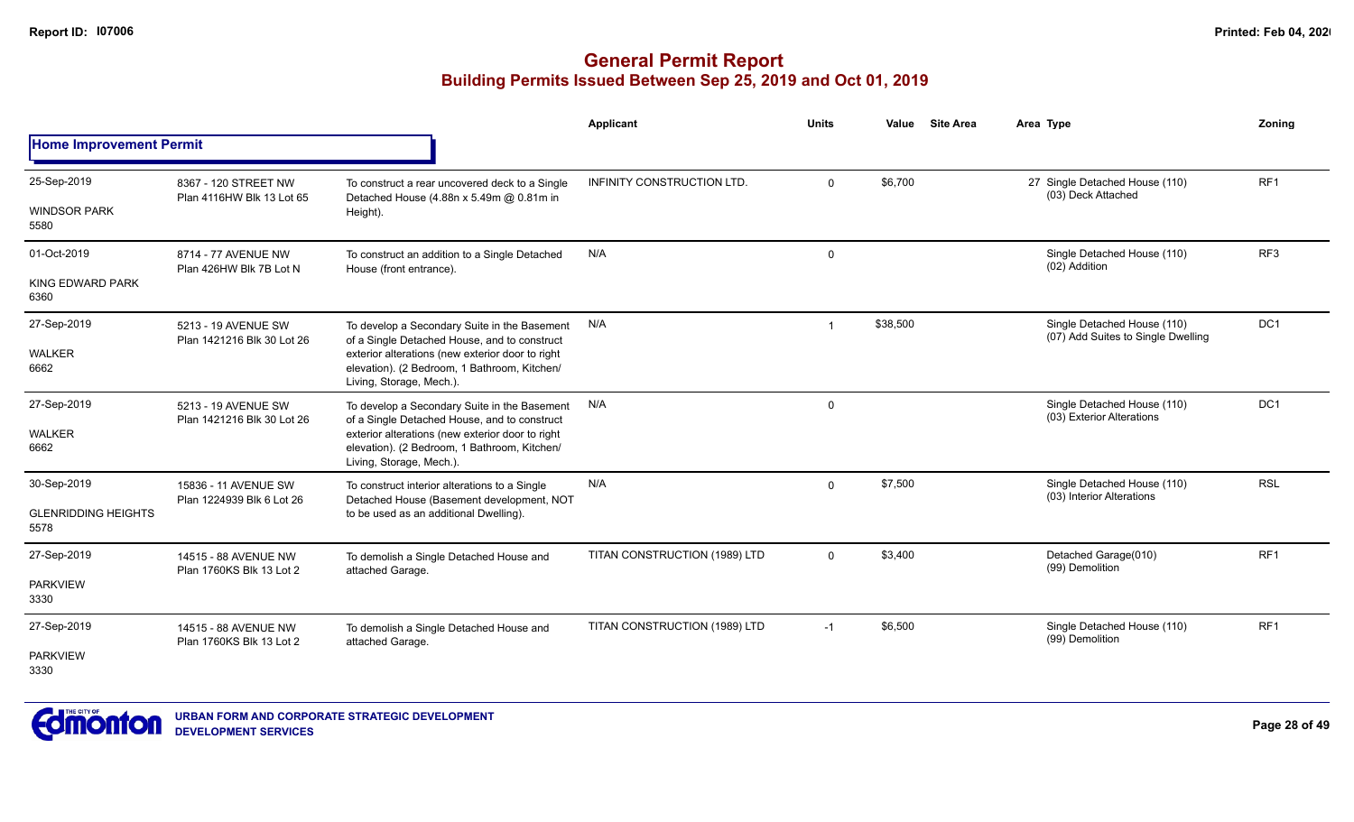|                                    |                                                   |                                                                                                                              | Applicant                     | <b>Units</b>   | Value    | <b>Site Area</b> | Area Type                                                         | Zonina          |
|------------------------------------|---------------------------------------------------|------------------------------------------------------------------------------------------------------------------------------|-------------------------------|----------------|----------|------------------|-------------------------------------------------------------------|-----------------|
| <b>Home Improvement Permit</b>     |                                                   |                                                                                                                              |                               |                |          |                  |                                                                   |                 |
| 25-Sep-2019<br><b>WINDSOR PARK</b> | 8367 - 120 STREET NW<br>Plan 4116HW Blk 13 Lot 65 | To construct a rear uncovered deck to a Single<br>Detached House (4.88n x 5.49m @ 0.81m in<br>Height).                       | INFINITY CONSTRUCTION LTD.    | $\mathbf 0$    | \$6,700  |                  | 27 Single Detached House (110)<br>(03) Deck Attached              | RF1             |
| 5580                               |                                                   |                                                                                                                              |                               |                |          |                  |                                                                   |                 |
| 01-Oct-2019                        | 8714 - 77 AVENUE NW<br>Plan 426HW Blk 7B Lot N    | To construct an addition to a Single Detached<br>House (front entrance).                                                     | N/A                           | $\mathbf 0$    |          |                  | Single Detached House (110)<br>(02) Addition                      | RF <sub>3</sub> |
| <b>KING EDWARD PARK</b><br>6360    |                                                   |                                                                                                                              |                               |                |          |                  |                                                                   |                 |
| 27-Sep-2019                        | 5213 - 19 AVENUE SW<br>Plan 1421216 Blk 30 Lot 26 | To develop a Secondary Suite in the Basement<br>of a Single Detached House, and to construct                                 | N/A                           | $\overline{1}$ | \$38,500 |                  | Single Detached House (110)<br>(07) Add Suites to Single Dwelling | DC1             |
| <b>WALKER</b><br>6662              |                                                   | exterior alterations (new exterior door to right<br>elevation). (2 Bedroom, 1 Bathroom, Kitchen/<br>Living, Storage, Mech.). |                               |                |          |                  |                                                                   |                 |
| 27-Sep-2019                        | 5213 - 19 AVENUE SW<br>Plan 1421216 Blk 30 Lot 26 | To develop a Secondary Suite in the Basement<br>of a Single Detached House, and to construct                                 | N/A                           | $\mathbf 0$    |          |                  | Single Detached House (110)<br>(03) Exterior Alterations          | DC1             |
| <b>WALKER</b><br>6662              |                                                   | exterior alterations (new exterior door to right<br>elevation). (2 Bedroom, 1 Bathroom, Kitchen/<br>Living, Storage, Mech.). |                               |                |          |                  |                                                                   |                 |
| 30-Sep-2019                        | 15836 - 11 AVENUE SW<br>Plan 1224939 Blk 6 Lot 26 | To construct interior alterations to a Single<br>Detached House (Basement development, NOT                                   | N/A                           | $\Omega$       | \$7,500  |                  | Single Detached House (110)<br>(03) Interior Alterations          | <b>RSL</b>      |
| <b>GLENRIDDING HEIGHTS</b><br>5578 |                                                   | to be used as an additional Dwelling).                                                                                       |                               |                |          |                  |                                                                   |                 |
| 27-Sep-2019                        | 14515 - 88 AVENUE NW<br>Plan 1760KS Blk 13 Lot 2  | To demolish a Single Detached House and<br>attached Garage.                                                                  | TITAN CONSTRUCTION (1989) LTD | $\Omega$       | \$3,400  |                  | Detached Garage(010)<br>(99) Demolition                           | RF1             |
| <b>PARKVIEW</b><br>3330            |                                                   |                                                                                                                              |                               |                |          |                  |                                                                   |                 |
| 27-Sep-2019                        | 14515 - 88 AVENUE NW<br>Plan 1760KS Blk 13 Lot 2  | To demolish a Single Detached House and<br>attached Garage.                                                                  | TITAN CONSTRUCTION (1989) LTD | $-1$           | \$6,500  |                  | Single Detached House (110)<br>(99) Demolition                    | RF1             |
| <b>PARKVIEW</b><br>3330            |                                                   |                                                                                                                              |                               |                |          |                  |                                                                   |                 |

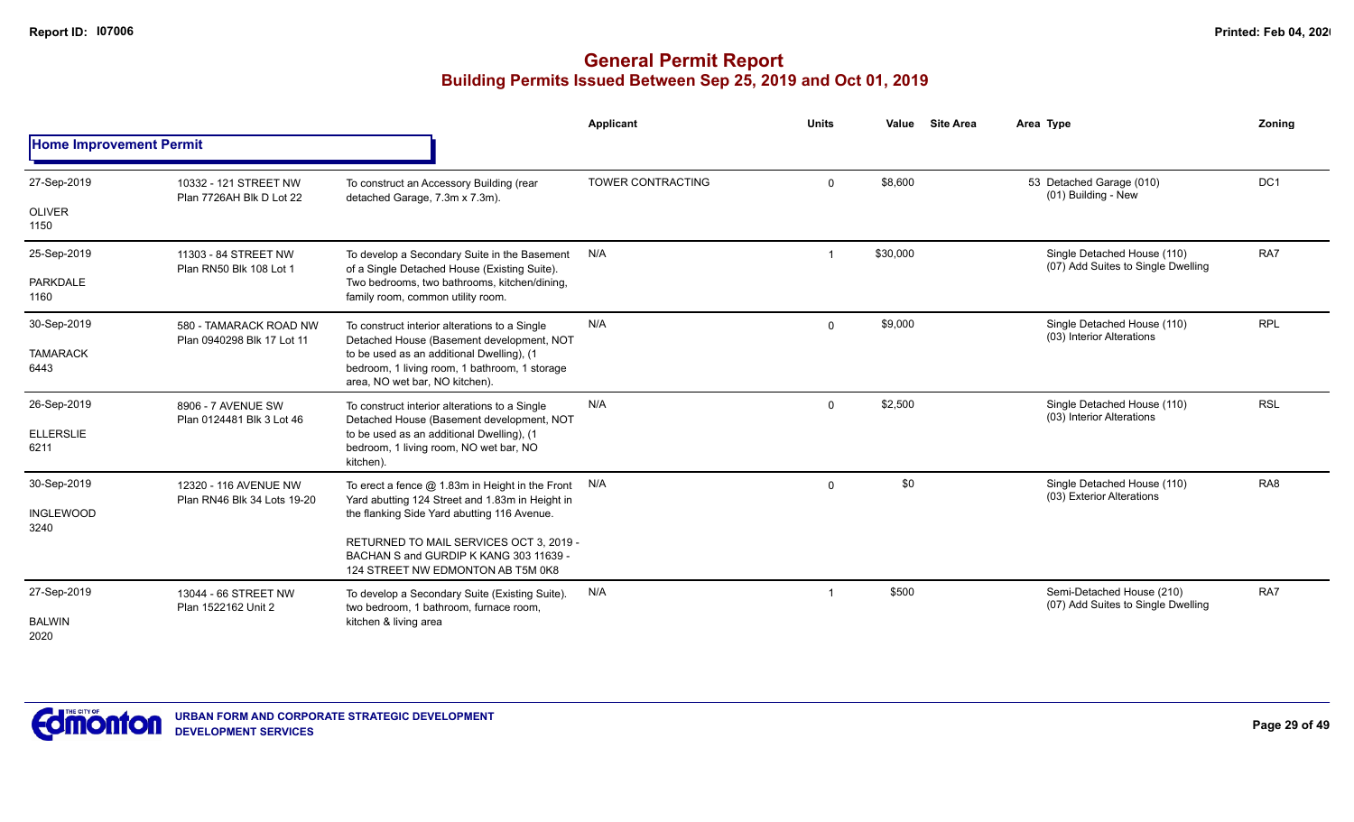|                                         |                                                      |                                                                                                                                                                                                                                                                                     | Applicant         | <b>Units</b> | Value    | <b>Site Area</b> | Area Type                                                         | Zoning          |
|-----------------------------------------|------------------------------------------------------|-------------------------------------------------------------------------------------------------------------------------------------------------------------------------------------------------------------------------------------------------------------------------------------|-------------------|--------------|----------|------------------|-------------------------------------------------------------------|-----------------|
| <b>Home Improvement Permit</b>          |                                                      |                                                                                                                                                                                                                                                                                     |                   |              |          |                  |                                                                   |                 |
| 27-Sep-2019<br><b>OLIVER</b><br>1150    | 10332 - 121 STREET NW<br>Plan 7726AH Blk D Lot 22    | To construct an Accessory Building (rear<br>detached Garage, 7.3m x 7.3m).                                                                                                                                                                                                          | TOWER CONTRACTING | $\Omega$     | \$8,600  |                  | 53 Detached Garage (010)<br>(01) Building - New                   | DC <sub>1</sub> |
| 25-Sep-2019<br><b>PARKDALE</b><br>1160  | 11303 - 84 STREET NW<br>Plan RN50 Blk 108 Lot 1      | To develop a Secondary Suite in the Basement<br>of a Single Detached House (Existing Suite).<br>Two bedrooms, two bathrooms, kitchen/dining,<br>family room, common utility room.                                                                                                   | N/A               |              | \$30,000 |                  | Single Detached House (110)<br>(07) Add Suites to Single Dwelling | RA7             |
| 30-Sep-2019<br><b>TAMARACK</b><br>6443  | 580 - TAMARACK ROAD NW<br>Plan 0940298 Blk 17 Lot 11 | To construct interior alterations to a Single<br>Detached House (Basement development, NOT<br>to be used as an additional Dwelling), (1<br>bedroom, 1 living room, 1 bathroom, 1 storage<br>area, NO wet bar, NO kitchen).                                                          | N/A               | $\Omega$     | \$9,000  |                  | Single Detached House (110)<br>(03) Interior Alterations          | <b>RPL</b>      |
| 26-Sep-2019<br><b>ELLERSLIE</b><br>6211 | 8906 - 7 AVENUE SW<br>Plan 0124481 Blk 3 Lot 46      | To construct interior alterations to a Single<br>Detached House (Basement development, NOT<br>to be used as an additional Dwelling), (1<br>bedroom, 1 living room, NO wet bar, NO<br>kitchen).                                                                                      | N/A               | $\Omega$     | \$2,500  |                  | Single Detached House (110)<br>(03) Interior Alterations          | <b>RSL</b>      |
| 30-Sep-2019<br><b>INGLEWOOD</b><br>3240 | 12320 - 116 AVENUE NW<br>Plan RN46 Blk 34 Lots 19-20 | To erect a fence $@$ 1.83m in Height in the Front $N/A$<br>Yard abutting 124 Street and 1.83m in Height in<br>the flanking Side Yard abutting 116 Avenue.<br>RETURNED TO MAIL SERVICES OCT 3, 2019 -<br>BACHAN S and GURDIP K KANG 303 11639 -<br>124 STREET NW EDMONTON AB T5M 0K8 |                   | $\mathbf 0$  | \$0      |                  | Single Detached House (110)<br>(03) Exterior Alterations          | RA <sub>8</sub> |
| 27-Sep-2019<br><b>BALWIN</b><br>2020    | 13044 - 66 STREET NW<br>Plan 1522162 Unit 2          | To develop a Secondary Suite (Existing Suite).<br>two bedroom, 1 bathroom, furnace room,<br>kitchen & living area                                                                                                                                                                   | N/A               |              | \$500    |                  | Semi-Detached House (210)<br>(07) Add Suites to Single Dwelling   | RA7             |

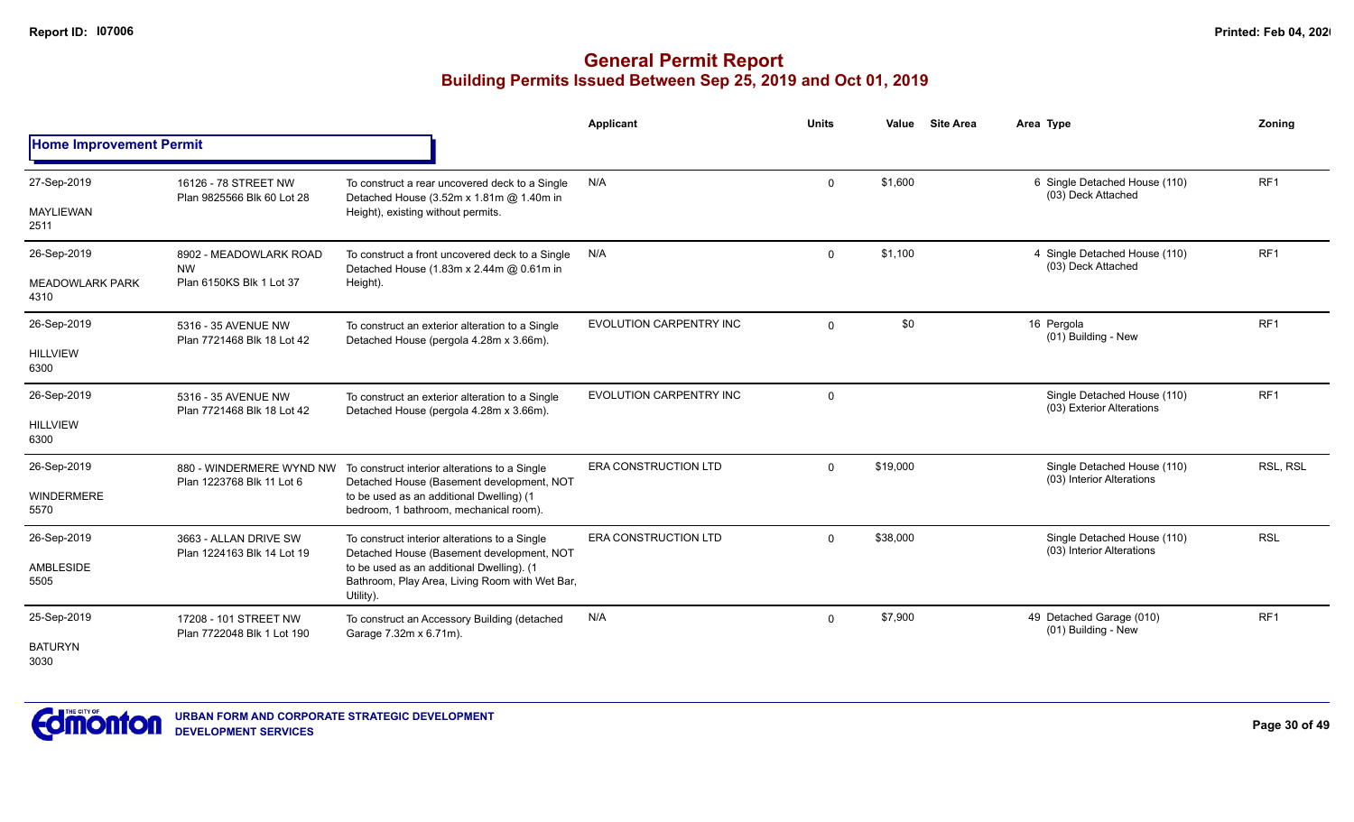|                                |                                                       |                                                                                                          | <b>Applicant</b>            | <b>Units</b> | Value    | <b>Site Area</b> | Area Type                                                | Zoning          |
|--------------------------------|-------------------------------------------------------|----------------------------------------------------------------------------------------------------------|-----------------------------|--------------|----------|------------------|----------------------------------------------------------|-----------------|
| <b>Home Improvement Permit</b> |                                                       |                                                                                                          |                             |              |          |                  |                                                          |                 |
| 27-Sep-2019                    | 16126 - 78 STREET NW<br>Plan 9825566 Blk 60 Lot 28    | To construct a rear uncovered deck to a Single<br>Detached House (3.52m x 1.81m @ 1.40m in               | N/A                         | $\Omega$     | \$1,600  |                  | 6 Single Detached House (110)<br>(03) Deck Attached      | RF <sub>1</sub> |
| MAYLIEWAN<br>2511              |                                                       | Height), existing without permits.                                                                       |                             |              |          |                  |                                                          |                 |
| 26-Sep-2019                    | 8902 - MEADOWLARK ROAD<br><b>NW</b>                   | To construct a front uncovered deck to a Single<br>Detached House (1.83m x 2.44m @ 0.61m in              | N/A                         | $\mathbf 0$  | \$1,100  |                  | 4 Single Detached House (110)<br>(03) Deck Attached      | RF <sub>1</sub> |
| <b>MEADOWLARK PARK</b><br>4310 | Plan 6150KS Blk 1 Lot 37                              | Height).                                                                                                 |                             |              |          |                  |                                                          |                 |
| 26-Sep-2019                    | 5316 - 35 AVENUE NW<br>Plan 7721468 Blk 18 Lot 42     | To construct an exterior alteration to a Single<br>Detached House (pergola 4.28m x 3.66m).               | EVOLUTION CARPENTRY INC     | $\mathbf 0$  | \$0      |                  | 16 Pergola<br>(01) Building - New                        | RF <sub>1</sub> |
| <b>HILLVIEW</b><br>6300        |                                                       |                                                                                                          |                             |              |          |                  |                                                          |                 |
| 26-Sep-2019                    | 5316 - 35 AVENUE NW<br>Plan 7721468 Blk 18 Lot 42     | To construct an exterior alteration to a Single<br>Detached House (pergola 4.28m x 3.66m).               | EVOLUTION CARPENTRY INC     | $\mathbf 0$  |          |                  | Single Detached House (110)<br>(03) Exterior Alterations | RF <sub>1</sub> |
| <b>HILLVIEW</b><br>6300        |                                                       |                                                                                                          |                             |              |          |                  |                                                          |                 |
| 26-Sep-2019                    | 880 - WINDERMERE WYND NW<br>Plan 1223768 Blk 11 Lot 6 | To construct interior alterations to a Single<br>Detached House (Basement development, NOT               | <b>ERA CONSTRUCTION LTD</b> | $\Omega$     | \$19,000 |                  | Single Detached House (110)<br>(03) Interior Alterations | RSL, RSL        |
| WINDERMERE<br>5570             |                                                       | to be used as an additional Dwelling) (1<br>bedroom, 1 bathroom, mechanical room).                       |                             |              |          |                  |                                                          |                 |
| 26-Sep-2019                    | 3663 - ALLAN DRIVE SW                                 | To construct interior alterations to a Single<br>Detached House (Basement development, NOT               | <b>ERA CONSTRUCTION LTD</b> | $\Omega$     | \$38,000 |                  | Single Detached House (110)<br>(03) Interior Alterations | <b>RSL</b>      |
| <b>AMBLESIDE</b><br>5505       | Plan 1224163 Blk 14 Lot 19                            | to be used as an additional Dwelling). (1<br>Bathroom, Play Area, Living Room with Wet Bar,<br>Utility). |                             |              |          |                  |                                                          |                 |
| 25-Sep-2019                    | 17208 - 101 STREET NW<br>Plan 7722048 Blk 1 Lot 190   | To construct an Accessory Building (detached<br>Garage 7.32m x 6.71m).                                   | N/A                         | $\mathbf 0$  | \$7,900  |                  | 49 Detached Garage (010)<br>(01) Building - New          | RF <sub>1</sub> |
| <b>BATURYN</b><br>3030         |                                                       |                                                                                                          |                             |              |          |                  |                                                          |                 |

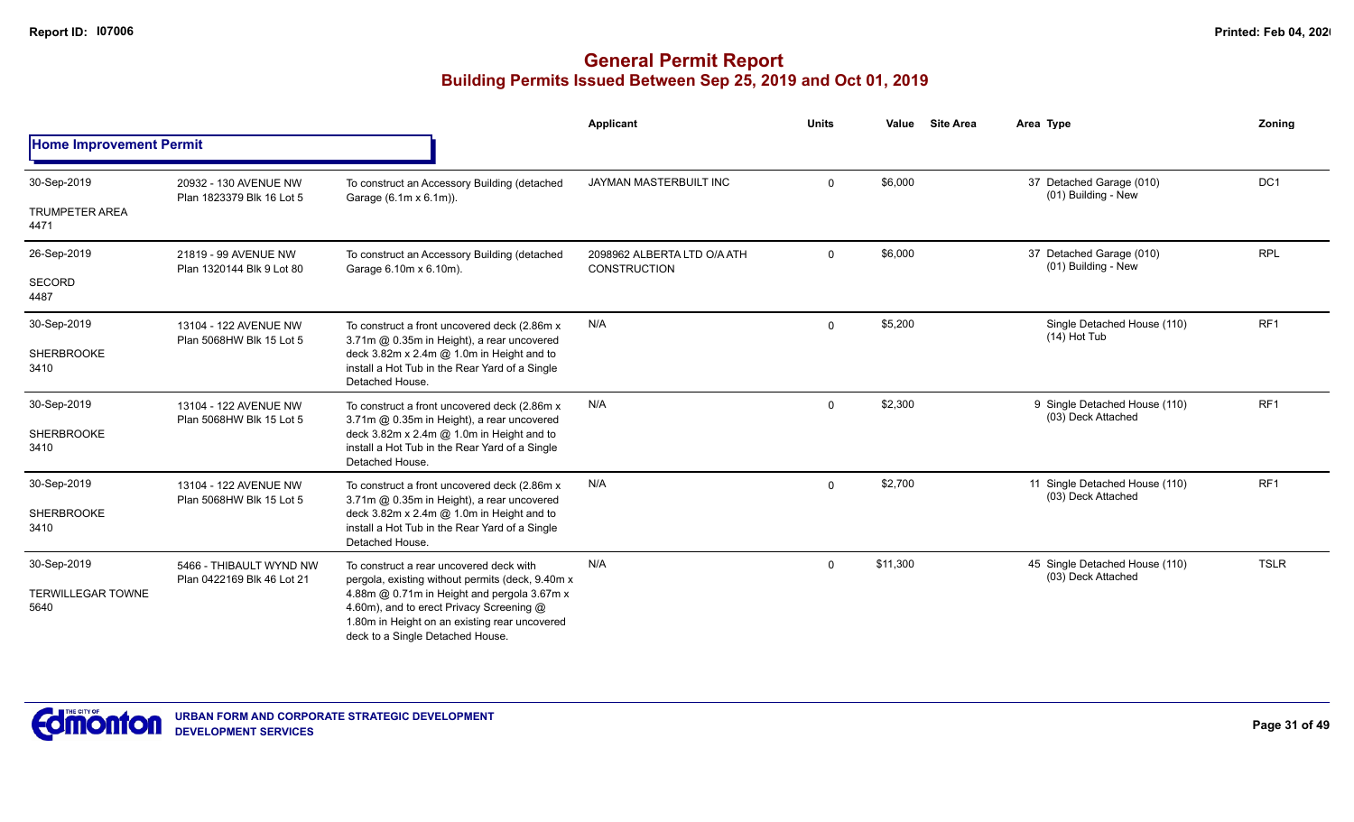|                                  |                                                       |                                                                                                                                                                              | Applicant                                   | <b>Units</b> | <b>Site Area</b><br>Value | Area Type                                            | Zoning          |
|----------------------------------|-------------------------------------------------------|------------------------------------------------------------------------------------------------------------------------------------------------------------------------------|---------------------------------------------|--------------|---------------------------|------------------------------------------------------|-----------------|
| <b>Home Improvement Permit</b>   |                                                       |                                                                                                                                                                              |                                             |              |                           |                                                      |                 |
| 30-Sep-2019                      | 20932 - 130 AVENUE NW<br>Plan 1823379 Blk 16 Lot 5    | To construct an Accessory Building (detached<br>Garage (6.1m x 6.1m)).                                                                                                       | JAYMAN MASTERBUILT INC                      | $\mathsf{O}$ | \$6,000                   | 37 Detached Garage (010)<br>(01) Building - New      | DC1             |
| <b>TRUMPETER AREA</b><br>4471    |                                                       |                                                                                                                                                                              |                                             |              |                           |                                                      |                 |
| 26-Sep-2019                      | 21819 - 99 AVENUE NW<br>Plan 1320144 Blk 9 Lot 80     | To construct an Accessory Building (detached<br>Garage 6.10m x 6.10m).                                                                                                       | 2098962 ALBERTA LTD O/A ATH<br>CONSTRUCTION | $\mathsf{O}$ | \$6,000                   | 37 Detached Garage (010)<br>(01) Building - New      | <b>RPL</b>      |
| SECORD<br>4487                   |                                                       |                                                                                                                                                                              |                                             |              |                           |                                                      |                 |
| 30-Sep-2019                      | 13104 - 122 AVENUE NW                                 | To construct a front uncovered deck (2.86m x)<br>3.71m @ 0.35m in Height), a rear uncovered                                                                                  | N/A                                         | $\mathbf 0$  | \$5,200                   | Single Detached House (110)<br>$(14)$ Hot Tub        | RF1             |
| SHERBROOKE<br>3410               | Plan 5068HW Blk 15 Lot 5                              | deck 3.82m x 2.4m @ 1.0m in Height and to<br>install a Hot Tub in the Rear Yard of a Single<br>Detached House.                                                               |                                             |              |                           |                                                      |                 |
| 30-Sep-2019                      | 13104 - 122 AVENUE NW<br>Plan 5068HW Blk 15 Lot 5     | To construct a front uncovered deck (2.86m x<br>3.71m @ 0.35m in Height), a rear uncovered                                                                                   | N/A                                         | $\mathbf 0$  | \$2,300                   | 9 Single Detached House (110)<br>(03) Deck Attached  | RF <sub>1</sub> |
| <b>SHERBROOKE</b><br>3410        |                                                       | deck $3.82m \times 2.4m$ @ 1.0m in Height and to<br>install a Hot Tub in the Rear Yard of a Single<br>Detached House.                                                        |                                             |              |                           |                                                      |                 |
| 30-Sep-2019                      | 13104 - 122 AVENUE NW<br>Plan 5068HW Blk 15 Lot 5     | To construct a front uncovered deck (2.86m x)<br>3.71m @ 0.35m in Height), a rear uncovered                                                                                  | N/A                                         | $\mathbf 0$  | \$2,700                   | 11 Single Detached House (110)<br>(03) Deck Attached | RF <sub>1</sub> |
| <b>SHERBROOKE</b><br>3410        |                                                       | deck $3.82m \times 2.4m$ @ 1.0m in Height and to<br>install a Hot Tub in the Rear Yard of a Single<br>Detached House.                                                        |                                             |              |                           |                                                      |                 |
| 30-Sep-2019                      | 5466 - THIBAULT WYND NW<br>Plan 0422169 Blk 46 Lot 21 | To construct a rear uncovered deck with<br>pergola, existing without permits (deck, 9.40m x)                                                                                 | N/A                                         | $\mathbf 0$  | \$11,300                  | 45 Single Detached House (110)<br>(03) Deck Attached | <b>TSLR</b>     |
| <b>TERWILLEGAR TOWNE</b><br>5640 |                                                       | 4.88m @ 0.71m in Height and pergola 3.67m x<br>4.60m), and to erect Privacy Screening @<br>1.80m in Height on an existing rear uncovered<br>deck to a Single Detached House. |                                             |              |                           |                                                      |                 |

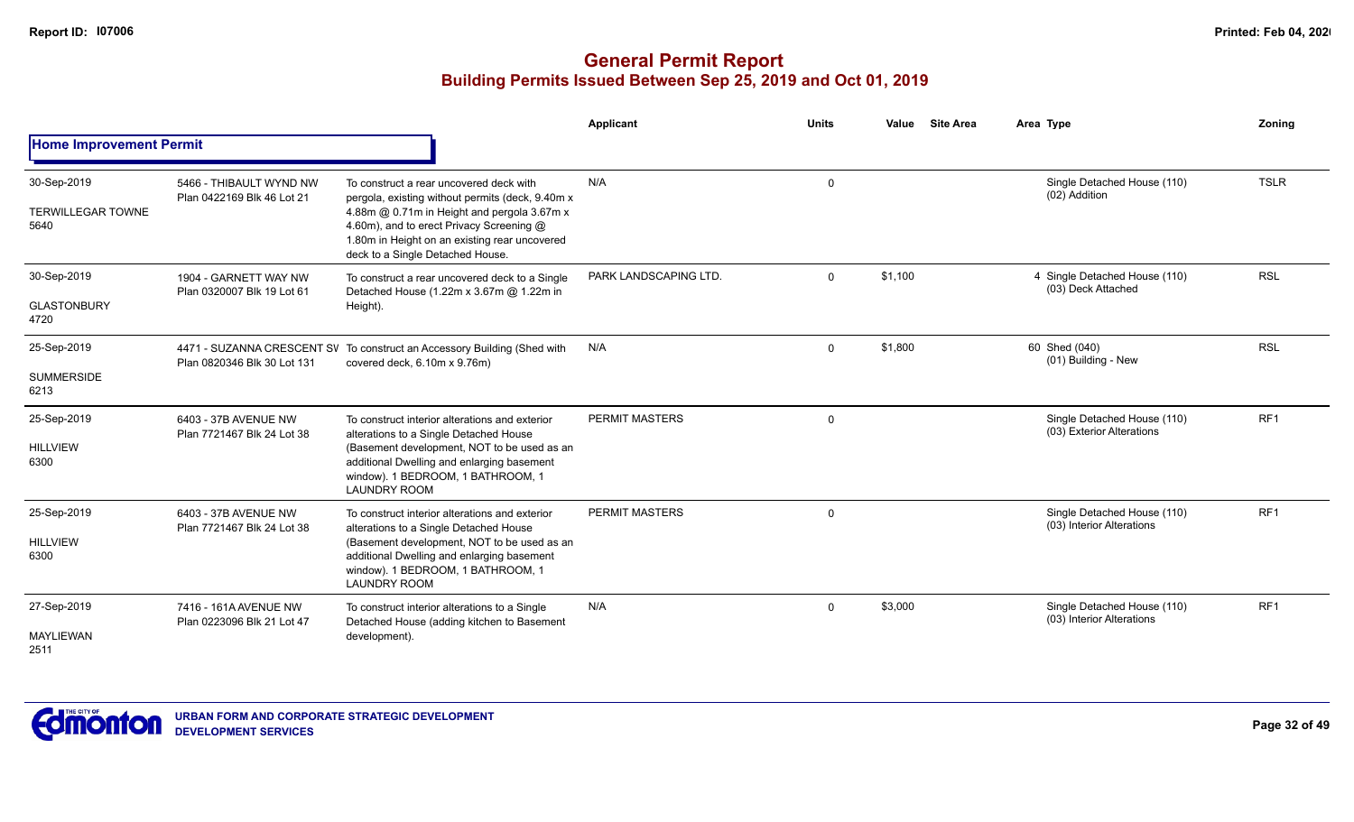|                                                 |                                                       |                                                                                                                                                                                                                                                                             | <b>Applicant</b>      | <b>Units</b> | Value   | <b>Site Area</b> | Area Type                                                | Zoning          |
|-------------------------------------------------|-------------------------------------------------------|-----------------------------------------------------------------------------------------------------------------------------------------------------------------------------------------------------------------------------------------------------------------------------|-----------------------|--------------|---------|------------------|----------------------------------------------------------|-----------------|
| <b>Home Improvement Permit</b>                  |                                                       |                                                                                                                                                                                                                                                                             |                       |              |         |                  |                                                          |                 |
| 30-Sep-2019<br><b>TERWILLEGAR TOWNE</b><br>5640 | 5466 - THIBAULT WYND NW<br>Plan 0422169 Blk 46 Lot 21 | To construct a rear uncovered deck with<br>pergola, existing without permits (deck, 9.40m x<br>4.88m @ 0.71m in Height and pergola 3.67m x<br>4.60m), and to erect Privacy Screening @<br>1.80m in Height on an existing rear uncovered<br>deck to a Single Detached House. | N/A                   | $\mathbf 0$  |         |                  | Single Detached House (110)<br>(02) Addition             | <b>TSLR</b>     |
| 30-Sep-2019<br><b>GLASTONBURY</b><br>4720       | 1904 - GARNETT WAY NW<br>Plan 0320007 Blk 19 Lot 61   | To construct a rear uncovered deck to a Single<br>Detached House (1.22m x 3.67m @ 1.22m in<br>Height).                                                                                                                                                                      | PARK LANDSCAPING LTD. | $\Omega$     | \$1,100 |                  | 4 Single Detached House (110)<br>(03) Deck Attached      | <b>RSL</b>      |
| 25-Sep-2019<br><b>SUMMERSIDE</b><br>6213        | Plan 0820346 Blk 30 Lot 131                           | 4471 - SUZANNA CRESCENT SV To construct an Accessory Building (Shed with<br>covered deck, 6.10m x 9.76m)                                                                                                                                                                    | N/A                   | $\Omega$     | \$1,800 |                  | 60 Shed (040)<br>(01) Building - New                     | <b>RSL</b>      |
| 25-Sep-2019<br><b>HILLVIEW</b><br>6300          | 6403 - 37B AVENUE NW<br>Plan 7721467 Blk 24 Lot 38    | To construct interior alterations and exterior<br>alterations to a Single Detached House<br>(Basement development, NOT to be used as an<br>additional Dwelling and enlarging basement<br>window). 1 BEDROOM, 1 BATHROOM, 1<br><b>LAUNDRY ROOM</b>                           | PERMIT MASTERS        | $\mathbf 0$  |         |                  | Single Detached House (110)<br>(03) Exterior Alterations | RF1             |
| 25-Sep-2019<br><b>HILLVIEW</b><br>6300          | 6403 - 37B AVENUE NW<br>Plan 7721467 Blk 24 Lot 38    | To construct interior alterations and exterior<br>alterations to a Single Detached House<br>(Basement development, NOT to be used as an<br>additional Dwelling and enlarging basement<br>window). 1 BEDROOM, 1 BATHROOM, 1<br><b>LAUNDRY ROOM</b>                           | PERMIT MASTERS        | $\Omega$     |         |                  | Single Detached House (110)<br>(03) Interior Alterations | RF1             |
| 27-Sep-2019<br><b>MAYLIEWAN</b><br>2511         | 7416 - 161A AVENUE NW<br>Plan 0223096 Blk 21 Lot 47   | To construct interior alterations to a Single<br>Detached House (adding kitchen to Basement<br>development).                                                                                                                                                                | N/A                   | $\Omega$     | \$3,000 |                  | Single Detached House (110)<br>(03) Interior Alterations | RF <sub>1</sub> |

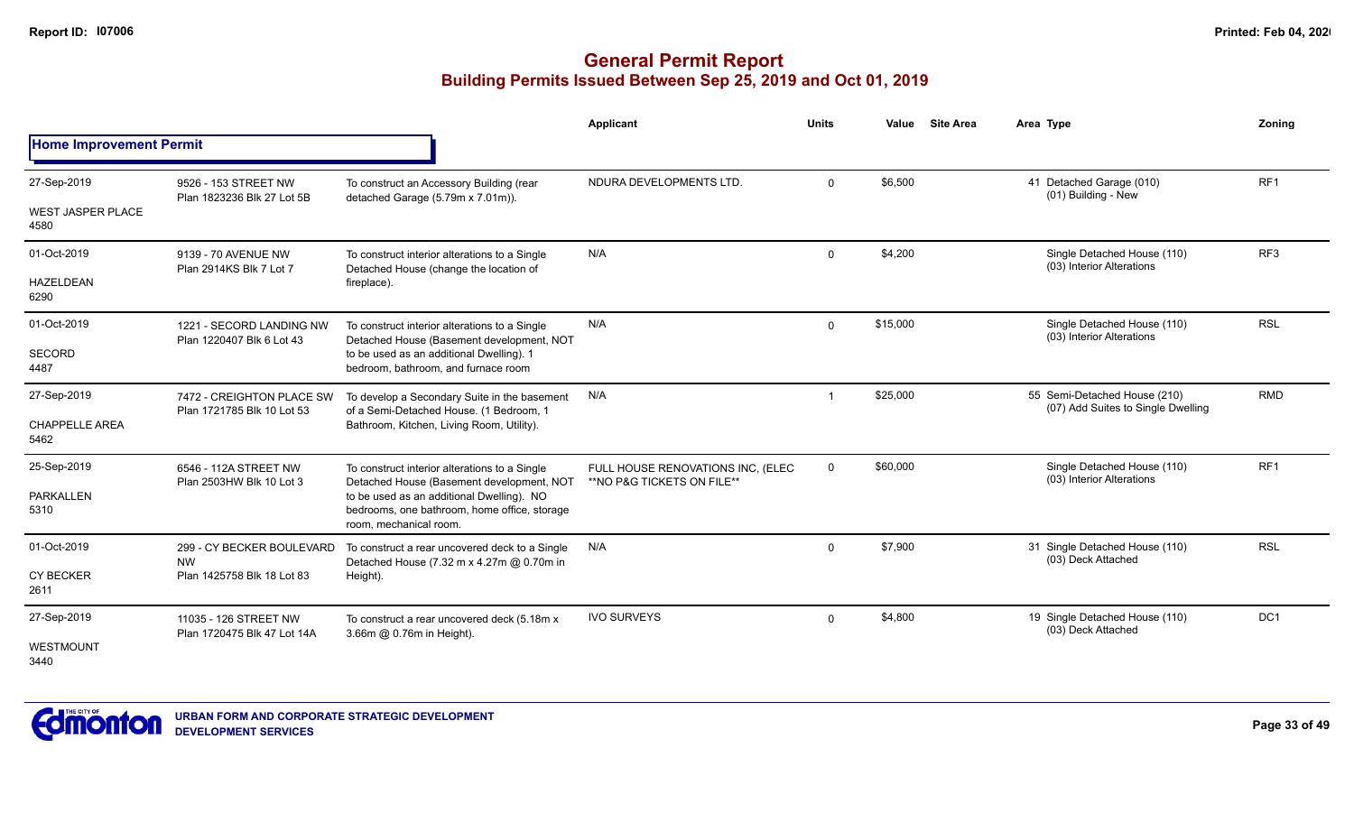|                                  |                                                       |                                                                                                                     | <b>Applicant</b>                                                | <b>Units</b> | Value    | <b>Site Area</b> | Area Type                                                          | Zoning          |
|----------------------------------|-------------------------------------------------------|---------------------------------------------------------------------------------------------------------------------|-----------------------------------------------------------------|--------------|----------|------------------|--------------------------------------------------------------------|-----------------|
| <b>Home Improvement Permit</b>   |                                                       |                                                                                                                     |                                                                 |              |          |                  |                                                                    |                 |
| 27-Sep-2019                      | 9526 - 153 STREET NW<br>Plan 1823236 Blk 27 Lot 5B    | To construct an Accessory Building (rear                                                                            | NDURA DEVELOPMENTS LTD.                                         | $\Omega$     | \$6,500  |                  | 41 Detached Garage (010)<br>(01) Building - New                    | RF <sub>1</sub> |
| <b>WEST JASPER PLACE</b><br>4580 |                                                       | detached Garage (5.79m x 7.01m)).                                                                                   |                                                                 |              |          |                  |                                                                    |                 |
| 01-Oct-2019                      | 9139 - 70 AVENUE NW<br>Plan 2914KS Blk 7 Lot 7        | To construct interior alterations to a Single<br>Detached House (change the location of                             | N/A                                                             | $\mathbf 0$  | \$4,200  |                  | Single Detached House (110)<br>(03) Interior Alterations           | RF <sub>3</sub> |
| <b>HAZELDEAN</b><br>6290         |                                                       | fireplace).                                                                                                         |                                                                 |              |          |                  |                                                                    |                 |
| 01-Oct-2019                      | 1221 - SECORD LANDING NW<br>Plan 1220407 Blk 6 Lot 43 | To construct interior alterations to a Single<br>Detached House (Basement development, NOT                          | N/A                                                             | $\mathbf{0}$ | \$15,000 |                  | Single Detached House (110)<br>(03) Interior Alterations           | <b>RSL</b>      |
| <b>SECORD</b><br>4487            |                                                       | to be used as an additional Dwelling). 1<br>bedroom, bathroom, and furnace room                                     |                                                                 |              |          |                  |                                                                    |                 |
| 27-Sep-2019                      | 7472 - CREIGHTON PLACE SW                             | To develop a Secondary Suite in the basement<br>of a Semi-Detached House. (1 Bedroom, 1                             | N/A                                                             | -1           | \$25,000 |                  | 55 Semi-Detached House (210)<br>(07) Add Suites to Single Dwelling | <b>RMD</b>      |
| <b>CHAPPELLE AREA</b><br>5462    | Plan 1721785 Blk 10 Lot 53                            | Bathroom, Kitchen, Living Room, Utility).                                                                           |                                                                 |              |          |                  |                                                                    |                 |
| 25-Sep-2019                      | 6546 - 112A STREET NW<br>Plan 2503HW Blk 10 Lot 3     | To construct interior alterations to a Single<br>Detached House (Basement development, NOT                          | FULL HOUSE RENOVATIONS INC. (ELEC<br>**NO P&G TICKETS ON FILE** | $\mathbf{0}$ | \$60,000 |                  | Single Detached House (110)<br>(03) Interior Alterations           | RF <sub>1</sub> |
| <b>PARKALLEN</b><br>5310         |                                                       | to be used as an additional Dwelling). NO<br>bedrooms, one bathroom, home office, storage<br>room, mechanical room. |                                                                 |              |          |                  |                                                                    |                 |
| 01-Oct-2019                      | 299 - CY BECKER BOULEVARD<br><b>NW</b>                | To construct a rear uncovered deck to a Single<br>Detached House (7.32 m x 4.27m @ 0.70m in                         | N/A                                                             | $\mathbf{0}$ | \$7,900  |                  | 31 Single Detached House (110)<br>(03) Deck Attached               | <b>RSL</b>      |
| <b>CY BECKER</b><br>2611         | Plan 1425758 Blk 18 Lot 83                            | Height).                                                                                                            |                                                                 |              |          |                  |                                                                    |                 |
| 27-Sep-2019                      | 11035 - 126 STREET NW<br>Plan 1720475 Blk 47 Lot 14A  | To construct a rear uncovered deck (5.18m x<br>3.66m @ 0.76m in Height).                                            | <b>IVO SURVEYS</b>                                              | $\Omega$     | \$4,800  |                  | 19 Single Detached House (110)<br>(03) Deck Attached               | DC <sub>1</sub> |
| WESTMOUNT<br>3440                |                                                       |                                                                                                                     |                                                                 |              |          |                  |                                                                    |                 |

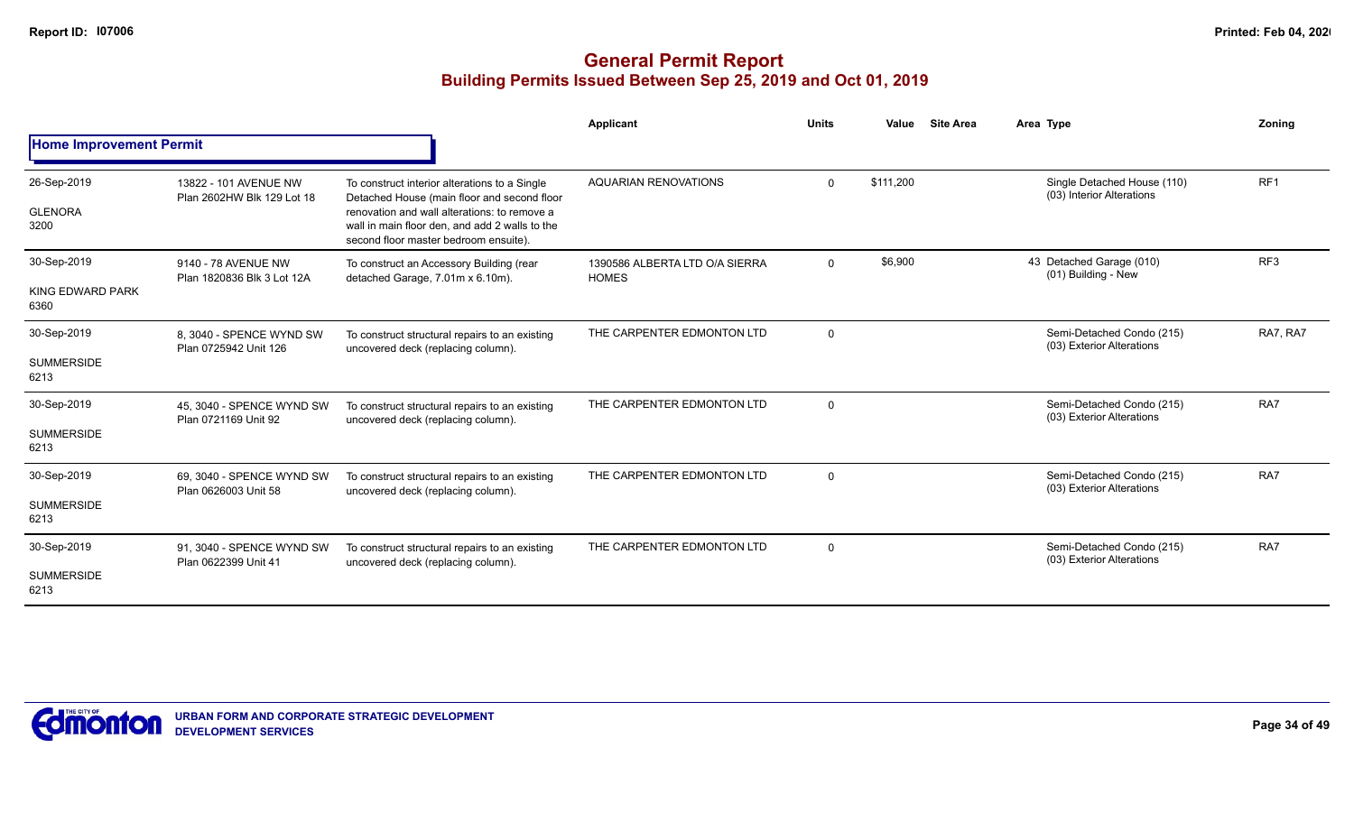|                                          |                                                     |                                                                                                                                                                                                                                         | <b>Applicant</b>                               | <b>Units</b>   | Value     | <b>Site Area</b> | Area Type                                                | Zoning          |
|------------------------------------------|-----------------------------------------------------|-----------------------------------------------------------------------------------------------------------------------------------------------------------------------------------------------------------------------------------------|------------------------------------------------|----------------|-----------|------------------|----------------------------------------------------------|-----------------|
| <b>Home Improvement Permit</b>           |                                                     |                                                                                                                                                                                                                                         |                                                |                |           |                  |                                                          |                 |
| 26-Sep-2019<br><b>GLENORA</b><br>3200    | 13822 - 101 AVENUE NW<br>Plan 2602HW Blk 129 Lot 18 | To construct interior alterations to a Single<br>Detached House (main floor and second floor<br>renovation and wall alterations: to remove a<br>wall in main floor den, and add 2 walls to the<br>second floor master bedroom ensuite). | <b>AQUARIAN RENOVATIONS</b>                    | $\Omega$       | \$111.200 |                  | Single Detached House (110)<br>(03) Interior Alterations | RF <sub>1</sub> |
| 30-Sep-2019<br>KING EDWARD PARK<br>6360  | 9140 - 78 AVENUE NW<br>Plan 1820836 Blk 3 Lot 12A   | To construct an Accessory Building (rear<br>detached Garage, 7.01m x 6.10m).                                                                                                                                                            | 1390586 ALBERTA LTD O/A SIERRA<br><b>HOMES</b> | $\mathbf 0$    | \$6,900   |                  | 43 Detached Garage (010)<br>(01) Building - New          | RF <sub>3</sub> |
| 30-Sep-2019<br><b>SUMMERSIDE</b><br>6213 | 8. 3040 - SPENCE WYND SW<br>Plan 0725942 Unit 126   | To construct structural repairs to an existing<br>uncovered deck (replacing column).                                                                                                                                                    | THE CARPENTER EDMONTON LTD                     | $\mathbf 0$    |           |                  | Semi-Detached Condo (215)<br>(03) Exterior Alterations   | RA7, RA7        |
| 30-Sep-2019<br><b>SUMMERSIDE</b><br>6213 | 45, 3040 - SPENCE WYND SW<br>Plan 0721169 Unit 92   | To construct structural repairs to an existing<br>uncovered deck (replacing column).                                                                                                                                                    | THE CARPENTER EDMONTON LTD                     | $\mathbf 0$    |           |                  | Semi-Detached Condo (215)<br>(03) Exterior Alterations   | RA7             |
| 30-Sep-2019<br><b>SUMMERSIDE</b><br>6213 | 69, 3040 - SPENCE WYND SW<br>Plan 0626003 Unit 58   | To construct structural repairs to an existing<br>uncovered deck (replacing column).                                                                                                                                                    | THE CARPENTER EDMONTON LTD                     | $\overline{0}$ |           |                  | Semi-Detached Condo (215)<br>(03) Exterior Alterations   | RA7             |
| 30-Sep-2019<br><b>SUMMERSIDE</b><br>6213 | 91. 3040 - SPENCE WYND SW<br>Plan 0622399 Unit 41   | To construct structural repairs to an existing<br>uncovered deck (replacing column).                                                                                                                                                    | THE CARPENTER EDMONTON LTD                     | $\mathbf 0$    |           |                  | Semi-Detached Condo (215)<br>(03) Exterior Alterations   | RA7             |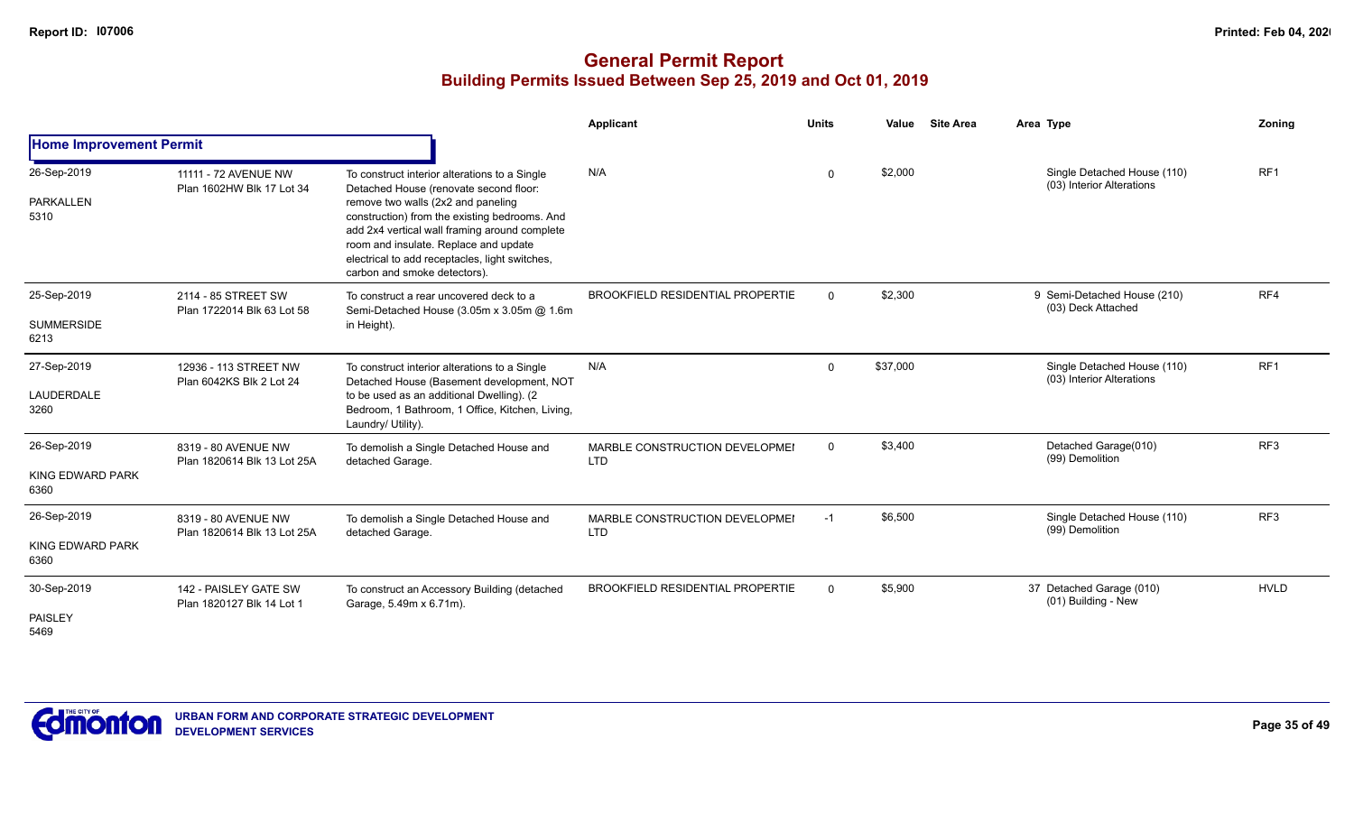|                                          |                                                    |                                                                                                                                                                                                                                                                                                                                                            | Applicant                                    | <b>Units</b> | Value    | <b>Site Area</b> | Area Type                                                | <b>Zoning</b>   |
|------------------------------------------|----------------------------------------------------|------------------------------------------------------------------------------------------------------------------------------------------------------------------------------------------------------------------------------------------------------------------------------------------------------------------------------------------------------------|----------------------------------------------|--------------|----------|------------------|----------------------------------------------------------|-----------------|
| <b>Home Improvement Permit</b>           |                                                    |                                                                                                                                                                                                                                                                                                                                                            |                                              |              |          |                  |                                                          |                 |
| 26-Sep-2019<br>PARKALLEN<br>5310         | 11111 - 72 AVENUE NW<br>Plan 1602HW Blk 17 Lot 34  | To construct interior alterations to a Single<br>Detached House (renovate second floor:<br>remove two walls (2x2 and paneling<br>construction) from the existing bedrooms. And<br>add 2x4 vertical wall framing around complete<br>room and insulate. Replace and update<br>electrical to add receptacles, light switches,<br>carbon and smoke detectors). | N/A                                          | 0            | \$2,000  |                  | Single Detached House (110)<br>(03) Interior Alterations | RF1             |
| 25-Sep-2019<br><b>SUMMERSIDE</b><br>6213 | 2114 - 85 STREET SW<br>Plan 1722014 Blk 63 Lot 58  | To construct a rear uncovered deck to a<br>Semi-Detached House (3.05m x 3.05m @ 1.6m<br>in Height).                                                                                                                                                                                                                                                        | <b>BROOKFIELD RESIDENTIAL PROPERTIE</b>      | $\Omega$     | \$2,300  |                  | 9 Semi-Detached House (210)<br>(03) Deck Attached        | RF4             |
| 27-Sep-2019<br>LAUDERDALE<br>3260        | 12936 - 113 STREET NW<br>Plan 6042KS Blk 2 Lot 24  | To construct interior alterations to a Single<br>Detached House (Basement development, NOT<br>to be used as an additional Dwelling). (2<br>Bedroom, 1 Bathroom, 1 Office, Kitchen, Living,<br>Laundry/ Utility).                                                                                                                                           | N/A                                          | $\mathbf 0$  | \$37,000 |                  | Single Detached House (110)<br>(03) Interior Alterations | RF <sub>1</sub> |
| 26-Sep-2019<br>KING EDWARD PARK<br>6360  | 8319 - 80 AVENUE NW<br>Plan 1820614 Blk 13 Lot 25A | To demolish a Single Detached House and<br>detached Garage.                                                                                                                                                                                                                                                                                                | MARBLE CONSTRUCTION DEVELOPMEI<br><b>LTD</b> | $\mathbf 0$  | \$3,400  |                  | Detached Garage(010)<br>(99) Demolition                  | RF <sub>3</sub> |
| 26-Sep-2019<br>KING EDWARD PARK<br>6360  | 8319 - 80 AVENUE NW<br>Plan 1820614 Blk 13 Lot 25A | To demolish a Single Detached House and<br>detached Garage.                                                                                                                                                                                                                                                                                                | MARBLE CONSTRUCTION DEVELOPMEI<br><b>LTD</b> | $-1$         | \$6,500  |                  | Single Detached House (110)<br>(99) Demolition           | RF <sub>3</sub> |
| 30-Sep-2019<br>PAISLEY<br>5469           | 142 - PAISLEY GATE SW<br>Plan 1820127 Blk 14 Lot 1 | To construct an Accessory Building (detached<br>Garage, 5.49m x 6.71m).                                                                                                                                                                                                                                                                                    | <b>BROOKFIELD RESIDENTIAL PROPERTIE</b>      | $\Omega$     | \$5,900  |                  | 37 Detached Garage (010)<br>(01) Building - New          | <b>HVLD</b>     |

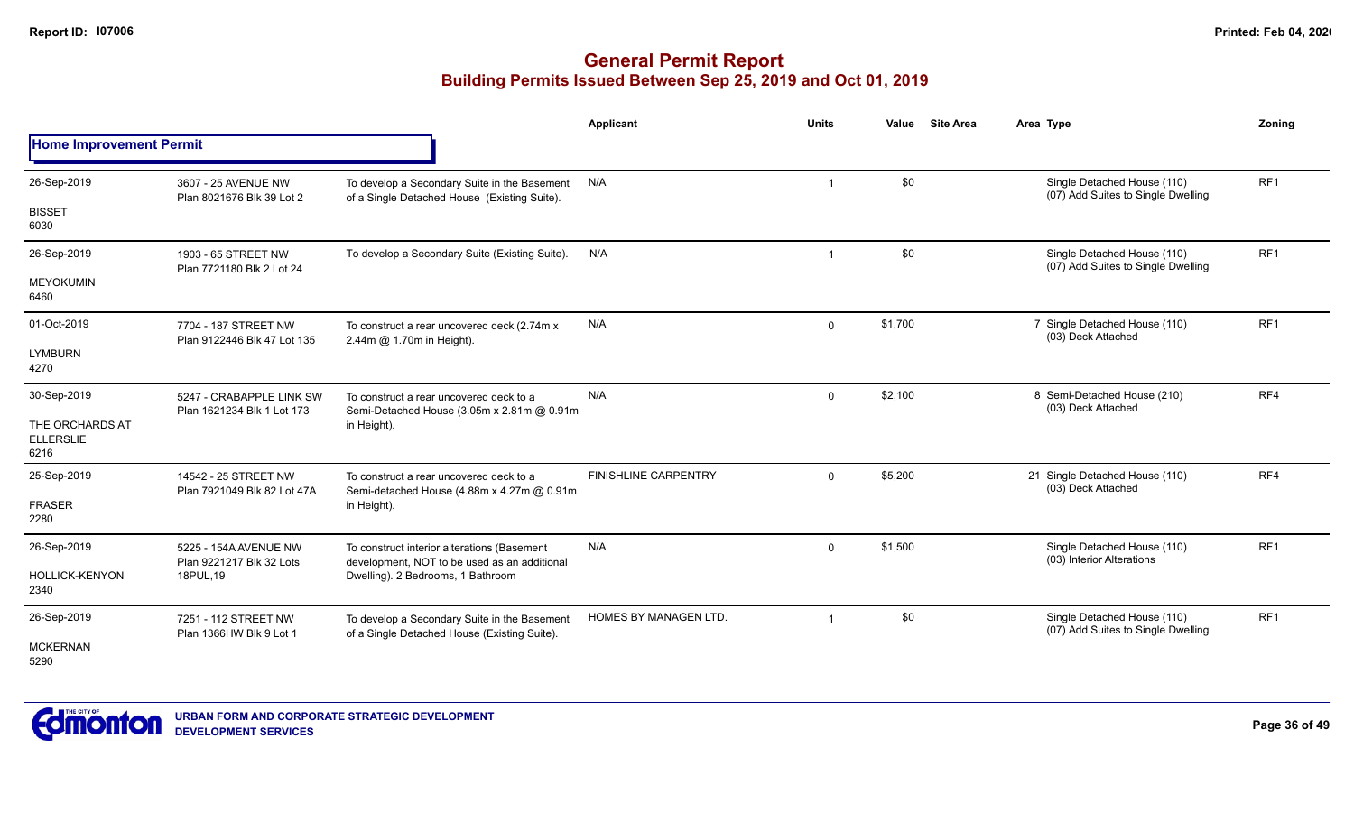|                                             |                                                     |                                                                                              | <b>Applicant</b>            | <b>Units</b>   | Value   | <b>Site Area</b> | Area Type                                                         | Zoning          |
|---------------------------------------------|-----------------------------------------------------|----------------------------------------------------------------------------------------------|-----------------------------|----------------|---------|------------------|-------------------------------------------------------------------|-----------------|
| <b>Home Improvement Permit</b>              |                                                     |                                                                                              |                             |                |         |                  |                                                                   |                 |
| 26-Sep-2019                                 | 3607 - 25 AVENUE NW                                 | To develop a Secondary Suite in the Basement                                                 | N/A                         | $\mathbf 1$    | \$0     |                  | Single Detached House (110)<br>(07) Add Suites to Single Dwelling | RF <sub>1</sub> |
| <b>BISSET</b><br>6030                       | Plan 8021676 Blk 39 Lot 2                           | of a Single Detached House (Existing Suite).                                                 |                             |                |         |                  |                                                                   |                 |
| 26-Sep-2019                                 | 1903 - 65 STREET NW<br>Plan 7721180 Blk 2 Lot 24    | To develop a Secondary Suite (Existing Suite).                                               | N/A                         | $\overline{1}$ | \$0     |                  | Single Detached House (110)<br>(07) Add Suites to Single Dwelling | RF <sub>1</sub> |
| <b>MEYOKUMIN</b><br>6460                    |                                                     |                                                                                              |                             |                |         |                  |                                                                   |                 |
| 01-Oct-2019                                 | 7704 - 187 STREET NW<br>Plan 9122446 Blk 47 Lot 135 | To construct a rear uncovered deck (2.74m x<br>2.44m @ 1.70m in Height).                     | N/A                         | $\mathbf 0$    | \$1,700 |                  | 7 Single Detached House (110)<br>(03) Deck Attached               | RF1             |
| <b>LYMBURN</b><br>4270                      |                                                     |                                                                                              |                             |                |         |                  |                                                                   |                 |
| 30-Sep-2019                                 | 5247 - CRABAPPLE LINK SW                            | To construct a rear uncovered deck to a                                                      | N/A                         | $\mathbf 0$    | \$2,100 |                  | 8 Semi-Detached House (210)<br>(03) Deck Attached                 | RF4             |
| THE ORCHARDS AT<br><b>ELLERSLIE</b><br>6216 | Plan 1621234 Blk 1 Lot 173                          | Semi-Detached House (3.05m x 2.81m @ 0.91m<br>in Height).                                    |                             |                |         |                  |                                                                   |                 |
| 25-Sep-2019                                 | 14542 - 25 STREET NW<br>Plan 7921049 Blk 82 Lot 47A | To construct a rear uncovered deck to a<br>Semi-detached House (4.88m x 4.27m @ 0.91m        | <b>FINISHLINE CARPENTRY</b> | $\Omega$       | \$5,200 |                  | 21 Single Detached House (110)<br>(03) Deck Attached              | RF4             |
| <b>FRASER</b><br>2280                       |                                                     | in Height).                                                                                  |                             |                |         |                  |                                                                   |                 |
| 26-Sep-2019                                 | 5225 - 154A AVENUE NW<br>Plan 9221217 Blk 32 Lots   | To construct interior alterations (Basement<br>development, NOT to be used as an additional  | N/A                         | $\Omega$       | \$1,500 |                  | Single Detached House (110)<br>(03) Interior Alterations          | RF1             |
| <b>HOLLICK-KENYON</b><br>2340               | 18PUL, 19                                           | Dwelling). 2 Bedrooms, 1 Bathroom                                                            |                             |                |         |                  |                                                                   |                 |
| 26-Sep-2019                                 | 7251 - 112 STREET NW<br>Plan 1366HW Blk 9 Lot 1     | To develop a Secondary Suite in the Basement<br>of a Single Detached House (Existing Suite). | HOMES BY MANAGEN LTD.       | $\overline{1}$ | \$0     |                  | Single Detached House (110)<br>(07) Add Suites to Single Dwelling | RF <sub>1</sub> |
| <b>MCKERNAN</b><br>5290                     |                                                     |                                                                                              |                             |                |         |                  |                                                                   |                 |

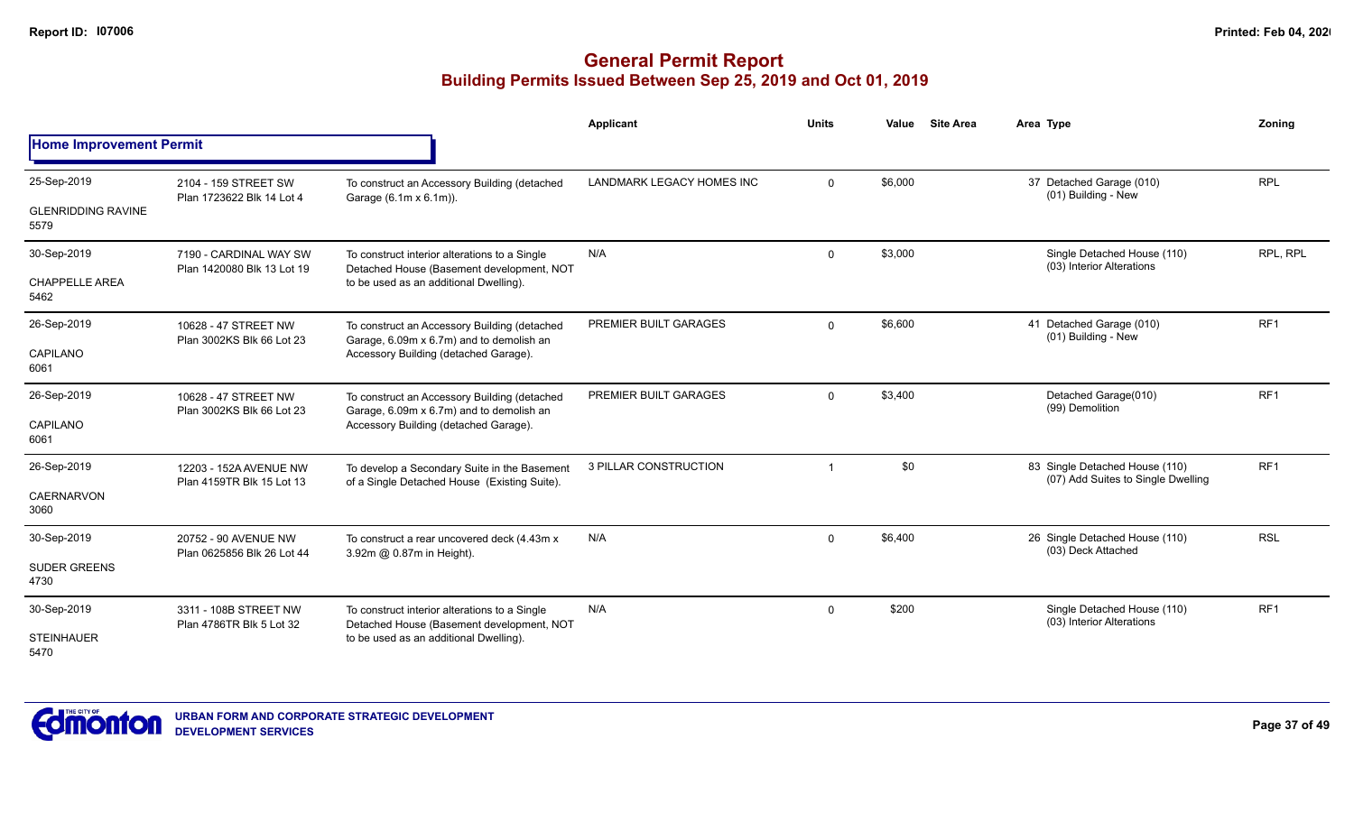|                                                  |                                                      |                                                                                                                                      | Applicant                 | <b>Units</b> | Value   | <b>Site Area</b> | Area Type                                                            | Zonina          |
|--------------------------------------------------|------------------------------------------------------|--------------------------------------------------------------------------------------------------------------------------------------|---------------------------|--------------|---------|------------------|----------------------------------------------------------------------|-----------------|
| <b>Home Improvement Permit</b>                   |                                                      |                                                                                                                                      |                           |              |         |                  |                                                                      |                 |
| 25-Sep-2019<br><b>GLENRIDDING RAVINE</b><br>5579 | 2104 - 159 STREET SW<br>Plan 1723622 Blk 14 Lot 4    | To construct an Accessory Building (detached<br>Garage (6.1m x 6.1m)).                                                               | LANDMARK LEGACY HOMES INC | $\mathbf 0$  | \$6,000 |                  | 37 Detached Garage (010)<br>(01) Building - New                      | <b>RPL</b>      |
| 30-Sep-2019<br><b>CHAPPELLE AREA</b><br>5462     | 7190 - CARDINAL WAY SW<br>Plan 1420080 Blk 13 Lot 19 | To construct interior alterations to a Single<br>Detached House (Basement development, NOT<br>to be used as an additional Dwelling). | N/A                       | $\Omega$     | \$3,000 |                  | Single Detached House (110)<br>(03) Interior Alterations             | RPL, RPL        |
| 26-Sep-2019<br>CAPILANO<br>6061                  | 10628 - 47 STREET NW<br>Plan 3002KS Blk 66 Lot 23    | To construct an Accessory Building (detached<br>Garage, 6.09m x 6.7m) and to demolish an<br>Accessory Building (detached Garage).    | PREMIER BUILT GARAGES     | $\mathbf 0$  | \$6,600 |                  | 41 Detached Garage (010)<br>(01) Building - New                      | RF <sub>1</sub> |
| 26-Sep-2019<br>CAPILANO<br>6061                  | 10628 - 47 STREET NW<br>Plan 3002KS Blk 66 Lot 23    | To construct an Accessory Building (detached<br>Garage, 6.09m x 6.7m) and to demolish an<br>Accessory Building (detached Garage).    | PREMIER BUILT GARAGES     | $\Omega$     | \$3,400 |                  | Detached Garage(010)<br>(99) Demolition                              | RF <sub>1</sub> |
| 26-Sep-2019<br><b>CAERNARVON</b><br>3060         | 12203 - 152A AVENUE NW<br>Plan 4159TR Blk 15 Lot 13  | To develop a Secondary Suite in the Basement<br>of a Single Detached House (Existing Suite).                                         | 3 PILLAR CONSTRUCTION     |              | \$0     |                  | 83 Single Detached House (110)<br>(07) Add Suites to Single Dwelling | RF <sub>1</sub> |
| 30-Sep-2019<br><b>SUDER GREENS</b><br>4730       | 20752 - 90 AVENUE NW<br>Plan 0625856 Blk 26 Lot 44   | To construct a rear uncovered deck (4.43m x)<br>3.92m @ 0.87m in Height).                                                            | N/A                       | $\mathbf{0}$ | \$6,400 |                  | 26 Single Detached House (110)<br>(03) Deck Attached                 | <b>RSL</b>      |
| 30-Sep-2019<br><b>STEINHAUER</b><br>5470         | 3311 - 108B STREET NW<br>Plan 4786TR Blk 5 Lot 32    | To construct interior alterations to a Single<br>Detached House (Basement development, NOT<br>to be used as an additional Dwelling). | N/A                       | $\mathbf{0}$ | \$200   |                  | Single Detached House (110)<br>(03) Interior Alterations             | RF <sub>1</sub> |

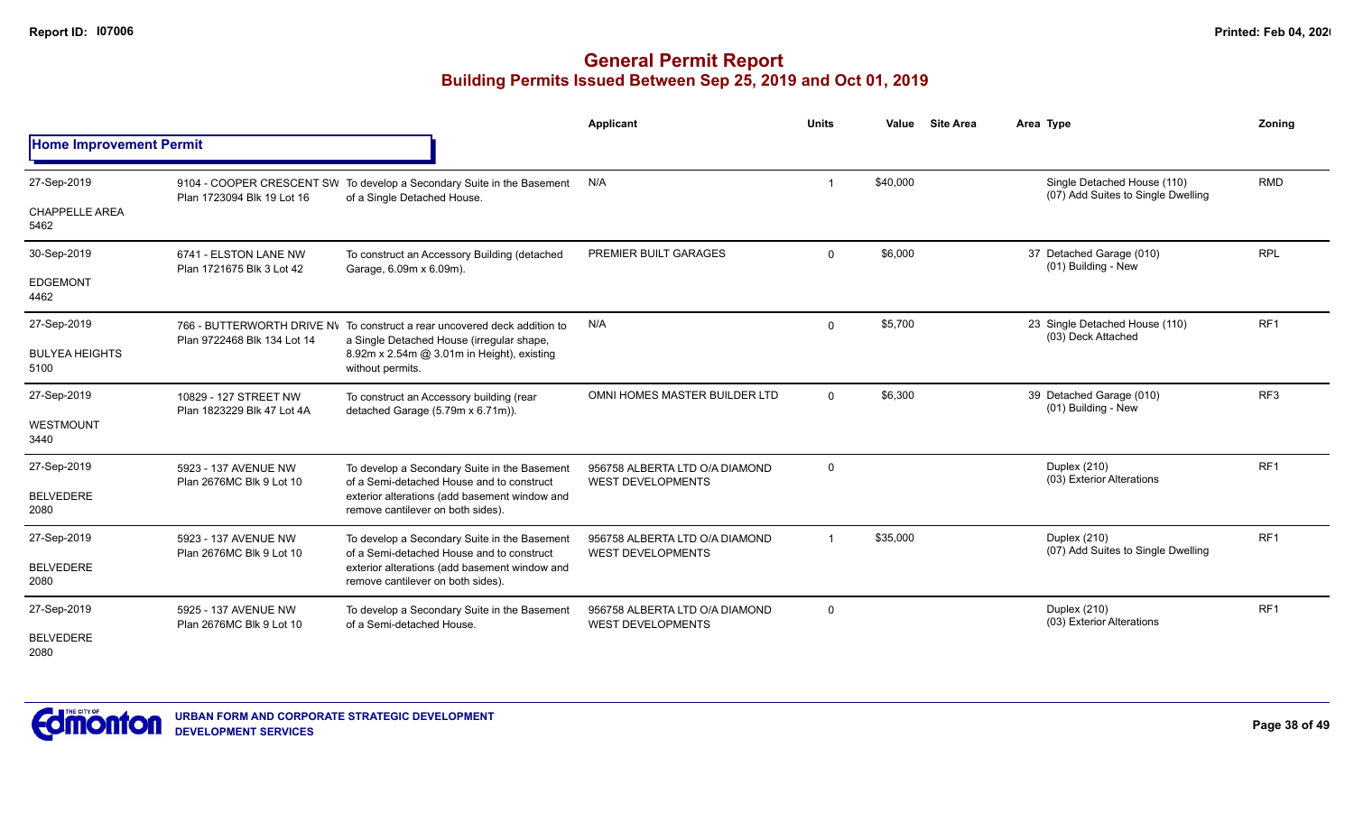|                                |                                                     |                                                                                                                        | <b>Applicant</b>                                           | <b>Units</b>   | Value    | <b>Site Area</b> | Area Type                                                         | Zoning          |
|--------------------------------|-----------------------------------------------------|------------------------------------------------------------------------------------------------------------------------|------------------------------------------------------------|----------------|----------|------------------|-------------------------------------------------------------------|-----------------|
| <b>Home Improvement Permit</b> |                                                     |                                                                                                                        |                                                            |                |          |                  |                                                                   |                 |
| 27-Sep-2019                    | Plan 1723094 Blk 19 Lot 16                          | 9104 - COOPER CRESCENT SW To develop a Secondary Suite in the Basement<br>of a Single Detached House.                  | N/A                                                        |                | \$40,000 |                  | Single Detached House (110)<br>(07) Add Suites to Single Dwelling | <b>RMD</b>      |
| <b>CHAPPELLE AREA</b><br>5462  |                                                     |                                                                                                                        |                                                            |                |          |                  |                                                                   |                 |
| 30-Sep-2019                    | 6741 - ELSTON LANE NW<br>Plan 1721675 Blk 3 Lot 42  | To construct an Accessory Building (detached<br>Garage, 6.09m x 6.09m).                                                | PREMIER BUILT GARAGES                                      | $\Omega$       | \$6,000  |                  | 37 Detached Garage (010)<br>(01) Building - New                   | <b>RPL</b>      |
| <b>EDGEMONT</b><br>4462        |                                                     |                                                                                                                        |                                                            |                |          |                  |                                                                   |                 |
| 27-Sep-2019                    | Plan 9722468 Blk 134 Lot 14                         | 766 - BUTTERWORTH DRIVE NV To construct a rear uncovered deck addition to<br>a Single Detached House (irregular shape, | N/A                                                        | $\mathbf 0$    | \$5,700  |                  | 23 Single Detached House (110)<br>(03) Deck Attached              | RF1             |
| <b>BULYEA HEIGHTS</b><br>5100  |                                                     | 8.92m x 2.54m @ 3.01m in Height), existing<br>without permits.                                                         |                                                            |                |          |                  |                                                                   |                 |
| 27-Sep-2019                    | 10829 - 127 STREET NW<br>Plan 1823229 Blk 47 Lot 4A | To construct an Accessory building (rear<br>detached Garage (5.79m x 6.71m)).                                          | OMNI HOMES MASTER BUILDER LTD                              | $\overline{0}$ | \$6,300  |                  | 39 Detached Garage (010)<br>(01) Building - New                   | RF <sub>3</sub> |
| WESTMOUNT<br>3440              |                                                     |                                                                                                                        |                                                            |                |          |                  |                                                                   |                 |
| 27-Sep-2019                    | 5923 - 137 AVENUE NW<br>Plan 2676MC Blk 9 Lot 10    | To develop a Secondary Suite in the Basement<br>of a Semi-detached House and to construct                              | 956758 ALBERTA LTD O/A DIAMOND<br><b>WEST DEVELOPMENTS</b> | $\mathbf 0$    |          |                  | Duplex (210)<br>(03) Exterior Alterations                         | RF <sub>1</sub> |
| <b>BELVEDERE</b><br>2080       |                                                     | exterior alterations (add basement window and<br>remove cantilever on both sides).                                     |                                                            |                |          |                  |                                                                   |                 |
| 27-Sep-2019                    | 5923 - 137 AVENUE NW                                | To develop a Secondary Suite in the Basement<br>of a Semi-detached House and to construct                              | 956758 ALBERTA LTD O/A DIAMOND<br><b>WEST DEVELOPMENTS</b> | $\overline{1}$ | \$35,000 |                  | Duplex (210)<br>(07) Add Suites to Single Dwelling                | RF <sub>1</sub> |
| <b>BELVEDERE</b><br>2080       | Plan 2676MC Blk 9 Lot 10                            | exterior alterations (add basement window and<br>remove cantilever on both sides).                                     |                                                            |                |          |                  |                                                                   |                 |
| 27-Sep-2019                    | 5925 - 137 AVENUE NW<br>Plan 2676MC Blk 9 Lot 10    | To develop a Secondary Suite in the Basement<br>of a Semi-detached House.                                              | 956758 ALBERTA LTD O/A DIAMOND<br><b>WEST DEVELOPMENTS</b> | $\mathbf 0$    |          |                  | Duplex (210)<br>(03) Exterior Alterations                         | RF <sub>1</sub> |
| <b>BELVEDERE</b><br>2080       |                                                     |                                                                                                                        |                                                            |                |          |                  |                                                                   |                 |

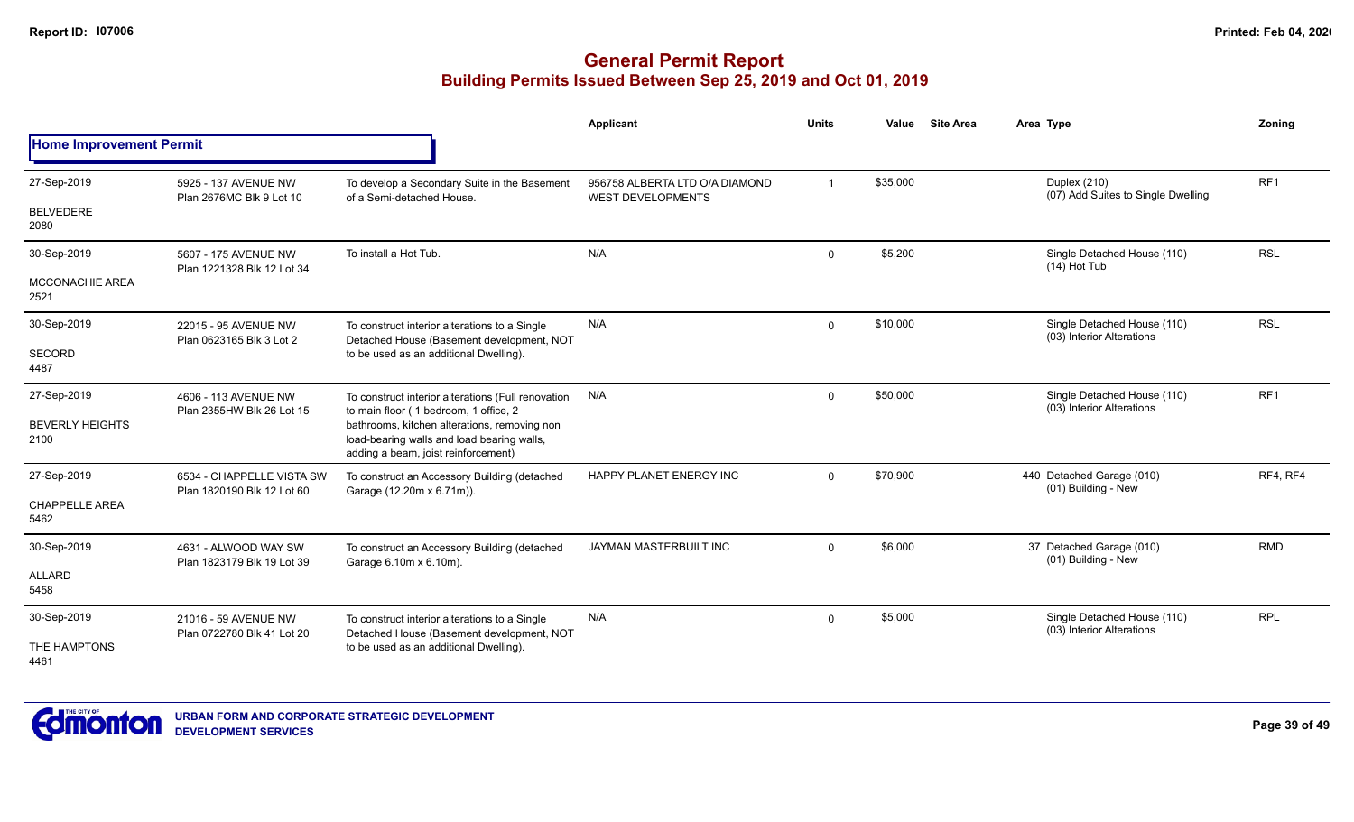|                                 |                                                         |                                                                                                                                   | Applicant                                                  | <b>Units</b>   | Value    | <b>Site Area</b> | Area Type                                                | Zoning          |  |
|---------------------------------|---------------------------------------------------------|-----------------------------------------------------------------------------------------------------------------------------------|------------------------------------------------------------|----------------|----------|------------------|----------------------------------------------------------|-----------------|--|
| <b>Home Improvement Permit</b>  |                                                         |                                                                                                                                   |                                                            |                |          |                  |                                                          |                 |  |
| 27-Sep-2019<br><b>BELVEDERE</b> | 5925 - 137 AVENUE NW<br>Plan 2676MC Blk 9 Lot 10        | To develop a Secondary Suite in the Basement<br>of a Semi-detached House.                                                         | 956758 ALBERTA LTD O/A DIAMOND<br><b>WEST DEVELOPMENTS</b> | $\overline{1}$ | \$35,000 |                  | Duplex (210)<br>(07) Add Suites to Single Dwelling       | RF <sub>1</sub> |  |
| 2080                            |                                                         |                                                                                                                                   |                                                            |                |          |                  |                                                          |                 |  |
| 30-Sep-2019                     | 5607 - 175 AVENUE NW<br>Plan 1221328 Blk 12 Lot 34      | To install a Hot Tub.                                                                                                             | N/A                                                        | $\mathbf 0$    | \$5,200  |                  | Single Detached House (110)<br>$(14)$ Hot Tub            | <b>RSL</b>      |  |
| <b>MCCONACHIE AREA</b><br>2521  |                                                         |                                                                                                                                   |                                                            |                |          |                  |                                                          |                 |  |
| 30-Sep-2019                     | 22015 - 95 AVENUE NW<br>Plan 0623165 Blk 3 Lot 2        | To construct interior alterations to a Single<br>Detached House (Basement development, NOT                                        | N/A                                                        | $\mathbf 0$    | \$10,000 |                  | Single Detached House (110)<br>(03) Interior Alterations | <b>RSL</b>      |  |
| SECORD<br>4487                  |                                                         | to be used as an additional Dwelling).                                                                                            |                                                            |                |          |                  |                                                          |                 |  |
| 27-Sep-2019                     | 4606 - 113 AVENUE NW<br>Plan 2355HW Blk 26 Lot 15       | To construct interior alterations (Full renovation<br>to main floor (1 bedroom, 1 office, 2                                       | N/A                                                        | $\mathbf 0$    | \$50,000 |                  | Single Detached House (110)<br>(03) Interior Alterations | RF <sub>1</sub> |  |
| <b>BEVERLY HEIGHTS</b><br>2100  |                                                         | bathrooms, kitchen alterations, removing non<br>load-bearing walls and load bearing walls,<br>adding a beam, joist reinforcement) |                                                            |                |          |                  |                                                          |                 |  |
| 27-Sep-2019                     | 6534 - CHAPPELLE VISTA SW<br>Plan 1820190 Blk 12 Lot 60 | To construct an Accessory Building (detached<br>Garage (12.20m x 6.71m)).                                                         | HAPPY PLANET ENERGY INC                                    | $\Omega$       | \$70,900 |                  | 440 Detached Garage (010)<br>(01) Building - New         | RF4, RF4        |  |
| <b>CHAPPELLE AREA</b><br>5462   |                                                         |                                                                                                                                   |                                                            |                |          |                  |                                                          |                 |  |
| 30-Sep-2019                     | 4631 - ALWOOD WAY SW<br>Plan 1823179 Blk 19 Lot 39      | To construct an Accessory Building (detached<br>Garage 6.10m x 6.10m).                                                            | JAYMAN MASTERBUILT INC                                     | $\Omega$       | \$6,000  |                  | 37 Detached Garage (010)<br>(01) Building - New          | <b>RMD</b>      |  |
| <b>ALLARD</b><br>5458           |                                                         |                                                                                                                                   |                                                            |                |          |                  |                                                          |                 |  |
| 30-Sep-2019                     | 21016 - 59 AVENUE NW<br>Plan 0722780 Blk 41 Lot 20      | To construct interior alterations to a Single<br>Detached House (Basement development, NOT                                        | N/A                                                        | $\Omega$       | \$5,000  |                  | Single Detached House (110)<br>(03) Interior Alterations | <b>RPL</b>      |  |
| THE HAMPTONS<br>4461            |                                                         | to be used as an additional Dwelling).                                                                                            |                                                            |                |          |                  |                                                          |                 |  |

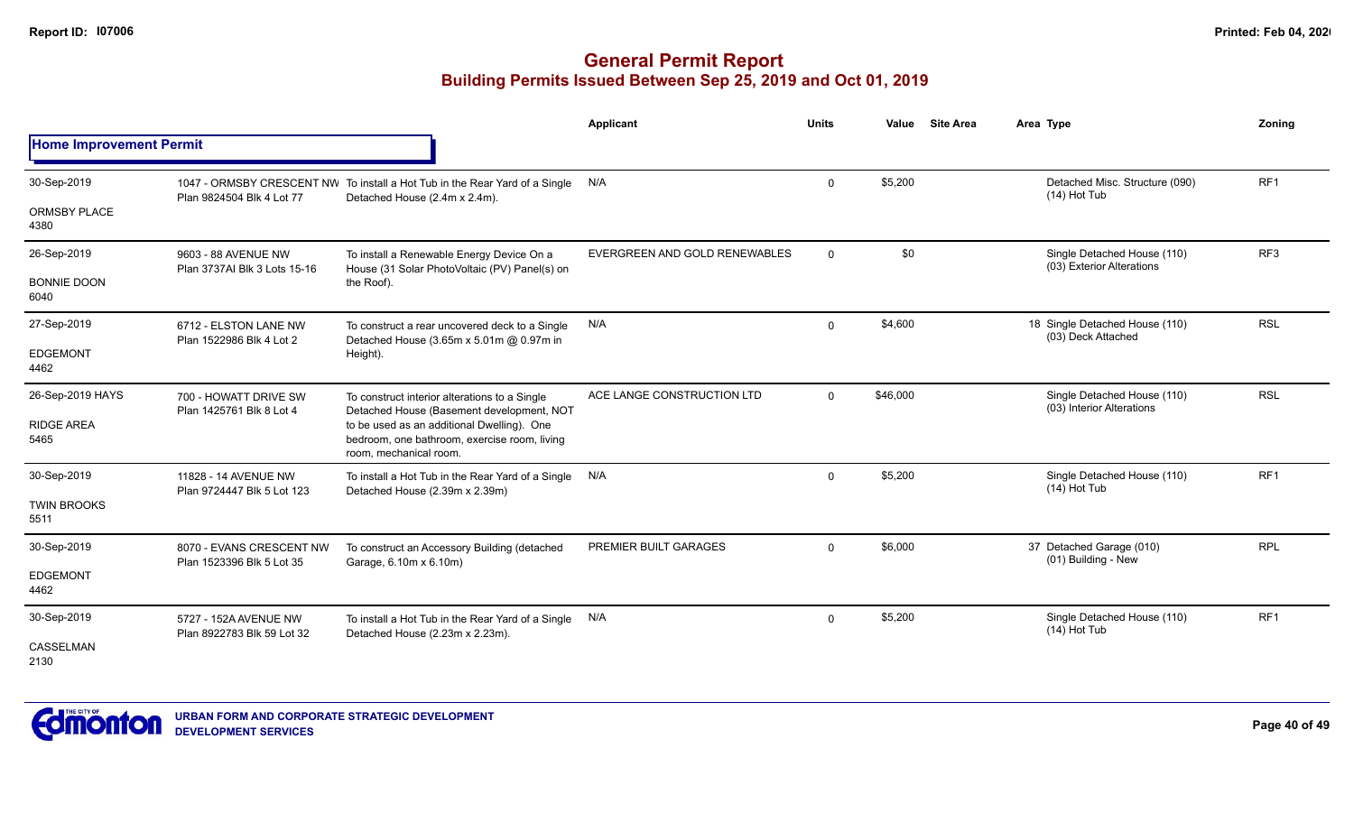|                                |                                                       |                                                                                                                      | <b>Applicant</b>              | <b>Units</b>   | Value    | <b>Site Area</b> | Area Type                                                | Zoning          |
|--------------------------------|-------------------------------------------------------|----------------------------------------------------------------------------------------------------------------------|-------------------------------|----------------|----------|------------------|----------------------------------------------------------|-----------------|
| <b>Home Improvement Permit</b> |                                                       |                                                                                                                      |                               |                |          |                  |                                                          |                 |
| 30-Sep-2019                    | Plan 9824504 Blk 4 Lot 77                             | 1047 - ORMSBY CRESCENT NW To install a Hot Tub in the Rear Yard of a Single<br>Detached House (2.4m x 2.4m).         | N/A                           | $\mathbf 0$    | \$5,200  |                  | Detached Misc. Structure (090)<br>$(14)$ Hot Tub         | RF1             |
| <b>ORMSBY PLACE</b><br>4380    |                                                       |                                                                                                                      |                               |                |          |                  |                                                          |                 |
| 26-Sep-2019                    | 9603 - 88 AVENUE NW<br>Plan 3737AI Blk 3 Lots 15-16   | To install a Renewable Energy Device On a<br>House (31 Solar PhotoVoltaic (PV) Panel(s) on                           | EVERGREEN AND GOLD RENEWABLES | $\overline{0}$ | \$0      |                  | Single Detached House (110)<br>(03) Exterior Alterations | RF <sub>3</sub> |
| <b>BONNIE DOON</b><br>6040     |                                                       | the Roof).                                                                                                           |                               |                |          |                  |                                                          |                 |
| 27-Sep-2019                    | 6712 - ELSTON LANE NW<br>Plan 1522986 Blk 4 Lot 2     | To construct a rear uncovered deck to a Single<br>Detached House (3.65m x 5.01m @ 0.97m in                           | N/A                           | $\mathbf 0$    | \$4,600  |                  | 18 Single Detached House (110)<br>(03) Deck Attached     | <b>RSL</b>      |
| <b>EDGEMONT</b><br>4462        |                                                       | Height).                                                                                                             |                               |                |          |                  |                                                          |                 |
| 26-Sep-2019 HAYS               | 700 - HOWATT DRIVE SW                                 | To construct interior alterations to a Single<br>Detached House (Basement development, NOT                           | ACE LANGE CONSTRUCTION LTD    | $\overline{0}$ | \$46,000 |                  | Single Detached House (110)<br>(03) Interior Alterations | <b>RSL</b>      |
| <b>RIDGE AREA</b><br>5465      | Plan 1425761 Blk 8 Lot 4                              | to be used as an additional Dwelling). One<br>bedroom, one bathroom, exercise room, living<br>room, mechanical room. |                               |                |          |                  |                                                          |                 |
| 30-Sep-2019                    | 11828 - 14 AVENUE NW<br>Plan 9724447 Blk 5 Lot 123    | To install a Hot Tub in the Rear Yard of a Single<br>Detached House (2.39m x 2.39m)                                  | N/A                           | $\Omega$       | \$5,200  |                  | Single Detached House (110)<br>$(14)$ Hot Tub            | RF <sub>1</sub> |
| <b>TWIN BROOKS</b><br>5511     |                                                       |                                                                                                                      |                               |                |          |                  |                                                          |                 |
| 30-Sep-2019                    | 8070 - EVANS CRESCENT NW<br>Plan 1523396 Blk 5 Lot 35 | To construct an Accessory Building (detached<br>Garage, 6.10m x 6.10m)                                               | PREMIER BUILT GARAGES         | $\Omega$       | \$6,000  |                  | 37 Detached Garage (010)<br>(01) Building - New          | <b>RPL</b>      |
| <b>EDGEMONT</b><br>4462        |                                                       |                                                                                                                      |                               |                |          |                  |                                                          |                 |
| 30-Sep-2019                    | 5727 - 152A AVENUE NW<br>Plan 8922783 Blk 59 Lot 32   | To install a Hot Tub in the Rear Yard of a Single<br>Detached House (2.23m x 2.23m).                                 | N/A                           | $\mathbf 0$    | \$5,200  |                  | Single Detached House (110)<br>$(14)$ Hot Tub            | RF <sub>1</sub> |
| <b>CASSELMAN</b><br>2130       |                                                       |                                                                                                                      |                               |                |          |                  |                                                          |                 |

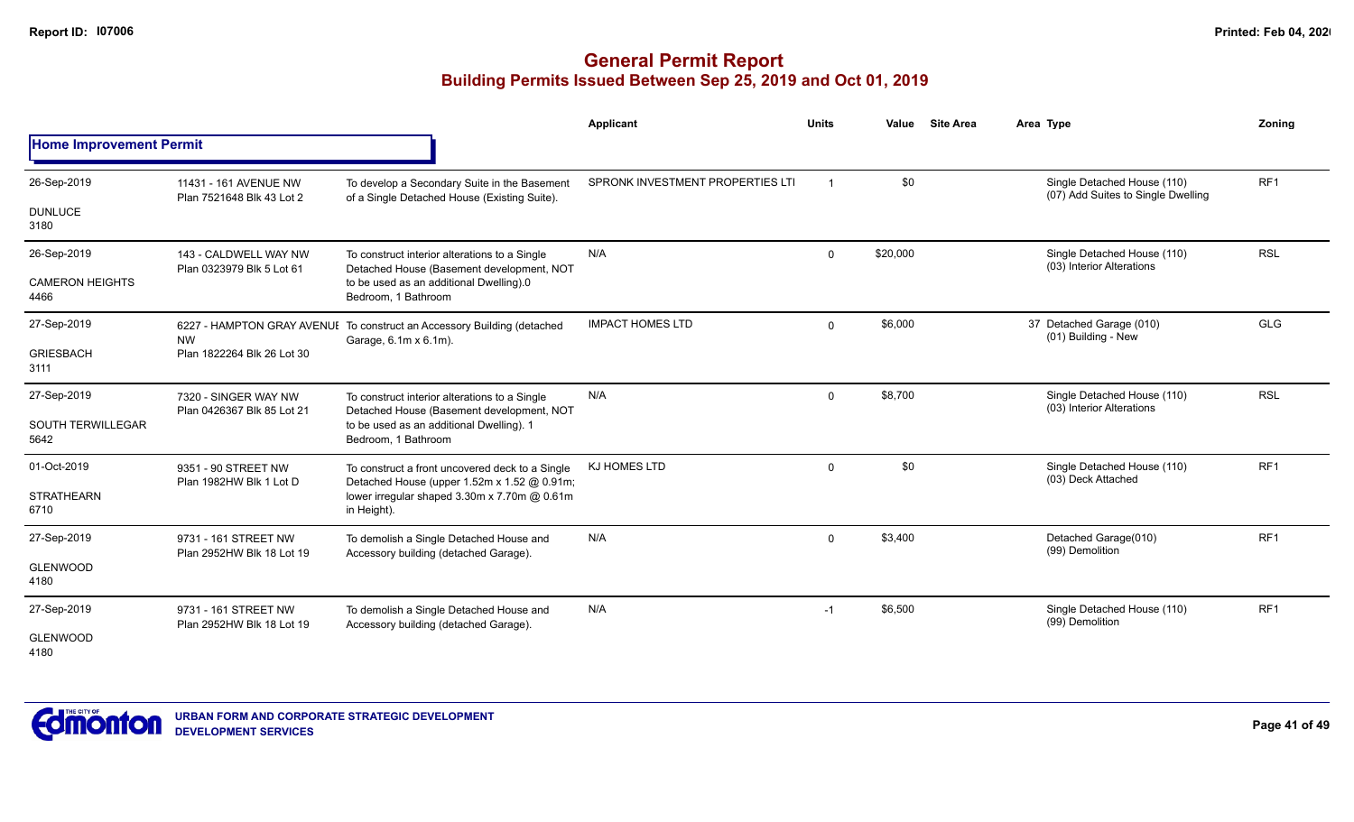|                                  |                                                    |                                                                                                  | <b>Applicant</b>                 | <b>Units</b> | Value    | <b>Site Area</b> | Area Type                                                         | Zoning          |
|----------------------------------|----------------------------------------------------|--------------------------------------------------------------------------------------------------|----------------------------------|--------------|----------|------------------|-------------------------------------------------------------------|-----------------|
| <b>Home Improvement Permit</b>   |                                                    |                                                                                                  |                                  |              |          |                  |                                                                   |                 |
| 26-Sep-2019                      | 11431 - 161 AVENUE NW<br>Plan 7521648 Blk 43 Lot 2 | To develop a Secondary Suite in the Basement<br>of a Single Detached House (Existing Suite).     | SPRONK INVESTMENT PROPERTIES LTI |              | \$0      |                  | Single Detached House (110)<br>(07) Add Suites to Single Dwelling | RF <sub>1</sub> |
| <b>DUNLUCE</b><br>3180           |                                                    |                                                                                                  |                                  |              |          |                  |                                                                   |                 |
| 26-Sep-2019                      | 143 - CALDWELL WAY NW<br>Plan 0323979 Blk 5 Lot 61 | To construct interior alterations to a Single<br>Detached House (Basement development, NOT       | N/A                              | $\mathbf 0$  | \$20,000 |                  | Single Detached House (110)<br>(03) Interior Alterations          | <b>RSL</b>      |
| <b>CAMERON HEIGHTS</b><br>4466   |                                                    | to be used as an additional Dwelling).0<br>Bedroom, 1 Bathroom                                   |                                  |              |          |                  |                                                                   |                 |
| 27-Sep-2019                      | <b>NW</b>                                          | 6227 - HAMPTON GRAY AVENUI To construct an Accessory Building (detached<br>Garage, 6.1m x 6.1m). | <b>IMPACT HOMES LTD</b>          | $\Omega$     | \$6,000  |                  | 37 Detached Garage (010)<br>(01) Building - New                   | GLG             |
| <b>GRIESBACH</b><br>3111         | Plan 1822264 Blk 26 Lot 30                         |                                                                                                  |                                  |              |          |                  |                                                                   |                 |
| 27-Sep-2019                      | 7320 - SINGER WAY NW                               | To construct interior alterations to a Single<br>Detached House (Basement development, NOT       | N/A                              | $\mathbf 0$  | \$8,700  |                  | Single Detached House (110)<br>(03) Interior Alterations          | <b>RSL</b>      |
| <b>SOUTH TERWILLEGAR</b><br>5642 | Plan 0426367 Blk 85 Lot 21                         | to be used as an additional Dwelling). 1<br>Bedroom, 1 Bathroom                                  |                                  |              |          |                  |                                                                   |                 |
| 01-Oct-2019                      | 9351 - 90 STREET NW<br>Plan 1982HW Blk 1 Lot D     | To construct a front uncovered deck to a Single<br>Detached House (upper 1.52m x 1.52 @ 0.91m;   | KJ HOMES LTD                     | $\mathbf 0$  | \$0      |                  | Single Detached House (110)<br>(03) Deck Attached                 | RF <sub>1</sub> |
| <b>STRATHEARN</b><br>6710        |                                                    | lower irregular shaped 3.30m x 7.70m @ 0.61m<br>in Height).                                      |                                  |              |          |                  |                                                                   |                 |
| 27-Sep-2019                      | 9731 - 161 STREET NW<br>Plan 2952HW Blk 18 Lot 19  | To demolish a Single Detached House and<br>Accessory building (detached Garage).                 | N/A                              | $\mathbf 0$  | \$3,400  |                  | Detached Garage(010)<br>(99) Demolition                           | RF <sub>1</sub> |
| <b>GLENWOOD</b><br>4180          |                                                    |                                                                                                  |                                  |              |          |                  |                                                                   |                 |
| 27-Sep-2019                      | 9731 - 161 STREET NW<br>Plan 2952HW Blk 18 Lot 19  | To demolish a Single Detached House and<br>Accessory building (detached Garage).                 | N/A                              | $-1$         | \$6,500  |                  | Single Detached House (110)<br>(99) Demolition                    | RF <sub>1</sub> |
| <b>GLENWOOD</b><br>4180          |                                                    |                                                                                                  |                                  |              |          |                  |                                                                   |                 |

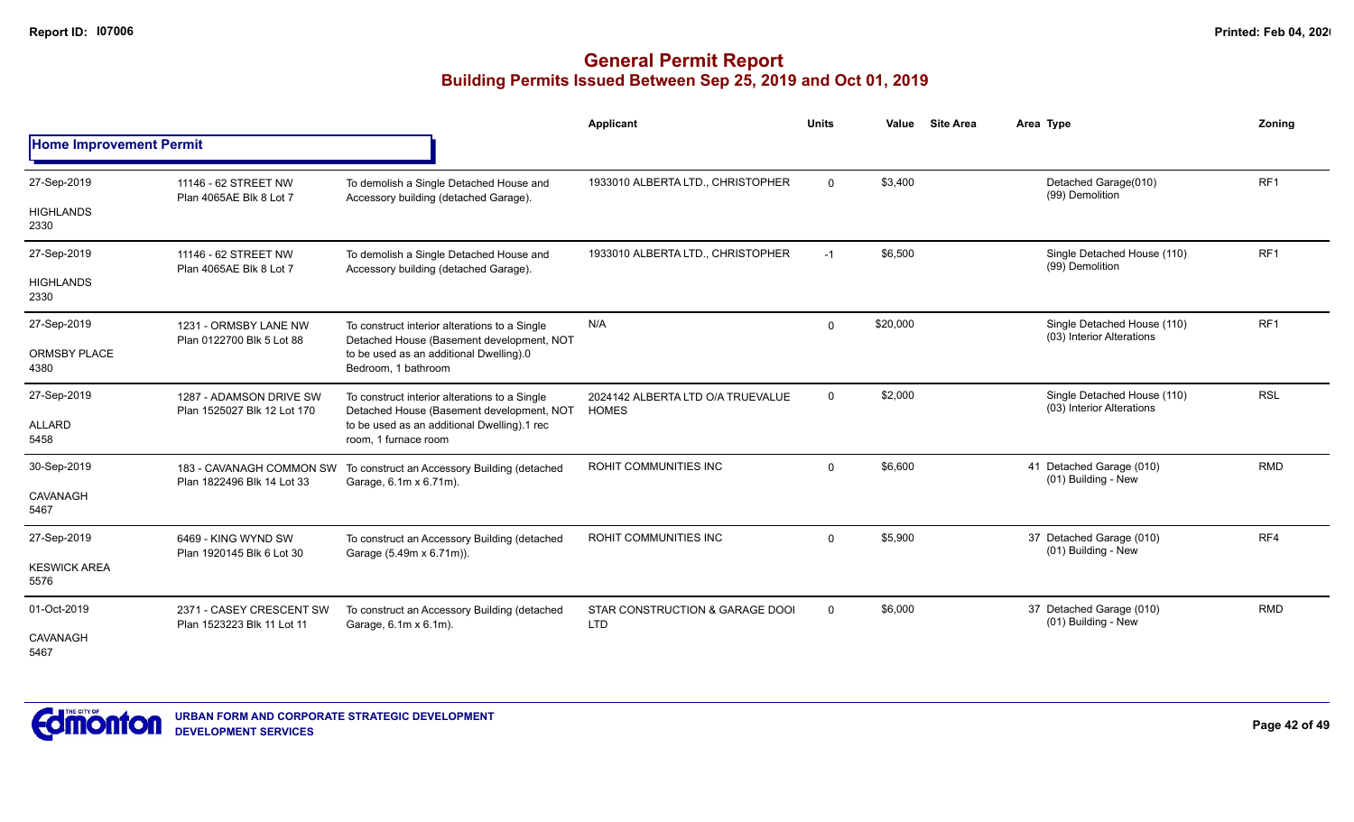|                                |                                                        |                                                                                            | Applicant                                         | <b>Units</b> | Value    | <b>Site Area</b> | Area Type                                                | Zoning          |
|--------------------------------|--------------------------------------------------------|--------------------------------------------------------------------------------------------|---------------------------------------------------|--------------|----------|------------------|----------------------------------------------------------|-----------------|
| <b>Home Improvement Permit</b> |                                                        |                                                                                            |                                                   |              |          |                  |                                                          |                 |
| 27-Sep-2019                    | 11146 - 62 STREET NW<br>Plan 4065AE Blk 8 Lot 7        | To demolish a Single Detached House and<br>Accessory building (detached Garage).           | 1933010 ALBERTA LTD., CHRISTOPHER                 | $\mathbf 0$  | \$3,400  |                  | Detached Garage(010)<br>(99) Demolition                  | RF <sub>1</sub> |
| <b>HIGHLANDS</b><br>2330       |                                                        |                                                                                            |                                                   |              |          |                  |                                                          |                 |
| 27-Sep-2019                    | 11146 - 62 STREET NW<br>Plan 4065AE Blk 8 Lot 7        | To demolish a Single Detached House and<br>Accessory building (detached Garage).           | 1933010 ALBERTA LTD., CHRISTOPHER                 | $-1$         | \$6,500  |                  | Single Detached House (110)<br>(99) Demolition           | RF <sub>1</sub> |
| <b>HIGHLANDS</b><br>2330       |                                                        |                                                                                            |                                                   |              |          |                  |                                                          |                 |
| 27-Sep-2019                    | 1231 - ORMSBY LANE NW<br>Plan 0122700 Blk 5 Lot 88     | To construct interior alterations to a Single<br>Detached House (Basement development, NOT | N/A                                               | 0            | \$20,000 |                  | Single Detached House (110)<br>(03) Interior Alterations | RF <sub>1</sub> |
| <b>ORMSBY PLACE</b><br>4380    |                                                        | to be used as an additional Dwelling).0<br>Bedroom, 1 bathroom                             |                                                   |              |          |                  |                                                          |                 |
| 27-Sep-2019                    | 1287 - ADAMSON DRIVE SW<br>Plan 1525027 Blk 12 Lot 170 | To construct interior alterations to a Single<br>Detached House (Basement development, NOT | 2024142 ALBERTA LTD O/A TRUEVALUE<br><b>HOMES</b> | $\mathbf 0$  | \$2,000  |                  | Single Detached House (110)<br>(03) Interior Alterations | <b>RSL</b>      |
| ALLARD<br>5458                 |                                                        | to be used as an additional Dwelling).1 rec<br>room, 1 furnace room                        |                                                   |              |          |                  |                                                          |                 |
| 30-Sep-2019                    | 183 - CAVANAGH COMMON SW<br>Plan 1822496 Blk 14 Lot 33 | To construct an Accessory Building (detached<br>Garage, 6.1m x 6.71m).                     | ROHIT COMMUNITIES INC                             | $\Omega$     | \$6,600  |                  | 41 Detached Garage (010)<br>(01) Building - New          | <b>RMD</b>      |
| CAVANAGH<br>5467               |                                                        |                                                                                            |                                                   |              |          |                  |                                                          |                 |
| 27-Sep-2019                    | 6469 - KING WYND SW<br>Plan 1920145 Blk 6 Lot 30       | To construct an Accessory Building (detached<br>Garage (5.49m x 6.71m)).                   | ROHIT COMMUNITIES INC                             | $\Omega$     | \$5,900  |                  | 37 Detached Garage (010)<br>(01) Building - New          | RF4             |
| <b>KESWICK AREA</b><br>5576    |                                                        |                                                                                            |                                                   |              |          |                  |                                                          |                 |
| 01-Oct-2019                    | 2371 - CASEY CRESCENT SW<br>Plan 1523223 Blk 11 Lot 11 | To construct an Accessory Building (detached<br>Garage, 6.1m x 6.1m).                      | STAR CONSTRUCTION & GARAGE DOOI<br><b>LTD</b>     | 0            | \$6,000  |                  | 37 Detached Garage (010)<br>(01) Building - New          | <b>RMD</b>      |
| CAVANAGH<br>5467               |                                                        |                                                                                            |                                                   |              |          |                  |                                                          |                 |

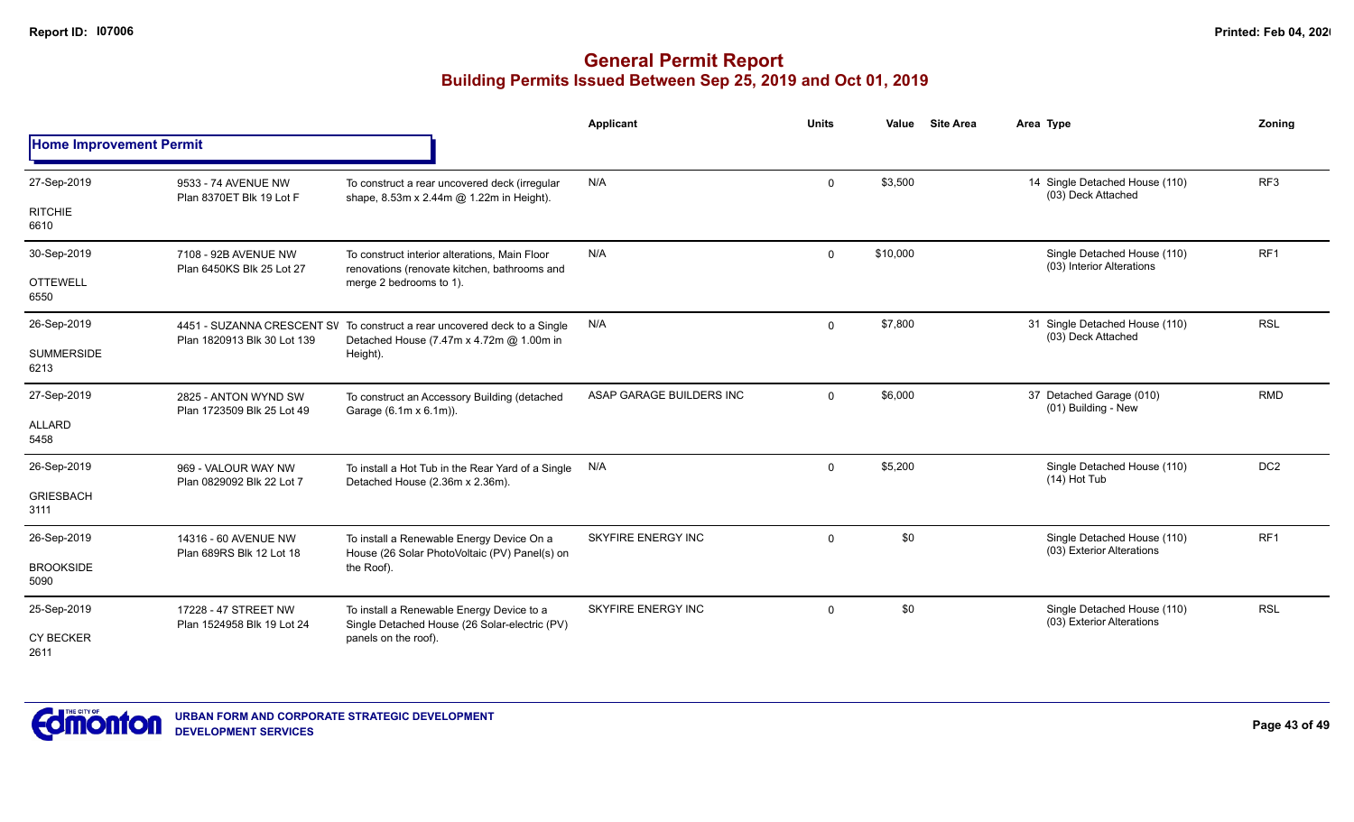|                                |                                                    |                                                                                                                       | <b>Applicant</b>          | <b>Units</b> | Value    | <b>Site Area</b> | Area Type                                                | Zonina          |
|--------------------------------|----------------------------------------------------|-----------------------------------------------------------------------------------------------------------------------|---------------------------|--------------|----------|------------------|----------------------------------------------------------|-----------------|
| <b>Home Improvement Permit</b> |                                                    |                                                                                                                       |                           |              |          |                  |                                                          |                 |
| 27-Sep-2019                    | 9533 - 74 AVENUE NW<br>Plan 8370ET Blk 19 Lot F    | To construct a rear uncovered deck (irregular<br>shape, 8.53m x 2.44m @ 1.22m in Height).                             | N/A                       | $\mathbf 0$  | \$3,500  |                  | 14 Single Detached House (110)<br>(03) Deck Attached     | RF <sub>3</sub> |
| <b>RITCHIE</b><br>6610         |                                                    |                                                                                                                       |                           |              |          |                  |                                                          |                 |
| 30-Sep-2019                    | 7108 - 92B AVENUE NW<br>Plan 6450KS Blk 25 Lot 27  | To construct interior alterations, Main Floor<br>renovations (renovate kitchen, bathrooms and                         | N/A                       | $\Omega$     | \$10,000 |                  | Single Detached House (110)<br>(03) Interior Alterations | RF <sub>1</sub> |
| <b>OTTEWELL</b><br>6550        |                                                    | merge 2 bedrooms to 1).                                                                                               |                           |              |          |                  |                                                          |                 |
| 26-Sep-2019                    | Plan 1820913 Blk 30 Lot 139                        | 4451 - SUZANNA CRESCENT SV To construct a rear uncovered deck to a Single<br>Detached House (7.47m x 4.72m @ 1.00m in | N/A                       | $\mathbf 0$  | \$7,800  |                  | 31 Single Detached House (110)<br>(03) Deck Attached     | <b>RSL</b>      |
| <b>SUMMERSIDE</b><br>6213      |                                                    | Height).                                                                                                              |                           |              |          |                  |                                                          |                 |
| 27-Sep-2019                    | 2825 - ANTON WYND SW<br>Plan 1723509 Blk 25 Lot 49 | To construct an Accessory Building (detached<br>Garage (6.1m x 6.1m)).                                                | ASAP GARAGE BUILDERS INC  | $\Omega$     | \$6,000  |                  | 37 Detached Garage (010)<br>(01) Building - New          | <b>RMD</b>      |
| <b>ALLARD</b><br>5458          |                                                    |                                                                                                                       |                           |              |          |                  |                                                          |                 |
| 26-Sep-2019                    | 969 - VALOUR WAY NW<br>Plan 0829092 Blk 22 Lot 7   | To install a Hot Tub in the Rear Yard of a Single<br>Detached House (2.36m x 2.36m).                                  | N/A                       | $\mathbf 0$  | \$5,200  |                  | Single Detached House (110)<br>$(14)$ Hot Tub            | DC <sub>2</sub> |
| <b>GRIESBACH</b><br>3111       |                                                    |                                                                                                                       |                           |              |          |                  |                                                          |                 |
| 26-Sep-2019                    | 14316 - 60 AVENUE NW<br>Plan 689RS Blk 12 Lot 18   | To install a Renewable Energy Device On a<br>House (26 Solar PhotoVoltaic (PV) Panel(s) on                            | <b>SKYFIRE ENERGY INC</b> | $\mathbf 0$  | \$0      |                  | Single Detached House (110)<br>(03) Exterior Alterations | RF <sub>1</sub> |
| <b>BROOKSIDE</b><br>5090       |                                                    | the Roof).                                                                                                            |                           |              |          |                  |                                                          |                 |
| 25-Sep-2019                    | 17228 - 47 STREET NW<br>Plan 1524958 Blk 19 Lot 24 | To install a Renewable Energy Device to a<br>Single Detached House (26 Solar-electric (PV)                            | SKYFIRE ENERGY INC        | $\mathbf 0$  | \$0      |                  | Single Detached House (110)<br>(03) Exterior Alterations | <b>RSL</b>      |
| <b>CY BECKER</b><br>2611       |                                                    | panels on the roof).                                                                                                  |                           |              |          |                  |                                                          |                 |

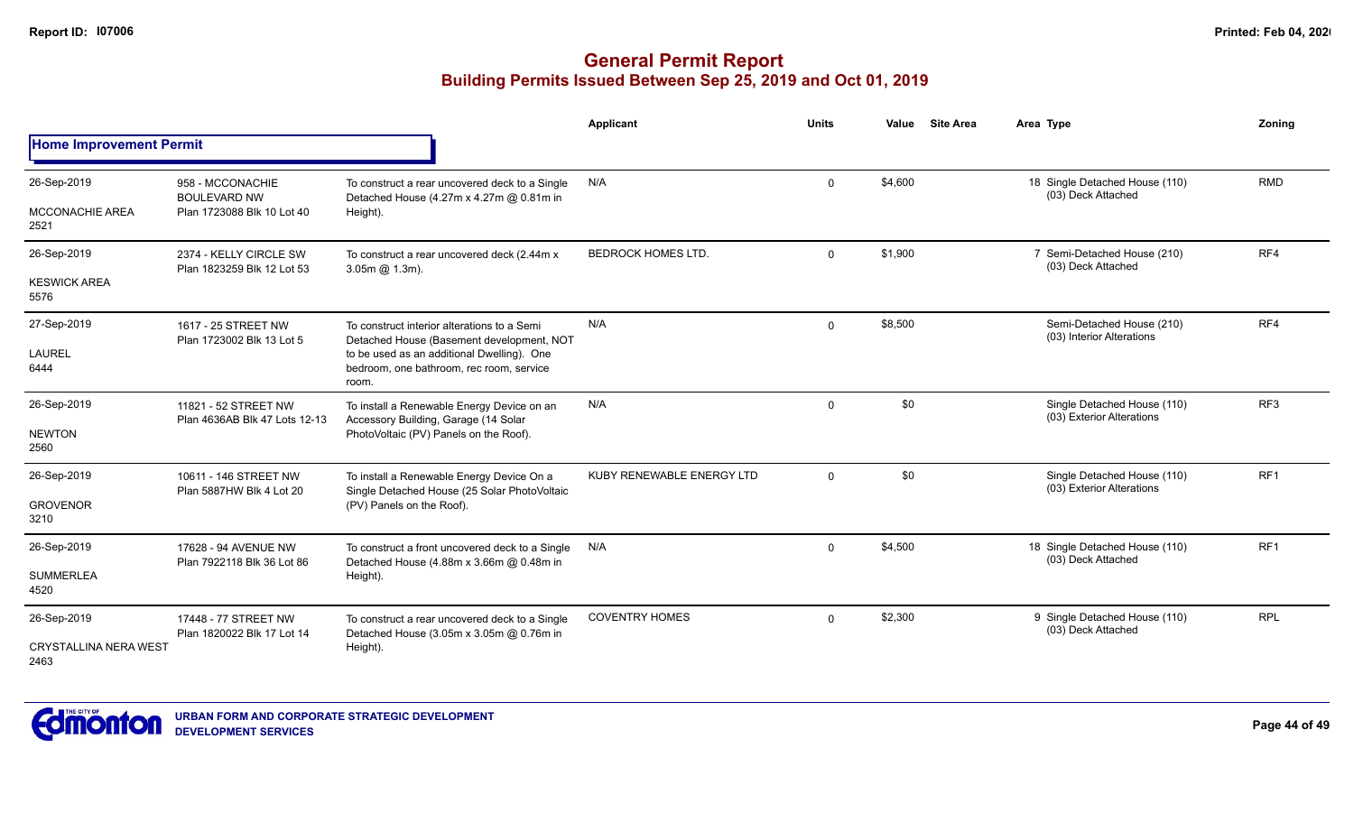|                                      |                                                       |                                                                                                 | Applicant                 | <b>Units</b> | Value   | <b>Site Area</b>                                         | Area Type                                                | Zonina          |
|--------------------------------------|-------------------------------------------------------|-------------------------------------------------------------------------------------------------|---------------------------|--------------|---------|----------------------------------------------------------|----------------------------------------------------------|-----------------|
| <b>Home Improvement Permit</b>       |                                                       |                                                                                                 |                           |              |         |                                                          |                                                          |                 |
| 26-Sep-2019                          | 958 - MCCONACHIE<br><b>BOULEVARD NW</b>               | To construct a rear uncovered deck to a Single<br>Detached House (4.27m x 4.27m @ 0.81m in      | N/A                       | $\mathbf 0$  | \$4,600 |                                                          | 18 Single Detached House (110)<br>(03) Deck Attached     | <b>RMD</b>      |
| <b>MCCONACHIE AREA</b><br>2521       | Plan 1723088 Blk 10 Lot 40                            | Height).                                                                                        |                           |              |         |                                                          |                                                          |                 |
| 26-Sep-2019                          | 2374 - KELLY CIRCLE SW<br>Plan 1823259 Blk 12 Lot 53  | To construct a rear uncovered deck (2.44m x<br>$3.05m$ $\omega$ $1.3m$ ).                       | <b>BEDROCK HOMES LTD.</b> | $\mathbf{0}$ | \$1,900 |                                                          | 7 Semi-Detached House (210)<br>(03) Deck Attached        | RF4             |
| <b>KESWICK AREA</b><br>5576          |                                                       |                                                                                                 |                           |              |         |                                                          |                                                          |                 |
| 27-Sep-2019                          | 1617 - 25 STREET NW<br>Plan 1723002 Blk 13 Lot 5      | To construct interior alterations to a Semi<br>Detached House (Basement development, NOT        | N/A                       | $\mathbf{0}$ | \$8,500 |                                                          | Semi-Detached House (210)<br>(03) Interior Alterations   | RF4             |
| <b>LAUREL</b><br>6444                |                                                       | to be used as an additional Dwelling). One<br>bedroom, one bathroom, rec room, service<br>room. |                           |              |         |                                                          |                                                          |                 |
| 26-Sep-2019                          | 11821 - 52 STREET NW<br>Plan 4636AB Blk 47 Lots 12-13 | To install a Renewable Energy Device on an<br>Accessory Building, Garage (14 Solar              | N/A                       | $\mathbf{0}$ | \$0     | Single Detached House (110)<br>(03) Exterior Alterations | RF3                                                      |                 |
| <b>NEWTON</b><br>2560                |                                                       | PhotoVoltaic (PV) Panels on the Roof).                                                          |                           |              |         |                                                          |                                                          |                 |
| 26-Sep-2019                          | 10611 - 146 STREET NW<br>Plan 5887HW Blk 4 Lot 20     | To install a Renewable Energy Device On a<br>Single Detached House (25 Solar PhotoVoltaic       | KUBY RENEWABLE ENERGY LTD | $\Omega$     | \$0     |                                                          | Single Detached House (110)<br>(03) Exterior Alterations | RF1             |
| <b>GROVENOR</b><br>3210              |                                                       | (PV) Panels on the Roof).                                                                       |                           |              |         |                                                          |                                                          |                 |
| 26-Sep-2019                          | 17628 - 94 AVENUE NW                                  | To construct a front uncovered deck to a Single<br>Detached House (4.88m x 3.66m @ 0.48m in     | N/A                       | $\mathbf 0$  | \$4,500 |                                                          | 18 Single Detached House (110)<br>(03) Deck Attached     | RF <sub>1</sub> |
| <b>SUMMERLEA</b><br>4520             | Plan 7922118 Blk 36 Lot 86                            | Height).                                                                                        |                           |              |         |                                                          |                                                          |                 |
| 26-Sep-2019                          | 17448 - 77 STREET NW<br>Plan 1820022 Blk 17 Lot 14    | To construct a rear uncovered deck to a Single<br>Detached House (3.05m x 3.05m @ 0.76m in      | <b>COVENTRY HOMES</b>     | $\Omega$     | \$2,300 |                                                          | 9 Single Detached House (110)<br>(03) Deck Attached      | <b>RPL</b>      |
| <b>CRYSTALLINA NERA WEST</b><br>2463 |                                                       | Height).                                                                                        |                           |              |         |                                                          |                                                          |                 |

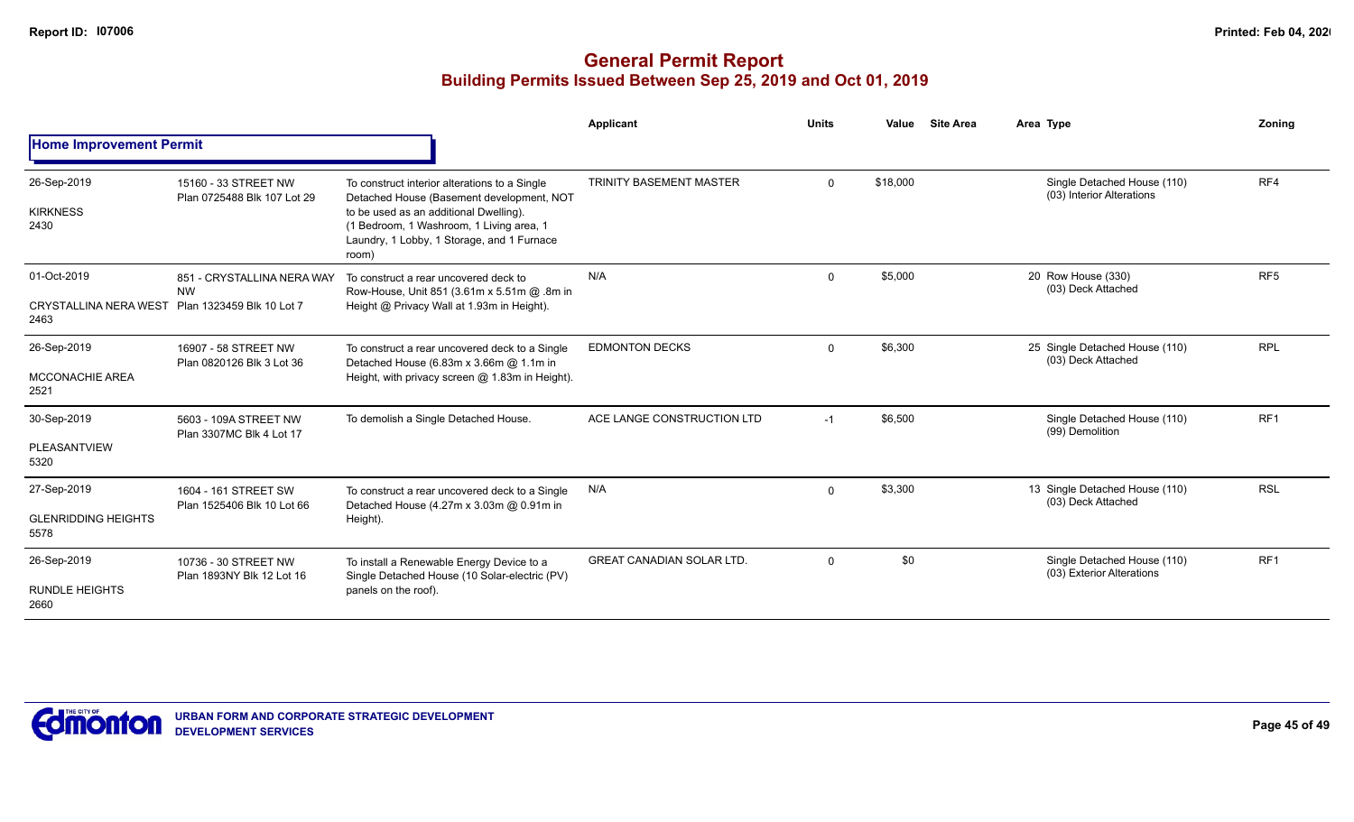|                                                     |                                                                      |                                                                                                                                                                                                                                         | <b>Applicant</b>                 | <b>Units</b> | Value    | <b>Site Area</b> | Area Type                                                | Zonina          |
|-----------------------------------------------------|----------------------------------------------------------------------|-----------------------------------------------------------------------------------------------------------------------------------------------------------------------------------------------------------------------------------------|----------------------------------|--------------|----------|------------------|----------------------------------------------------------|-----------------|
| <b>Home Improvement Permit</b>                      |                                                                      |                                                                                                                                                                                                                                         |                                  |              |          |                  |                                                          |                 |
| 26-Sep-2019<br><b>KIRKNESS</b><br>2430              | 15160 - 33 STREET NW<br>Plan 0725488 Blk 107 Lot 29                  | To construct interior alterations to a Single<br>Detached House (Basement development, NOT<br>to be used as an additional Dwelling).<br>(1 Bedroom, 1 Washroom, 1 Living area, 1<br>Laundry, 1 Lobby, 1 Storage, and 1 Furnace<br>room) | <b>TRINITY BASEMENT MASTER</b>   | $\mathbf 0$  | \$18,000 |                  | Single Detached House (110)<br>(03) Interior Alterations | RF4             |
| 01-Oct-2019<br><b>CRYSTALLINA NERA WEST</b><br>2463 | 851 - CRYSTALLINA NERA WAY<br><b>NW</b><br>Plan 1323459 Blk 10 Lot 7 | To construct a rear uncovered deck to<br>Row-House, Unit 851 (3.61m x 5.51m @ .8m in<br>Height @ Privacy Wall at 1.93m in Height).                                                                                                      | N/A                              | $\mathbf 0$  | \$5,000  |                  | 20 Row House (330)<br>(03) Deck Attached                 | RF <sub>5</sub> |
| 26-Sep-2019<br><b>MCCONACHIE AREA</b><br>2521       | 16907 - 58 STREET NW<br>Plan 0820126 Blk 3 Lot 36                    | To construct a rear uncovered deck to a Single<br>Detached House (6.83m x 3.66m @ 1.1m in<br>Height, with privacy screen @ 1.83m in Height).                                                                                            | <b>EDMONTON DECKS</b>            | $\mathbf 0$  | \$6,300  |                  | 25 Single Detached House (110)<br>(03) Deck Attached     | <b>RPL</b>      |
| 30-Sep-2019<br>PLEASANTVIEW<br>5320                 | 5603 - 109A STREET NW<br>Plan 3307MC Blk 4 Lot 17                    | To demolish a Single Detached House.                                                                                                                                                                                                    | ACE LANGE CONSTRUCTION LTD       | $-1$         | \$6,500  |                  | Single Detached House (110)<br>(99) Demolition           | RF <sub>1</sub> |
| 27-Sep-2019<br><b>GLENRIDDING HEIGHTS</b><br>5578   | 1604 - 161 STREET SW<br>Plan 1525406 Blk 10 Lot 66                   | To construct a rear uncovered deck to a Single<br>Detached House (4.27m x 3.03m @ 0.91m in<br>Height).                                                                                                                                  | N/A                              | $\mathbf 0$  | \$3,300  |                  | 13 Single Detached House (110)<br>(03) Deck Attached     | <b>RSL</b>      |
| 26-Sep-2019<br><b>RUNDLE HEIGHTS</b><br>2660        | 10736 - 30 STREET NW<br>Plan 1893NY Blk 12 Lot 16                    | To install a Renewable Energy Device to a<br>Single Detached House (10 Solar-electric (PV)<br>panels on the roof).                                                                                                                      | <b>GREAT CANADIAN SOLAR LTD.</b> | $\mathbf 0$  | \$0      |                  | Single Detached House (110)<br>(03) Exterior Alterations | RF <sub>1</sub> |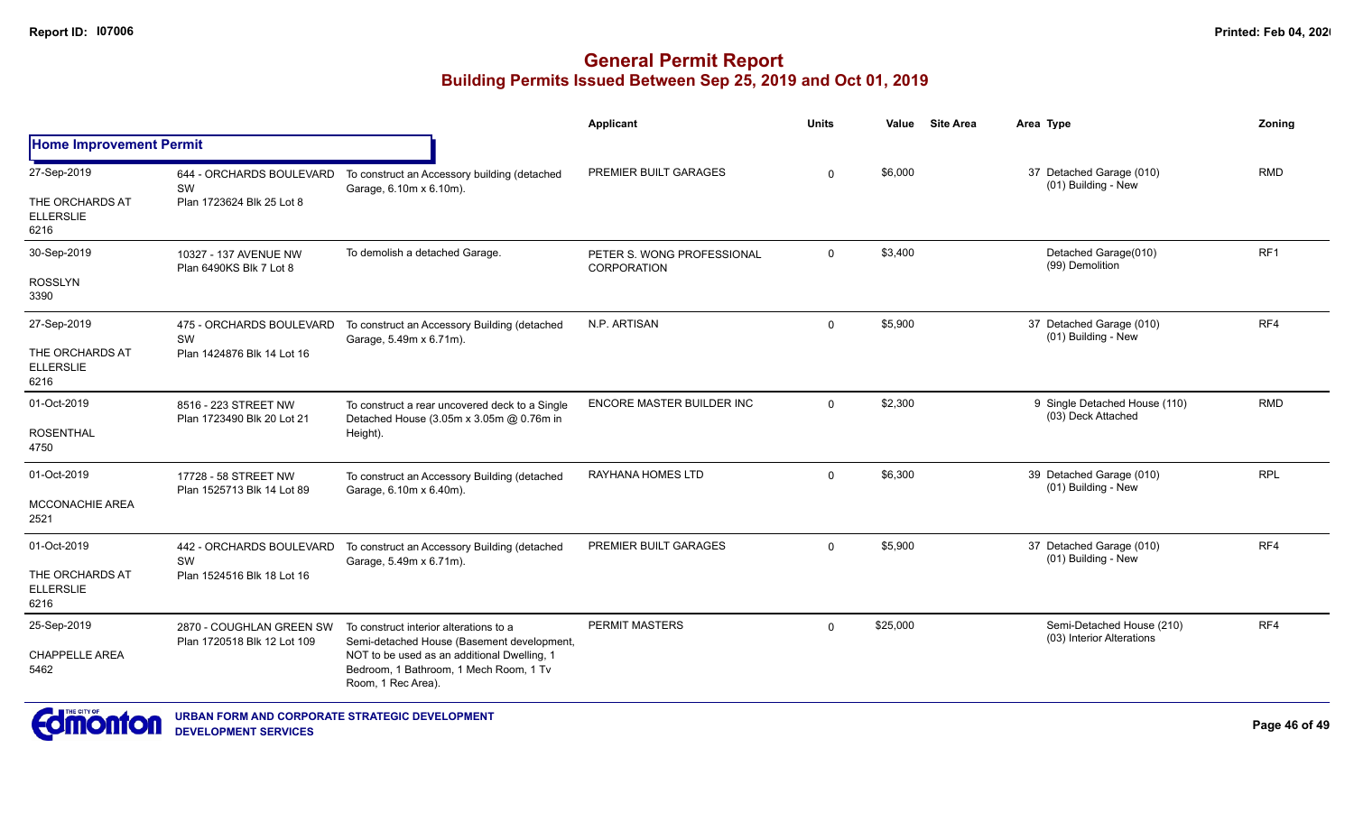|                                             |                                                    |                                                                                            | <b>Applicant</b>                                 | <b>Units</b> | Value    | <b>Site Area</b> | Area Type                                              | Zoning          |
|---------------------------------------------|----------------------------------------------------|--------------------------------------------------------------------------------------------|--------------------------------------------------|--------------|----------|------------------|--------------------------------------------------------|-----------------|
| <b>Home Improvement Permit</b>              |                                                    |                                                                                            |                                                  |              |          |                  |                                                        |                 |
| 27-Sep-2019                                 | 644 - ORCHARDS BOULEVARD<br><b>SW</b>              | To construct an Accessory building (detached<br>Garage, 6.10m x 6.10m).                    | PREMIER BUILT GARAGES                            | $\Omega$     | \$6,000  |                  | 37 Detached Garage (010)<br>(01) Building - New        | <b>RMD</b>      |
| THE ORCHARDS AT<br><b>ELLERSLIE</b><br>6216 | Plan 1723624 Blk 25 Lot 8                          |                                                                                            |                                                  |              |          |                  |                                                        |                 |
| 30-Sep-2019                                 | 10327 - 137 AVENUE NW<br>Plan 6490KS Blk 7 Lot 8   | To demolish a detached Garage.                                                             | PETER S. WONG PROFESSIONAL<br><b>CORPORATION</b> | $\mathbf 0$  | \$3,400  |                  | Detached Garage(010)<br>(99) Demolition                | RF <sub>1</sub> |
| <b>ROSSLYN</b><br>3390                      |                                                    |                                                                                            |                                                  |              |          |                  |                                                        |                 |
| 27-Sep-2019                                 | 475 - ORCHARDS BOULEVARD<br>SW                     | To construct an Accessory Building (detached<br>Garage, 5.49m x 6.71m).                    | N.P. ARTISAN                                     | 0            | \$5,900  |                  | 37 Detached Garage (010)<br>(01) Building - New        | RF4             |
| THE ORCHARDS AT<br><b>ELLERSLIE</b><br>6216 | Plan 1424876 Blk 14 Lot 16                         |                                                                                            |                                                  |              |          |                  |                                                        |                 |
| 01-Oct-2019                                 | 8516 - 223 STREET NW<br>Plan 1723490 Blk 20 Lot 21 | To construct a rear uncovered deck to a Single<br>Detached House (3.05m x 3.05m @ 0.76m in | ENCORE MASTER BUILDER INC                        | $\Omega$     | \$2,300  |                  | 9 Single Detached House (110)<br>(03) Deck Attached    | <b>RMD</b>      |
| <b>ROSENTHAL</b><br>4750                    |                                                    | Height).                                                                                   |                                                  |              |          |                  |                                                        |                 |
| 01-Oct-2019                                 | 17728 - 58 STREET NW<br>Plan 1525713 Blk 14 Lot 89 | To construct an Accessory Building (detached<br>Garage, 6.10m x 6.40m).                    | RAYHANA HOMES LTD                                | $\mathbf 0$  | \$6,300  |                  | 39 Detached Garage (010)<br>(01) Building - New        | <b>RPL</b>      |
| MCCONACHIE AREA<br>2521                     |                                                    |                                                                                            |                                                  |              |          |                  |                                                        |                 |
| 01-Oct-2019                                 | 442 - ORCHARDS BOULEVARD<br>SW                     | To construct an Accessory Building (detached<br>Garage, 5.49m x 6.71m).                    | PREMIER BUILT GARAGES                            | 0            | \$5,900  |                  | 37 Detached Garage (010)<br>(01) Building - New        | RF4             |
| THE ORCHARDS AT<br><b>ELLERSLIE</b><br>6216 | Plan 1524516 Blk 18 Lot 16                         |                                                                                            |                                                  |              |          |                  |                                                        |                 |
| 25-Sep-2019                                 | 2870 - COUGHLAN GREEN SW                           | To construct interior alterations to a<br>Semi-detached House (Basement development,       | <b>PERMIT MASTERS</b>                            | $\Omega$     | \$25,000 |                  | Semi-Detached House (210)<br>(03) Interior Alterations | RF4             |
| <b>CHAPPELLE AREA</b><br>5462               | Plan 1720518 Blk 12 Lot 109<br>Room, 1 Rec Area).  | NOT to be used as an additional Dwelling, 1<br>Bedroom, 1 Bathroom, 1 Mech Room, 1 Tv      |                                                  |              |          |                  |                                                        |                 |
|                                             |                                                    |                                                                                            |                                                  |              |          |                  |                                                        |                 |

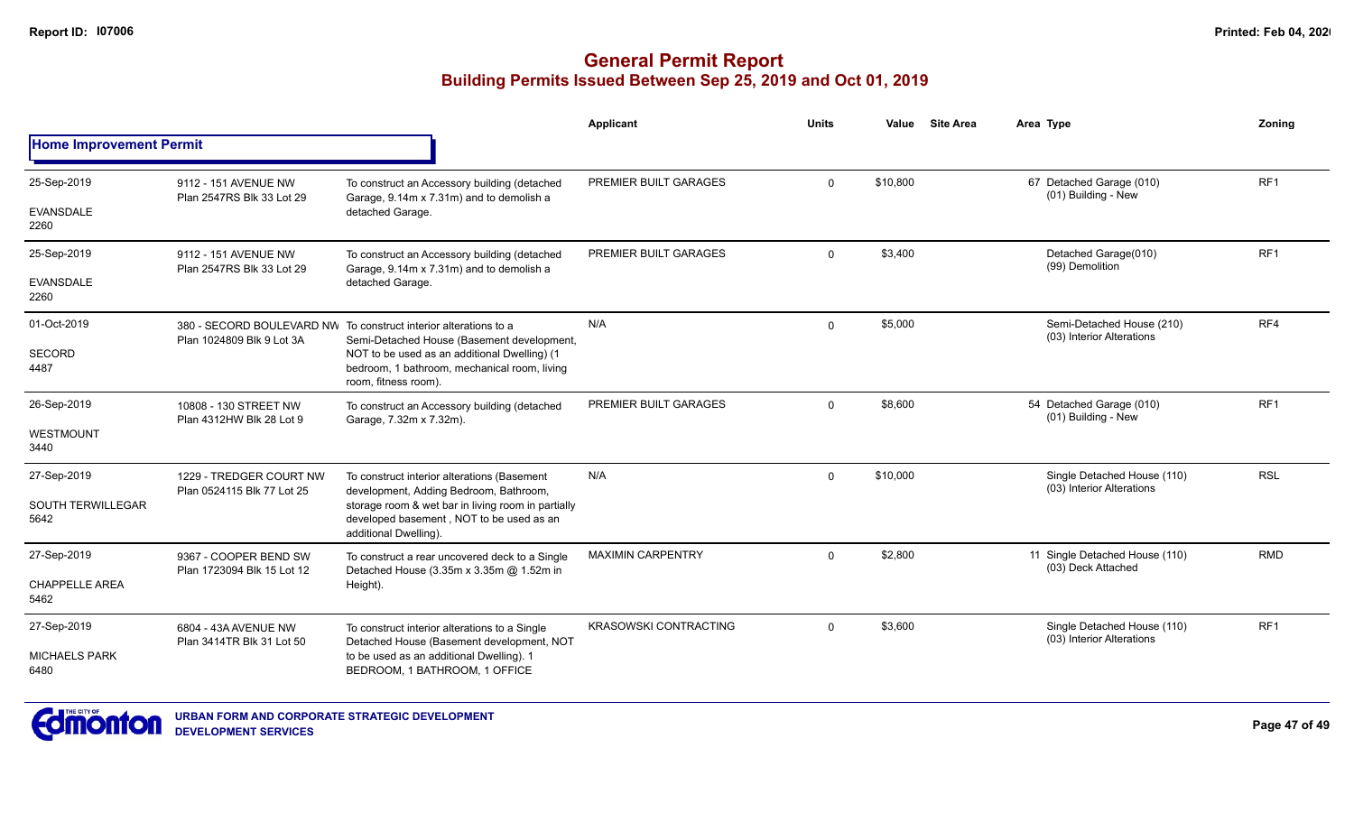|                                  |                                                       |                                                                                                                         | <b>Applicant</b>             | <b>Units</b> | Value    | <b>Site Area</b> | Area Type                                                | Zoning          |
|----------------------------------|-------------------------------------------------------|-------------------------------------------------------------------------------------------------------------------------|------------------------------|--------------|----------|------------------|----------------------------------------------------------|-----------------|
| <b>Home Improvement Permit</b>   |                                                       |                                                                                                                         |                              |              |          |                  |                                                          |                 |
| 25-Sep-2019                      | 9112 - 151 AVENUE NW<br>Plan 2547RS Blk 33 Lot 29     | To construct an Accessory building (detached<br>Garage, 9.14m x 7.31m) and to demolish a                                | PREMIER BUILT GARAGES        | $\mathbf{0}$ | \$10,800 |                  | 67 Detached Garage (010)<br>(01) Building - New          | RF <sub>1</sub> |
| <b>EVANSDALE</b><br>2260         |                                                       | detached Garage.                                                                                                        |                              |              |          |                  |                                                          |                 |
| 25-Sep-2019                      | 9112 - 151 AVENUE NW<br>Plan 2547RS Blk 33 Lot 29     | To construct an Accessory building (detached<br>Garage, 9.14m x 7.31m) and to demolish a                                | PREMIER BUILT GARAGES        | $\mathbf{0}$ | \$3,400  |                  | Detached Garage(010)<br>(99) Demolition                  | RF1             |
| <b>EVANSDALE</b><br>2260         |                                                       | detached Garage.                                                                                                        |                              |              |          |                  |                                                          |                 |
| 01-Oct-2019                      | Plan 1024809 Blk 9 Lot 3A                             | 380 - SECORD BOULEVARD NW To construct interior alterations to a<br>Semi-Detached House (Basement development,          | N/A                          | $\Omega$     | \$5,000  |                  | Semi-Detached House (210)<br>(03) Interior Alterations   | RF4             |
| <b>SECORD</b><br>4487            |                                                       | NOT to be used as an additional Dwelling) (1<br>bedroom, 1 bathroom, mechanical room, living<br>room, fitness room).    |                              |              |          |                  |                                                          |                 |
| 26-Sep-2019                      | 10808 - 130 STREET NW<br>Plan 4312HW Blk 28 Lot 9     | To construct an Accessory building (detached<br>Garage, 7.32m x 7.32m).                                                 | PREMIER BUILT GARAGES        | $\Omega$     | \$8,600  |                  | 54 Detached Garage (010)<br>(01) Building - New          | RF <sub>1</sub> |
| <b>WESTMOUNT</b><br>3440         |                                                       |                                                                                                                         |                              |              |          |                  |                                                          |                 |
| 27-Sep-2019                      | 1229 - TREDGER COURT NW<br>Plan 0524115 Blk 77 Lot 25 | To construct interior alterations (Basement<br>development, Adding Bedroom, Bathroom,                                   | N/A                          | $\Omega$     | \$10,000 |                  | Single Detached House (110)<br>(03) Interior Alterations | <b>RSL</b>      |
| <b>SOUTH TERWILLEGAR</b><br>5642 |                                                       | storage room & wet bar in living room in partially<br>developed basement, NOT to be used as an<br>additional Dwelling). |                              |              |          |                  |                                                          |                 |
| 27-Sep-2019                      | 9367 - COOPER BEND SW                                 | To construct a rear uncovered deck to a Single<br>Detached House (3.35m x 3.35m @ 1.52m in                              | <b>MAXIMIN CARPENTRY</b>     | $\Omega$     | \$2,800  |                  | 11 Single Detached House (110)<br>(03) Deck Attached     | <b>RMD</b>      |
| <b>CHAPPELLE AREA</b><br>5462    | Plan 1723094 Blk 15 Lot 12                            | Height).                                                                                                                |                              |              |          |                  |                                                          |                 |
| 27-Sep-2019                      | 6804 - 43A AVENUE NW<br>Plan 3414TR Blk 31 Lot 50     | To construct interior alterations to a Single<br>Detached House (Basement development, NOT                              | <b>KRASOWSKI CONTRACTING</b> | $\Omega$     | \$3,600  |                  | Single Detached House (110)<br>(03) Interior Alterations | RF <sub>1</sub> |
| <b>MICHAELS PARK</b><br>6480     |                                                       | to be used as an additional Dwelling). 1<br>BEDROOM, 1 BATHROOM, 1 OFFICE                                               |                              |              |          |                  |                                                          |                 |

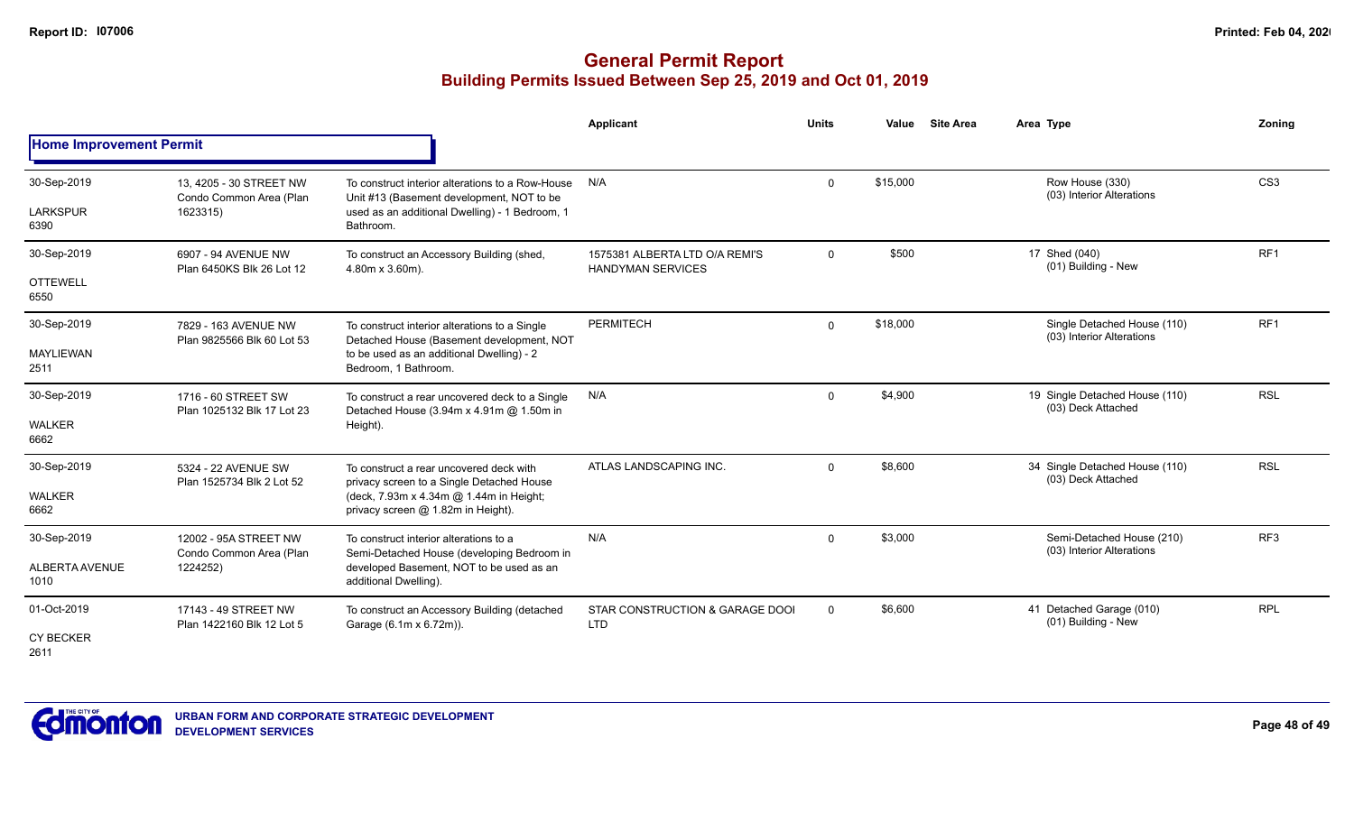|                                         |                                                                |                                                                                                                                                                       | Applicant                                                  | <b>Units</b> | Value    | <b>Site Area</b> | Area Type                                                | Zoning          |
|-----------------------------------------|----------------------------------------------------------------|-----------------------------------------------------------------------------------------------------------------------------------------------------------------------|------------------------------------------------------------|--------------|----------|------------------|----------------------------------------------------------|-----------------|
| <b>Home Improvement Permit</b>          |                                                                |                                                                                                                                                                       |                                                            |              |          |                  |                                                          |                 |
| 30-Sep-2019<br><b>LARKSPUR</b><br>6390  | 13, 4205 - 30 STREET NW<br>Condo Common Area (Plan<br>1623315) | To construct interior alterations to a Row-House<br>Unit #13 (Basement development, NOT to be<br>used as an additional Dwelling) - 1 Bedroom, 1<br>Bathroom.          | N/A                                                        | $\Omega$     | \$15,000 |                  | Row House (330)<br>(03) Interior Alterations             | CS <sub>3</sub> |
| 30-Sep-2019<br><b>OTTEWELL</b><br>6550  | 6907 - 94 AVENUE NW<br>Plan 6450KS Blk 26 Lot 12               | To construct an Accessory Building (shed,<br>4.80m x 3.60m).                                                                                                          | 1575381 ALBERTA LTD O/A REMI'S<br><b>HANDYMAN SERVICES</b> | $\mathbf 0$  | \$500    |                  | 17 Shed (040)<br>(01) Building - New                     | RF1             |
| 30-Sep-2019<br><b>MAYLIEWAN</b><br>2511 | 7829 - 163 AVENUE NW<br>Plan 9825566 Blk 60 Lot 53             | To construct interior alterations to a Single<br>Detached House (Basement development, NOT<br>to be used as an additional Dwelling) - 2<br>Bedroom, 1 Bathroom.       | <b>PERMITECH</b>                                           | $\mathbf 0$  | \$18,000 |                  | Single Detached House (110)<br>(03) Interior Alterations | RF <sub>1</sub> |
| 30-Sep-2019<br><b>WALKER</b><br>6662    | 1716 - 60 STREET SW<br>Plan 1025132 Blk 17 Lot 23              | To construct a rear uncovered deck to a Single<br>Detached House (3.94m x 4.91m @ 1.50m in<br>Height).                                                                | N/A                                                        | $\Omega$     | \$4,900  |                  | 19 Single Detached House (110)<br>(03) Deck Attached     | <b>RSL</b>      |
| 30-Sep-2019<br><b>WALKER</b><br>6662    | 5324 - 22 AVENUE SW<br>Plan 1525734 Blk 2 Lot 52               | To construct a rear uncovered deck with<br>privacy screen to a Single Detached House<br>(deck, 7.93m x 4.34m @ 1.44m in Height;<br>privacy screen @ 1.82m in Height). | ATLAS LANDSCAPING INC.                                     | $\Omega$     | \$8,600  |                  | 34 Single Detached House (110)<br>(03) Deck Attached     | <b>RSL</b>      |
| 30-Sep-2019<br>ALBERTA AVENUE<br>1010   | 12002 - 95A STREET NW<br>Condo Common Area (Plan<br>1224252)   | To construct interior alterations to a<br>Semi-Detached House (developing Bedroom in<br>developed Basement, NOT to be used as an<br>additional Dwelling).             | N/A                                                        | $\Omega$     | \$3,000  |                  | Semi-Detached House (210)<br>(03) Interior Alterations   | RF3             |
| 01-Oct-2019<br><b>CY BECKER</b><br>2611 | 17143 - 49 STREET NW<br>Plan 1422160 Blk 12 Lot 5              | To construct an Accessory Building (detached<br>Garage (6.1m x 6.72m)).                                                                                               | STAR CONSTRUCTION & GARAGE DOOI<br><b>LTD</b>              | $\mathbf 0$  | \$6,600  |                  | 41 Detached Garage (010)<br>(01) Building - New          | <b>RPL</b>      |